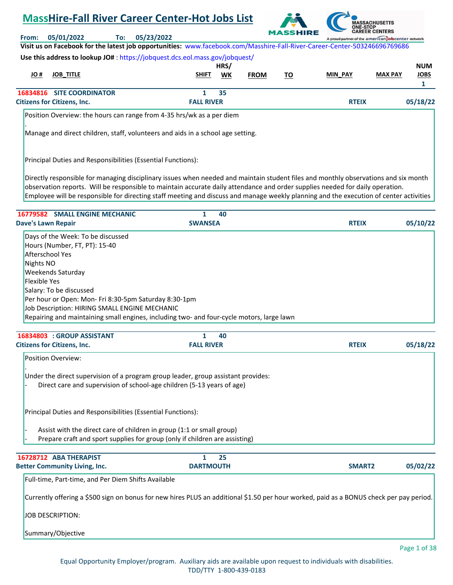# **MassHire-Fall River Career Center-Hot Jobs List**



**From: 05/01/2022 To: 05/23/2022 Visit us on Facebook for the latest job opportunities:** [www.facebook.com/Masshire-Fall-River-Career-Center-503246696769686](https://www.facebook.com/Masshire-Fall-River-Career-Center-503246696769686) **Use this address to lookup JO#** [: https://jobquest.dcs.eol.mass.gov/jobquest/](https://jobquest.dcs.eol.mass.gov/jobquest/) 

| Use this address to lookup JO# : https://looguest.dcs.eoi.mass.gov/looguest/ |                   |      |             |    |                |                |             |
|------------------------------------------------------------------------------|-------------------|------|-------------|----|----------------|----------------|-------------|
|                                                                              |                   | HRS/ |             |    |                |                | <b>NUM</b>  |
| # OL<br><b>JOB TITLE</b>                                                     | <b>SHIFT</b>      | WK   | <b>FROM</b> | τо | <b>MIN_PAY</b> | <b>MAX PAY</b> | <b>JOBS</b> |
|                                                                              |                   |      |             |    |                |                |             |
| <b>16834816 SITE COORDINATOR</b>                                             |                   | 35   |             |    |                |                |             |
| <b>Citizens for Citizens, Inc.</b>                                           | <b>FALL RIVER</b> |      |             |    | <b>RTEIX</b>   |                | 05/18/22    |

Position Overview: the hours can range from 4-35 hrs/wk as a per diem

Manage and direct children, staff, volunteers and aids in a school age setting.

Principal Duties and Responsibilities (Essential Functions):

.

Directly responsible for managing disciplinary issues when needed and maintain student files and monthly observations and six month observation reports. Will be responsible to maintain accurate daily attendance and order supplies needed for daily operation. Employee will be responsible for directing staff meeting and discuss and manage weekly planning and the execution of center activities

| 16779582 SMALL ENGINE MECHANIC                                                                                                                                                                                                                                                                                                                                                      | 1<br>40                                                                                                                                 |               |              |
|-------------------------------------------------------------------------------------------------------------------------------------------------------------------------------------------------------------------------------------------------------------------------------------------------------------------------------------------------------------------------------------|-----------------------------------------------------------------------------------------------------------------------------------------|---------------|--------------|
| <b>Dave's Lawn Repair</b>                                                                                                                                                                                                                                                                                                                                                           | <b>SWANSEA</b>                                                                                                                          | <b>RTEIX</b>  | 05/10/22     |
| Days of the Week: To be discussed                                                                                                                                                                                                                                                                                                                                                   |                                                                                                                                         |               |              |
| Hours (Number, FT, PT): 15-40                                                                                                                                                                                                                                                                                                                                                       |                                                                                                                                         |               |              |
| Afterschool Yes                                                                                                                                                                                                                                                                                                                                                                     |                                                                                                                                         |               |              |
| Nights NO                                                                                                                                                                                                                                                                                                                                                                           |                                                                                                                                         |               |              |
| Weekends Saturday                                                                                                                                                                                                                                                                                                                                                                   |                                                                                                                                         |               |              |
| <b>Flexible Yes</b>                                                                                                                                                                                                                                                                                                                                                                 |                                                                                                                                         |               |              |
| Salary: To be discussed                                                                                                                                                                                                                                                                                                                                                             |                                                                                                                                         |               |              |
| Per hour or Open: Mon- Fri 8:30-5pm Saturday 8:30-1pm                                                                                                                                                                                                                                                                                                                               |                                                                                                                                         |               |              |
| Job Description: HIRING SMALL ENGINE MECHANIC                                                                                                                                                                                                                                                                                                                                       |                                                                                                                                         |               |              |
|                                                                                                                                                                                                                                                                                                                                                                                     | Repairing and maintaining small engines, including two- and four-cycle motors, large lawn                                               |               |              |
| 16834803 : GROUP ASSISTANT                                                                                                                                                                                                                                                                                                                                                          | $\mathbf{1}$<br>40                                                                                                                      |               |              |
| <b>Citizens for Citizens, Inc.</b>                                                                                                                                                                                                                                                                                                                                                  | <b>FALL RIVER</b>                                                                                                                       | <b>RTEIX</b>  | 05/18/22     |
| Under the direct supervision of a program group leader, group assistant provides:<br>Direct care and supervision of school-age children (5-13 years of age)<br>Principal Duties and Responsibilities (Essential Functions):<br>Assist with the direct care of children in group (1:1 or small group)<br>Prepare craft and sport supplies for group (only if children are assisting) |                                                                                                                                         |               |              |
|                                                                                                                                                                                                                                                                                                                                                                                     |                                                                                                                                         |               |              |
| 16728712 ABA THERAPIST                                                                                                                                                                                                                                                                                                                                                              | $\mathbf{1}$<br>25                                                                                                                      | <b>SMART2</b> |              |
| <b>Better Community Living, Inc.</b>                                                                                                                                                                                                                                                                                                                                                | <b>DARTMOUTH</b>                                                                                                                        |               | 05/02/22     |
| Full-time, Part-time, and Per Diem Shifts Available                                                                                                                                                                                                                                                                                                                                 |                                                                                                                                         |               |              |
|                                                                                                                                                                                                                                                                                                                                                                                     | Currently offering a \$500 sign on bonus for new hires PLUS an additional \$1.50 per hour worked, paid as a BONUS check per pay period. |               |              |
| <b>JOB DESCRIPTION:</b>                                                                                                                                                                                                                                                                                                                                                             |                                                                                                                                         |               |              |
| Summary/Objective                                                                                                                                                                                                                                                                                                                                                                   |                                                                                                                                         |               |              |
|                                                                                                                                                                                                                                                                                                                                                                                     |                                                                                                                                         |               | Page 1 of 38 |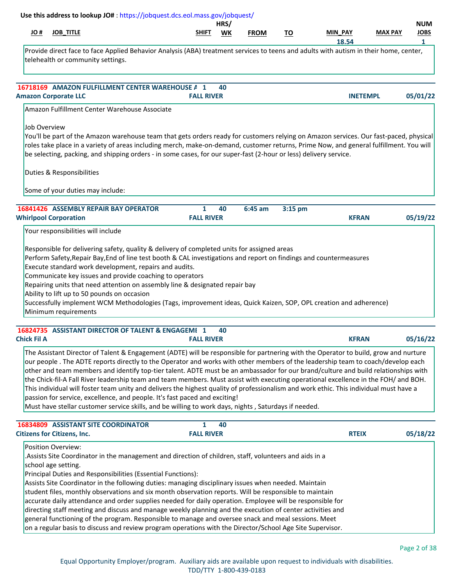|                    | Use this address to lookup JO#: https://jobquest.dcs.eol.mass.gov/jobquest/                                                                                                                                                                                                                                                                                                                                                                                                                                                                                                                                                                                                                                                                                                                                                                                                                                               |                        | HRS/ |             |           |                 |                | <b>NUM</b>  |
|--------------------|---------------------------------------------------------------------------------------------------------------------------------------------------------------------------------------------------------------------------------------------------------------------------------------------------------------------------------------------------------------------------------------------------------------------------------------------------------------------------------------------------------------------------------------------------------------------------------------------------------------------------------------------------------------------------------------------------------------------------------------------------------------------------------------------------------------------------------------------------------------------------------------------------------------------------|------------------------|------|-------------|-----------|-----------------|----------------|-------------|
| H OL               | <b>JOB_TITLE</b>                                                                                                                                                                                                                                                                                                                                                                                                                                                                                                                                                                                                                                                                                                                                                                                                                                                                                                          | <b>SHIFT</b>           | WK   | <b>FROM</b> | <u>TO</u> | MIN PAY         | <b>MAX PAY</b> | <b>JOBS</b> |
|                    | Provide direct face to face Applied Behavior Analysis (ABA) treatment services to teens and adults with autism in their home, center,<br>telehealth or community settings.                                                                                                                                                                                                                                                                                                                                                                                                                                                                                                                                                                                                                                                                                                                                                |                        |      |             |           | 18.54           |                | 1           |
|                    | 16718169 AMAZON FULFILLMENT CENTER WAREHOUSE A 1<br><b>Amazon Corporate LLC</b>                                                                                                                                                                                                                                                                                                                                                                                                                                                                                                                                                                                                                                                                                                                                                                                                                                           | <b>FALL RIVER</b>      | 40   |             |           | <b>INETEMPL</b> |                | 05/01/22    |
|                    | Amazon Fulfillment Center Warehouse Associate                                                                                                                                                                                                                                                                                                                                                                                                                                                                                                                                                                                                                                                                                                                                                                                                                                                                             |                        |      |             |           |                 |                |             |
| Job Overview       | You'll be part of the Amazon warehouse team that gets orders ready for customers relying on Amazon services. Our fast-paced, physical<br>roles take place in a variety of areas including merch, make-on-demand, customer returns, Prime Now, and general fulfillment. You will<br>be selecting, packing, and shipping orders - in some cases, for our super-fast (2-hour or less) delivery service.<br>Duties & Responsibilities                                                                                                                                                                                                                                                                                                                                                                                                                                                                                         |                        |      |             |           |                 |                |             |
|                    | Some of your duties may include:                                                                                                                                                                                                                                                                                                                                                                                                                                                                                                                                                                                                                                                                                                                                                                                                                                                                                          |                        |      |             |           |                 |                |             |
|                    | 16841426 ASSEMBLY REPAIR BAY OPERATOR<br><b>Whirlpool Corporation</b>                                                                                                                                                                                                                                                                                                                                                                                                                                                                                                                                                                                                                                                                                                                                                                                                                                                     | 1<br><b>FALL RIVER</b> | 40   | 6:45 am     | 3:15 pm   | <b>KFRAN</b>    |                | 05/19/22    |
|                    | Perform Safety, Repair Bay, End of line test booth & CAL investigations and report on findings and countermeasures<br>Execute standard work development, repairs and audits.<br>Communicate key issues and provide coaching to operators<br>Repairing units that need attention on assembly line & designated repair bay<br>Ability to lift up to 50 pounds on occasion<br>Successfully implement WCM Methodologies (Tags, improvement ideas, Quick Kaizen, SOP, OPL creation and adherence)<br>Minimum requirements                                                                                                                                                                                                                                                                                                                                                                                                      |                        |      |             |           |                 |                |             |
| <b>Chick Fil A</b> | 16824735 ASSISTANT DIRECTOR OF TALENT & ENGAGEME 1                                                                                                                                                                                                                                                                                                                                                                                                                                                                                                                                                                                                                                                                                                                                                                                                                                                                        | <b>FALL RIVER</b>      | 40   |             |           | <b>KFRAN</b>    |                | 05/16/22    |
|                    | The Assistant Director of Talent & Engagement (ADTE) will be responsible for partnering with the Operator to build, grow and nurture<br>our people. The ADTE reports directly to the Operator and works with other members of the leadership team to coach/develop each<br>other and team members and identify top-tier talent. ADTE must be an ambassador for our brand/culture and build relationships with<br>the Chick-fil-A Fall River leadership team and team members. Must assist with executing operational excellence in the FOH/ and BOH.<br>This individual will foster team unity and delivers the highest quality of professionalism and work ethic. This individual must have a<br>passion for service, excellence, and people. It's fast paced and exciting!<br>Must have stellar customer service skills, and be willing to work days, nights, Saturdays if needed.                                      |                        |      |             |           |                 |                |             |
|                    | 16834809 ASSISTANT SITE COORDINATOR                                                                                                                                                                                                                                                                                                                                                                                                                                                                                                                                                                                                                                                                                                                                                                                                                                                                                       | $\mathbf{1}$           | 40   |             |           |                 |                |             |
|                    | <b>Citizens for Citizens, Inc.</b><br>Position Overview:<br>Assists Site Coordinator in the management and direction of children, staff, volunteers and aids in a.<br>school age setting.<br>Principal Duties and Responsibilities (Essential Functions):<br>Assists Site Coordinator in the following duties: managing disciplinary issues when needed. Maintain<br>student files, monthly observations and six month observation reports. Will be responsible to maintain<br>accurate daily attendance and order supplies needed for daily operation. Employee will be responsible for<br>directing staff meeting and discuss and manage weekly planning and the execution of center activities and<br>general functioning of the program. Responsible to manage and oversee snack and meal sessions. Meet<br>on a regular basis to discuss and review program operations with the Director/School Age Site Supervisor. | <b>FALL RIVER</b>      |      |             |           | <b>RTEIX</b>    |                | 05/18/22    |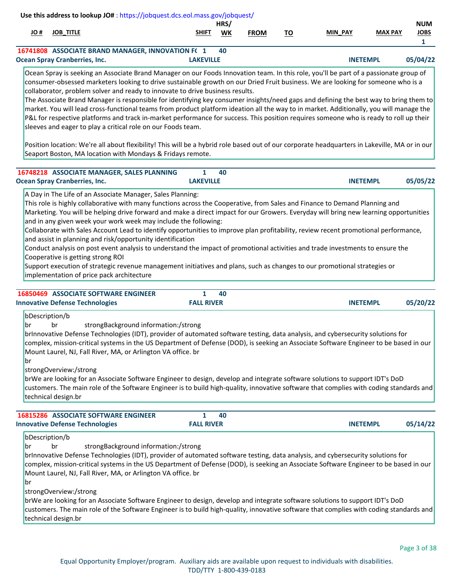|                            | Use this address to lookup JO#: https://jobquest.dcs.eol.mass.gov/jobquest/                                                                                                                                                                                                                                                                                                                                                                                                                                                                                                                                                                                                                                                                                                                                                                                                                                                                                                                                                                                             |                                      |                        |                   |             |           |                 |                |                                           |
|----------------------------|-------------------------------------------------------------------------------------------------------------------------------------------------------------------------------------------------------------------------------------------------------------------------------------------------------------------------------------------------------------------------------------------------------------------------------------------------------------------------------------------------------------------------------------------------------------------------------------------------------------------------------------------------------------------------------------------------------------------------------------------------------------------------------------------------------------------------------------------------------------------------------------------------------------------------------------------------------------------------------------------------------------------------------------------------------------------------|--------------------------------------|------------------------|-------------------|-------------|-----------|-----------------|----------------|-------------------------------------------|
| # OL                       | <b>JOB_TITLE</b>                                                                                                                                                                                                                                                                                                                                                                                                                                                                                                                                                                                                                                                                                                                                                                                                                                                                                                                                                                                                                                                        |                                      | SHIFT                  | HRS/<br><b>WK</b> | <b>FROM</b> | <u>TO</u> | <b>MIN PAY</b>  | <b>MAX PAY</b> | <b>NUM</b><br><b>JOBS</b><br>$\mathbf{1}$ |
|                            | 16741808 ASSOCIATE BRAND MANAGER, INNOVATION F(1<br><b>Ocean Spray Cranberries, Inc.</b>                                                                                                                                                                                                                                                                                                                                                                                                                                                                                                                                                                                                                                                                                                                                                                                                                                                                                                                                                                                |                                      | <b>LAKEVILLE</b>       | 40                |             |           | <b>INETEMPL</b> |                | 05/04/22                                  |
|                            | Ocean Spray is seeking an Associate Brand Manager on our Foods Innovation team. In this role, you'll be part of a passionate group of<br>consumer-obsessed marketers looking to drive sustainable growth on our Dried Fruit business. We are looking for someone who is a<br>collaborator, problem solver and ready to innovate to drive business results.<br>The Associate Brand Manager is responsible for identifying key consumer insights/need gaps and defining the best way to bring them to<br>market. You will lead cross-functional teams from product platform ideation all the way to in market. Additionally, you will manage the<br>P&L for respective platforms and track in-market performance for success. This position requires someone who is ready to roll up their<br>sleeves and eager to play a critical role on our Foods team.<br>Position location: We're all about flexibility! This will be a hybrid role based out of our corporate headquarters in Lakeville, MA or in our<br>Seaport Boston, MA location with Mondays & Fridays remote. |                                      |                        |                   |             |           |                 |                |                                           |
|                            |                                                                                                                                                                                                                                                                                                                                                                                                                                                                                                                                                                                                                                                                                                                                                                                                                                                                                                                                                                                                                                                                         |                                      |                        |                   |             |           |                 |                |                                           |
|                            | 16748218 ASSOCIATE MANAGER, SALES PLANNING<br><b>Ocean Spray Cranberries, Inc.</b>                                                                                                                                                                                                                                                                                                                                                                                                                                                                                                                                                                                                                                                                                                                                                                                                                                                                                                                                                                                      |                                      | 1<br><b>LAKEVILLE</b>  | 40                |             |           | <b>INETEMPL</b> |                | 05/05/22                                  |
|                            | and in any given week your work week may include the following:<br>Collaborate with Sales Account Lead to identify opportunities to improve plan profitability, review recent promotional performance,<br>and assist in planning and risk/opportunity identification<br>Conduct analysis on post event analysis to understand the impact of promotional activities and trade investments to ensure the<br>Cooperative is getting strong ROI<br>Support execution of strategic revenue management initiatives and plans, such as changes to our promotional strategies or<br>implementation of price pack architecture                                                                                                                                                                                                                                                                                                                                                                                                                                                   |                                      |                        |                   |             |           |                 |                |                                           |
|                            | <b>16850469 ASSOCIATE SOFTWARE ENGINEER</b><br><b>Innovative Defense Technologies</b>                                                                                                                                                                                                                                                                                                                                                                                                                                                                                                                                                                                                                                                                                                                                                                                                                                                                                                                                                                                   |                                      | 1<br><b>FALL RIVER</b> | 40                |             |           | <b>INETEMPL</b> |                | 05/20/22                                  |
| bDescription/b<br>br<br>br | br<br>brInnovative Defense Technologies (IDT), provider of automated software testing, data analysis, and cybersecurity solutions for<br>complex, mission-critical systems in the US Department of Defense (DOD), is seeking an Associate Software Engineer to be based in our<br>Mount Laurel, NJ, Fall River, MA, or Arlington VA office. br<br>strongOverview:/strong<br>brWe are looking for an Associate Software Engineer to design, develop and integrate software solutions to support IDT's DoD<br>customers. The main role of the Software Engineer is to build high-quality, innovative software that complies with coding standards and<br>technical design.br                                                                                                                                                                                                                                                                                                                                                                                              | strongBackground information:/strong |                        |                   |             |           |                 |                |                                           |
|                            | <b>16815286 ASSOCIATE SOFTWARE ENGINEER</b>                                                                                                                                                                                                                                                                                                                                                                                                                                                                                                                                                                                                                                                                                                                                                                                                                                                                                                                                                                                                                             |                                      | 1                      | 40                |             |           |                 |                |                                           |
|                            | <b>Innovative Defense Technologies</b>                                                                                                                                                                                                                                                                                                                                                                                                                                                                                                                                                                                                                                                                                                                                                                                                                                                                                                                                                                                                                                  |                                      | <b>FALL RIVER</b>      |                   |             |           | <b>INETEMPL</b> |                | 05/14/22                                  |
| bDescription/b<br>br<br>br | br<br>brInnovative Defense Technologies (IDT), provider of automated software testing, data analysis, and cybersecurity solutions for<br>complex, mission-critical systems in the US Department of Defense (DOD), is seeking an Associate Software Engineer to be based in our<br>Mount Laurel, NJ, Fall River, MA, or Arlington VA office. br                                                                                                                                                                                                                                                                                                                                                                                                                                                                                                                                                                                                                                                                                                                          | strongBackground information:/strong |                        |                   |             |           |                 |                |                                           |

strongOverview:/strong

brWe are looking for an Associate Software Engineer to design, develop and integrate software solutions to support IDT's DoD customers. The main role of the Software Engineer is to build high-quality, innovative software that complies with coding standards and technical design.br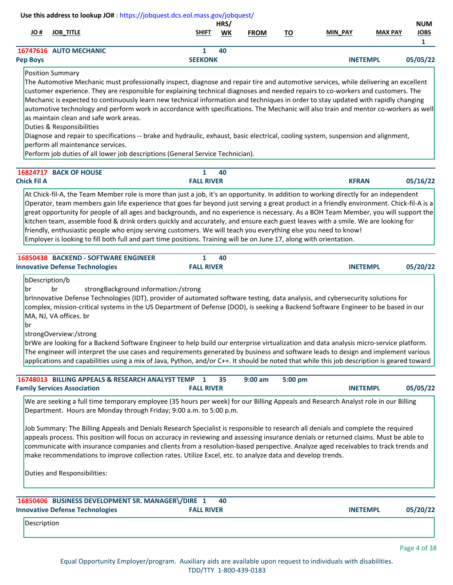|                                   | Use this address to lookup JO#: https://jobquest.dcs.eol.mass.gov/jobquest/                                                                                                                                                                                                                                                                                                                                                                                                                                                                                                                                                                                                                                                                                                                                                                                                                                           |                                   |            |             |           |                 |                |                                           |
|-----------------------------------|-----------------------------------------------------------------------------------------------------------------------------------------------------------------------------------------------------------------------------------------------------------------------------------------------------------------------------------------------------------------------------------------------------------------------------------------------------------------------------------------------------------------------------------------------------------------------------------------------------------------------------------------------------------------------------------------------------------------------------------------------------------------------------------------------------------------------------------------------------------------------------------------------------------------------|-----------------------------------|------------|-------------|-----------|-----------------|----------------|-------------------------------------------|
| # OL                              | <b>JOB_TITLE</b>                                                                                                                                                                                                                                                                                                                                                                                                                                                                                                                                                                                                                                                                                                                                                                                                                                                                                                      | SHIFT                             | HRS/<br>WK | <b>FROM</b> | <u>TO</u> | MIN_PAY         | <b>MAX PAY</b> | <b>NUM</b><br><b>JOBS</b><br>$\mathbf{1}$ |
| <b>Pep Boys</b>                   | 16747616 AUTO MECHANIC                                                                                                                                                                                                                                                                                                                                                                                                                                                                                                                                                                                                                                                                                                                                                                                                                                                                                                | $\mathbf{1}$<br><b>SEEKONK</b>    | 40         |             |           | <b>INETEMPL</b> |                | 05/05/22                                  |
|                                   | <b>Position Summary</b><br>The Automotive Mechanic must professionally inspect, diagnose and repair tire and automotive services, while delivering an excellent<br>customer experience. They are responsible for explaining technical diagnoses and needed repairs to co-workers and customers. The<br>Mechanic is expected to continuously learn new technical information and techniques in order to stay updated with rapidly changing<br>automotive technology and perform work in accordance with specifications. The Mechanic will also train and mentor co-workers as well<br>as maintain clean and safe work areas.<br>Duties & Responsibilities<br>Diagnose and repair to specifications -- brake and hydraulic, exhaust, basic electrical, cooling system, suspension and alignment,<br>perform all maintenance services.<br>Perform job duties of all lower job descriptions (General Service Technician). |                                   |            |             |           |                 |                |                                           |
| <b>Chick Fil A</b>                | 16824717 BACK OF HOUSE                                                                                                                                                                                                                                                                                                                                                                                                                                                                                                                                                                                                                                                                                                                                                                                                                                                                                                | 1<br><b>FALL RIVER</b>            | 40         |             |           | <b>KFRAN</b>    |                | 05/16/22                                  |
|                                   | At Chick-fil-A, the Team Member role is more than just a job, it's an opportunity. In addition to working directly for an independent<br>Operator, team members gain life experience that goes far beyond just serving a great product in a friendly environment. Chick-fil-A is a<br>great opportunity for people of all ages and backgrounds, and no experience is necessary. As a BOH Team Member, you will support the<br>kitchen team, assemble food & drink orders quickly and accurately, and ensure each guest leaves with a smile. We are looking for<br>friendly, enthusiastic people who enjoy serving customers. We will teach you everything else you need to know!<br>Employer is looking to fill both full and part time positions. Training will be on June 17, along with orientation.                                                                                                               |                                   |            |             |           |                 |                |                                           |
|                                   | 16850438 BACKEND - SOFTWARE ENGINEER<br><b>Innovative Defense Technologies</b>                                                                                                                                                                                                                                                                                                                                                                                                                                                                                                                                                                                                                                                                                                                                                                                                                                        | $\mathbf{1}$<br><b>FALL RIVER</b> | 40         |             |           | <b>INETEMPL</b> |                | 05/20/22                                  |
| bDescription/b<br><b>br</b><br>br | br<br>strongBackground information:/strong<br>brInnovative Defense Technologies (IDT), provider of automated software testing, data analysis, and cybersecurity solutions for<br>complex, mission-critical systems in the US Department of Defense (DOD), is seeking a Backend Software Engineer to be based in our<br>MA, NJ, VA offices. br<br>strongOverview:/strong<br>brWe are looking for a Backend Software Engineer to help build our enterprise virtualization and data analysis micro-service platform.<br>The engineer will interpret the use cases and requirements generated by business and software leads to design and implement various<br>applications and capabilities using a mix of Java, Python, and/or C++. It should be noted that while this job description is geared toward                                                                                                                |                                   |            |             |           |                 |                |                                           |
|                                   | 16748013 BILLING APPEALS & RESEARCH ANALYST TEMP<br><b>Family Services Association</b>                                                                                                                                                                                                                                                                                                                                                                                                                                                                                                                                                                                                                                                                                                                                                                                                                                | $\mathbf{1}$<br><b>FALL RIVER</b> | 35         | $9:00$ am   | 5:00 pm   | <b>INETEMPL</b> |                | 05/05/22                                  |
| Description                       | We are seeking a full time temporary employee (35 hours per week) for our Billing Appeals and Research Analyst role in our Billing<br>Department. Hours are Monday through Friday; 9:00 a.m. to 5:00 p.m.<br>Job Summary: The Billing Appeals and Denials Research Specialist is responsible to research all denials and complete the required<br>appeals process. This position will focus on accuracy in reviewing and assessing insurance denials or returned claims. Must be able to<br>communicate with insurance companies and clients from a resolution-based perspective. Analyze aged receivables to track trends and<br>make recommendations to improve collection rates. Utilize Excel, etc. to analyze data and develop trends.<br><b>Duties and Responsibilities:</b><br>16850406 BUSINESS DEVELOPMENT SR. MANAGER\/DIRE 1<br><b>Innovative Defense Technologies</b>                                     | <b>FALL RIVER</b>                 | 40         |             |           | <b>INETEMPL</b> |                | 05/20/22                                  |
|                                   |                                                                                                                                                                                                                                                                                                                                                                                                                                                                                                                                                                                                                                                                                                                                                                                                                                                                                                                       |                                   |            |             |           |                 |                |                                           |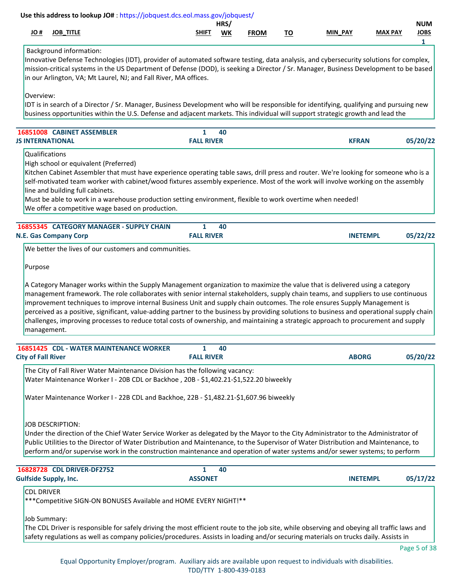|                           | Use this address to lookup JO#: https://jobquest.dcs.eol.mass.gov/jobquest/                                                                                                                                                                                                                                                                                                                                                                                                                                                                                                                                                                                                                       |                        |            |             |           |                 |                |                                |
|---------------------------|---------------------------------------------------------------------------------------------------------------------------------------------------------------------------------------------------------------------------------------------------------------------------------------------------------------------------------------------------------------------------------------------------------------------------------------------------------------------------------------------------------------------------------------------------------------------------------------------------------------------------------------------------------------------------------------------------|------------------------|------------|-------------|-----------|-----------------|----------------|--------------------------------|
| H OL                      | <b>JOB_TITLE</b>                                                                                                                                                                                                                                                                                                                                                                                                                                                                                                                                                                                                                                                                                  | SHIFT                  | HRS/<br>WK | <b>FROM</b> | <u>TO</u> | MIN PAY         | <b>MAX PAY</b> | <b>NUM</b><br><b>JOBS</b><br>1 |
|                           | <b>Background information:</b><br>Innovative Defense Technologies (IDT), provider of automated software testing, data analysis, and cybersecurity solutions for complex,<br>mission-critical systems in the US Department of Defense (DOD), is seeking a Director / Sr. Manager, Business Development to be based<br>in our Arlington, VA; Mt Laurel, NJ; and Fall River, MA offices.                                                                                                                                                                                                                                                                                                             |                        |            |             |           |                 |                |                                |
| Overview:                 | IDT is in search of a Director / Sr. Manager, Business Development who will be responsible for identifying, qualifying and pursuing new<br>business opportunities within the U.S. Defense and adjacent markets. This individual will support strategic growth and lead the                                                                                                                                                                                                                                                                                                                                                                                                                        |                        |            |             |           |                 |                |                                |
|                           | 16851008 CABINET ASSEMBLER<br><b>JS INTERNATIONAL</b>                                                                                                                                                                                                                                                                                                                                                                                                                                                                                                                                                                                                                                             | 1<br><b>FALL RIVER</b> | 40         |             |           | <b>KFRAN</b>    |                | 05/20/22                       |
|                           | Qualifications<br>High school or equivalent (Preferred)<br>Kitchen Cabinet Assembler that must have experience operating table saws, drill press and router. We're looking for someone who is a<br>self-motivated team worker with cabinet/wood fixtures assembly experience. Most of the work will involve working on the assembly<br>line and building full cabinets.<br>Must be able to work in a warehouse production setting environment, flexible to work overtime when needed!<br>We offer a competitive wage based on production.                                                                                                                                                         |                        |            |             |           |                 |                |                                |
|                           | 16855345 CATEGORY MANAGER - SUPPLY CHAIN<br><b>N.E. Gas Company Corp</b>                                                                                                                                                                                                                                                                                                                                                                                                                                                                                                                                                                                                                          | 1<br><b>FALL RIVER</b> | 40         |             |           | <b>INETEMPL</b> |                | 05/22/22                       |
|                           | We better the lives of our customers and communities.                                                                                                                                                                                                                                                                                                                                                                                                                                                                                                                                                                                                                                             |                        |            |             |           |                 |                |                                |
|                           | A Category Manager works within the Supply Management organization to maximize the value that is delivered using a category<br>management framework. The role collaborates with senior internal stakeholders, supply chain teams, and suppliers to use continuous<br>improvement techniques to improve internal Business Unit and supply chain outcomes. The role ensures Supply Management is<br>perceived as a positive, significant, value-adding partner to the business by providing solutions to business and operational supply chain<br>challenges, improving processes to reduce total costs of ownership, and maintaining a strategic approach to procurement and supply<br>management. |                        |            |             |           |                 |                |                                |
| <b>City of Fall River</b> | 16851425 CDL - WATER MAINTENANCE WORKER                                                                                                                                                                                                                                                                                                                                                                                                                                                                                                                                                                                                                                                           | 1<br><b>FALL RIVER</b> | 40         |             |           | <b>ABORG</b>    |                | 05/20/22                       |
|                           | The City of Fall River Water Maintenance Division has the following vacancy:<br>Water Maintenance Worker I - 20B CDL or Backhoe, 20B - \$1,402.21-\$1,522.20 biweekly                                                                                                                                                                                                                                                                                                                                                                                                                                                                                                                             |                        |            |             |           |                 |                |                                |
|                           | Water Maintenance Worker I - 22B CDL and Backhoe, 22B - \$1,482.21-\$1,607.96 biweekly                                                                                                                                                                                                                                                                                                                                                                                                                                                                                                                                                                                                            |                        |            |             |           |                 |                |                                |
|                           | <b>JOB DESCRIPTION:</b><br>Under the direction of the Chief Water Service Worker as delegated by the Mayor to the City Administrator to the Administrator of<br>Public Utilities to the Director of Water Distribution and Maintenance, to the Supervisor of Water Distribution and Maintenance, to<br>perform and/or supervise work in the construction maintenance and operation of water systems and/or sewer systems; to perform                                                                                                                                                                                                                                                              |                        |            |             |           |                 |                |                                |
|                           | 16828728 CDL DRIVER-DF2752<br><b>Gulfside Supply, Inc.</b>                                                                                                                                                                                                                                                                                                                                                                                                                                                                                                                                                                                                                                        | 1<br><b>ASSONET</b>    | 40         |             |           | <b>INETEMPL</b> |                | 05/17/22                       |
| <b>CDL DRIVER</b>         | *** Competitive SIGN-ON BONUSES Available and HOME EVERY NIGHT!**                                                                                                                                                                                                                                                                                                                                                                                                                                                                                                                                                                                                                                 |                        |            |             |           |                 |                |                                |
|                           | Job Summary:<br>The CDL Driver is responsible for safely driving the most efficient route to the job site, while observing and obeying all traffic laws and<br>safety regulations as well as company policies/procedures. Assists in loading and/or securing materials on trucks daily. Assists in                                                                                                                                                                                                                                                                                                                                                                                                |                        |            |             |           |                 |                |                                |
|                           |                                                                                                                                                                                                                                                                                                                                                                                                                                                                                                                                                                                                                                                                                                   |                        |            |             |           |                 |                | Page 5 of 38                   |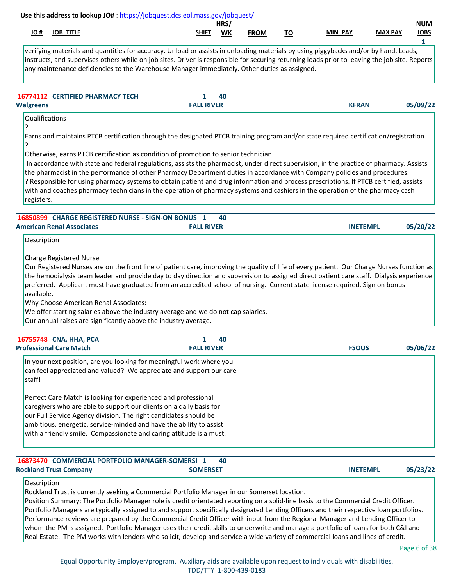# **JO # JOB\_TITLE SHIFT WK MIN\_PAY MAX PAY JOBS HRS/ NUM FROM TO Use this address to lookup JO#** [: https://jobquest.dcs.eol.mass.gov/jobquest/](https://jobquest.dcs.eol.mass.gov/jobquest/)   **1** verifying materials and quantities for accuracy. Unload or assists in unloading materials by using piggybacks and/or by hand. Leads, instructs, and supervises others while on job sites. Driver is responsible for securing returning loads prior to leaving the job site. Reports any maintenance deficiencies to the Warehouse Manager immediately. Other duties as assigned. **16774112 CERTIFIED PHARMACY TECH 1 05/09/22 40** Qualifications ? Earns and maintains PTCB certification through the designated PTCB training program and/or state required certification/registration ? Otherwise, earns PTCB certification as condition of promotion to senior technician In accordance with state and federal regulations, assists the pharmacist, under direct supervision, in the practice of pharmacy. Assists the pharmacist in the performance of other Pharmacy Department duties in accordance with Company policies and procedures. ? Responsible for using pharmacy systems to obtain patient and drug information and process prescriptions. If PTCB certified, assists with and coaches pharmacy technicians in the operation of pharmacy systems and cashiers in the operation of the pharmacy cash registers. **Walgreens FALL RIVER KFRAN  [16850899](https://jobquest.dcs.eol.mass.gov/jobquest/NewJobDetails.aspx?jo=16850899) 1 CHARGE REGISTERED NURSE - SIGN-ON BONUS 05/20/22 40** Description Charge Registered Nurse Our Registered Nurses are on the front line of patient care, improving the quality of life of every patient. Our Charge Nurses function as the hemodialysis team leader and provide day to day direction and supervision to assigned direct patient care staff. Dialysis experience preferred. Applicant must have graduated from an accredited school of nursing. Current state license required. Sign on bonus available. Why Choose American Renal Associates: We offer starting salaries above the industry average and we do not cap salaries. Our annual raises are significantly above the industry average. **American Renal Associates FALL RIVER INETEMPL  [16755748](https://jobquest.dcs.eol.mass.gov/jobquest/NewJobDetails.aspx?jo=16755748) 1 CNA, HHA, PCA 05/06/22 40** In your next position, are you looking for meaningful work where you can feel appreciated and valued? We appreciate and support our care staff! Perfect Care Match is looking for experienced and professional caregivers who are able to support our clients on a daily basis for our Full Service Agency division. The right candidates should be ambitious, energetic, service-minded and have the ability to assist with a friendly smile. Compassionate and caring attitude is a must. **Professional Care Match FALL RIVER FSOUS** 16873470 COMMERCIAL PORTFOLIO MANAGER-SOMERSI<sup>1</sup> **05/23/22 40** Description Rockland Trust is currently seeking a Commercial Portfolio Manager in our Somerset location. **Rockland Trust Company <b>SOMERSET INETEMPL**

Position Summary: The Portfolio Manager role is credit orientated reporting on a solid-line basis to the Commercial Credit Officer. Portfolio Managers are typically assigned to and support specifically designated Lending Officers and their respective loan portfolios. Performance reviews are prepared by the Commercial Credit Officer with input from the Regional Manager and Lending Officer to whom the PM is assigned. Portfolio Manager uses their credit skills to underwrite and manage a portfolio of loans for both C&I and Real Estate. The PM works with lenders who solicit, develop and service a wide variety of commercial loans and lines of credit.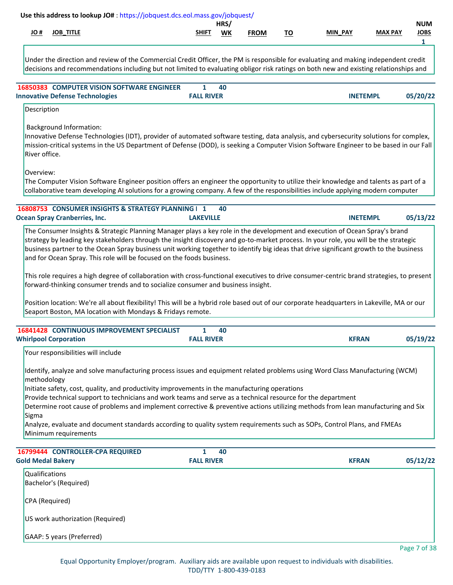|      |                  | Use this address to lookup JO#: https://jobquest.dcs.eol.mass.gov/jobquest/ |            |             |    |                |                |                           |
|------|------------------|-----------------------------------------------------------------------------|------------|-------------|----|----------------|----------------|---------------------------|
| H OL | <b>JOB TITLE</b> | <u>SHIFT</u>                                                                | HRS/<br>WK | <b>FROM</b> | ΤО | <b>MIN PAY</b> | <b>MAX PAY</b> | <b>NUM</b><br><b>JOBS</b> |
|      |                  |                                                                             |            |             |    |                |                |                           |

Under the direction and review of the Commercial Credit Officer, the PM is responsible for evaluating and making independent credit decisions and recommendations including but not limited to evaluating obligor risk ratings on both new and existing relationships and

| <b>16850383 COMPUTER VISION SOFTWARE ENGINEER</b> |                   | 40 |                 |          |
|---------------------------------------------------|-------------------|----|-----------------|----------|
| <b>Innovative Defense Technologies</b>            | <b>FALL RIVER</b> |    | <b>INETEMPL</b> | 05/20/22 |

# Description

Background Information:

Innovative Defense Technologies (IDT), provider of automated software testing, data analysis, and cybersecurity solutions for complex, mission-critical systems in the US Department of Defense (DOD), is seeking a Computer Vision Software Engineer to be based in our Fall River office.

Overview:

The Computer Vision Software Engineer position offers an engineer the opportunity to utilize their knowledge and talents as part of a collaborative team developing AI solutions for a growing company. A few of the responsibilities include applying modern computer

| 16808753 CONSUMER INSIGHTS & STRATEGY PLANNING   1 |                  | 40 |                 |          |
|----------------------------------------------------|------------------|----|-----------------|----------|
| <b>Ocean Spray Cranberries, Inc.</b>               | <b>LAKEVILLE</b> |    | <b>INETEMPL</b> | 05/13/22 |

The Consumer Insights & Strategic Planning Manager plays a key role in the development and execution of Ocean Spray's brand strategy by leading key stakeholders through the insight discovery and go-to-market process. In your role, you will be the strategic business partner to the Ocean Spray business unit working together to identify big ideas that drive significant growth to the business and for Ocean Spray. This role will be focused on the foods business.

This role requires a high degree of collaboration with cross-functional executives to drive consumer-centric brand strategies, to present forward-thinking consumer trends and to socialize consumer and business insight.

Position location: We're all about flexibility! This will be a hybrid role based out of our corporate headquarters in Lakeville, MA or our Seaport Boston, MA location with Mondays & Fridays remote.

| <b>FALL RIVER</b><br><b>KFRAN</b> |
|-----------------------------------|

Your responsibilities will include

Identify, analyze and solve manufacturing process issues and equipment related problems using Word Class Manufacturing (WCM) methodology

Initiate safety, cost, quality, and productivity improvements in the manufacturing operations

Provide technical support to technicians and work teams and serve as a technical resource for the department

Determine root cause of problems and implement corrective & preventive actions utilizing methods from lean manufacturing and Six Sigma

Analyze, evaluate and document standards according to quality system requirements such as SOPs, Control Plans, and FMEAs Minimum requirements

| 16799444 CONTROLLER-CPA REQUIRED<br><b>Gold Medal Bakery</b> | 40<br><b>FALL RIVER</b> | <b>KFRAN</b> | 05/12/22        |
|--------------------------------------------------------------|-------------------------|--------------|-----------------|
| <b>Qualifications</b><br>Bachelor's (Required)               |                         |              |                 |
| CPA (Required)                                               |                         |              |                 |
| US work authorization (Required)                             |                         |              |                 |
| GAAP: 5 years (Preferred)                                    |                         |              | $D = -27 - 620$ |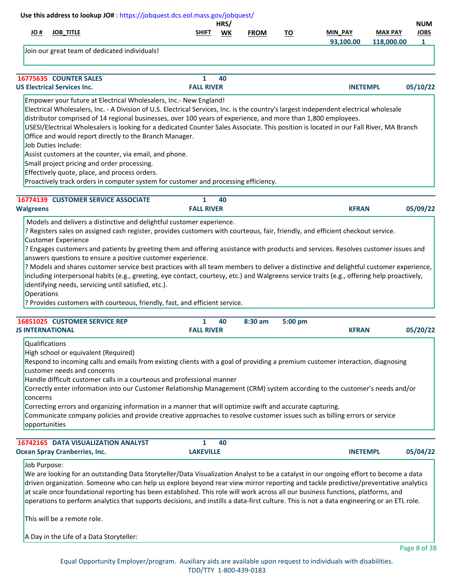| # JO                                        | <b>JOB_TITLE</b>                                                                                                                                                                                                                                                                                                                                                                                                                                                                                                                                                                                                                                                                                                                                                                                         | <b>SHIFT</b>           | HRS/<br>WK | <b>FROM</b> |           | MIN_PAY         | <b>MAX PAY</b> | <b>NUM</b><br><b>JOBS</b> |
|---------------------------------------------|----------------------------------------------------------------------------------------------------------------------------------------------------------------------------------------------------------------------------------------------------------------------------------------------------------------------------------------------------------------------------------------------------------------------------------------------------------------------------------------------------------------------------------------------------------------------------------------------------------------------------------------------------------------------------------------------------------------------------------------------------------------------------------------------------------|------------------------|------------|-------------|-----------|-----------------|----------------|---------------------------|
|                                             |                                                                                                                                                                                                                                                                                                                                                                                                                                                                                                                                                                                                                                                                                                                                                                                                          |                        |            |             | <u>TO</u> | 93,100.00       | 118,000.00     | $\mathbf{1}$              |
|                                             | Join our great team of dedicated individuals!                                                                                                                                                                                                                                                                                                                                                                                                                                                                                                                                                                                                                                                                                                                                                            |                        |            |             |           |                 |                |                           |
|                                             | 16775635 COUNTER SALES                                                                                                                                                                                                                                                                                                                                                                                                                                                                                                                                                                                                                                                                                                                                                                                   | 1                      | 40         |             |           |                 |                |                           |
|                                             | <b>US Electrical Services Inc.</b>                                                                                                                                                                                                                                                                                                                                                                                                                                                                                                                                                                                                                                                                                                                                                                       | <b>FALL RIVER</b>      |            |             |           | <b>INETEMPL</b> |                | 05/10/22                  |
|                                             | Empower your future at Electrical Wholesalers, Inc.- New England!<br>Electrical Wholesalers, Inc. - A Division of U.S. Electrical Services, Inc. is the country's largest independent electrical wholesale<br>distributor comprised of 14 regional businesses, over 100 years of experience, and more than 1,800 employees.<br>USESI/Electrical Wholesalers is looking for a dedicated Counter Sales Associate. This position is located in our Fall River, MA Branch<br>Office and would report directly to the Branch Manager.<br>Job Duties Include:<br>Assist customers at the counter, via email, and phone.<br>Small project pricing and order processing.<br>Effectively quote, place, and process orders.<br>Proactively track orders in computer system for customer and processing efficiency. |                        |            |             |           |                 |                |                           |
|                                             | 16774139 CUSTOMER SERVICE ASSOCIATE                                                                                                                                                                                                                                                                                                                                                                                                                                                                                                                                                                                                                                                                                                                                                                      | $\mathbf{1}$           | 40         |             |           |                 |                |                           |
| <b>Walgreens</b>                            |                                                                                                                                                                                                                                                                                                                                                                                                                                                                                                                                                                                                                                                                                                                                                                                                          | <b>FALL RIVER</b>      |            |             |           | <b>KFRAN</b>    |                | 05/09/22                  |
| Operations                                  | including interpersonal habits (e.g., greeting, eye contact, courtesy, etc.) and Walgreens service traits (e.g., offering help proactively,<br>identifying needs, servicing until satisfied, etc.).<br>? Provides customers with courteous, friendly, fast, and efficient service.<br>16851025 CUSTOMER SERVICE REP                                                                                                                                                                                                                                                                                                                                                                                                                                                                                      |                        |            |             |           |                 |                |                           |
|                                             |                                                                                                                                                                                                                                                                                                                                                                                                                                                                                                                                                                                                                                                                                                                                                                                                          |                        |            |             |           |                 |                |                           |
| <b>JS INTERNATIONAL</b>                     |                                                                                                                                                                                                                                                                                                                                                                                                                                                                                                                                                                                                                                                                                                                                                                                                          | 1<br><b>FALL RIVER</b> | 40         | $8:30$ am   | 5:00 pm   | <b>KFRAN</b>    |                | 05/20/22                  |
| Qualifications<br>concerns<br>opportunities | High school or equivalent (Required)<br>Respond to incoming calls and emails from existing clients with a goal of providing a premium customer interaction, diagnosing<br>customer needs and concerns<br>Handle difficult customer calls in a courteous and professional manner<br>Correctly enter information into our Customer Relationship Management (CRM) system according to the customer's needs and/or<br>Correcting errors and organizing information in a manner that will optimize swift and accurate capturing.<br>Communicate company policies and provide creative approaches to resolve customer issues such as billing errors or service                                                                                                                                                 |                        |            |             |           |                 |                |                           |
|                                             | 16742165 DATA VISUALIZATION ANALYST<br><b>Ocean Spray Cranberries, Inc.</b>                                                                                                                                                                                                                                                                                                                                                                                                                                                                                                                                                                                                                                                                                                                              | 1<br><b>LAKEVILLE</b>  | 40         |             |           | <b>INETEMPL</b> |                | 05/04/22                  |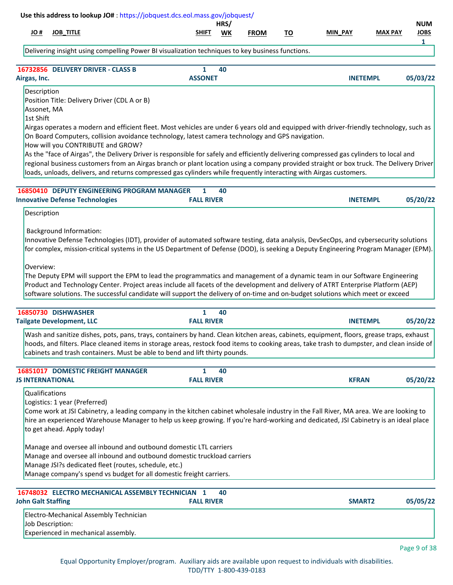|                                         |                                                             | Use this address to lookup JO#: https://jobquest.dcs.eol.mass.gov/jobquest/                                                                                                                                                                                                                                                                                                                                                                                                                                                                                                                                                                                                      |                   | HRS/ |             |           |                 |                | <b>NUM</b>       |
|-----------------------------------------|-------------------------------------------------------------|----------------------------------------------------------------------------------------------------------------------------------------------------------------------------------------------------------------------------------------------------------------------------------------------------------------------------------------------------------------------------------------------------------------------------------------------------------------------------------------------------------------------------------------------------------------------------------------------------------------------------------------------------------------------------------|-------------------|------|-------------|-----------|-----------------|----------------|------------------|
| # OL                                    | <b>JOB_TITLE</b>                                            |                                                                                                                                                                                                                                                                                                                                                                                                                                                                                                                                                                                                                                                                                  | SHIFT             | WK   | <b>FROM</b> | <u>TO</u> | MIN PAY         | <b>MAX PAY</b> | <b>JOBS</b><br>1 |
|                                         |                                                             | Delivering insight using compelling Power BI visualization techniques to key business functions.                                                                                                                                                                                                                                                                                                                                                                                                                                                                                                                                                                                 |                   |      |             |           |                 |                |                  |
|                                         | 16732856 DELIVERY DRIVER - CLASS B                          |                                                                                                                                                                                                                                                                                                                                                                                                                                                                                                                                                                                                                                                                                  | 1                 | 40   |             |           |                 |                |                  |
| Airgas, Inc.                            |                                                             |                                                                                                                                                                                                                                                                                                                                                                                                                                                                                                                                                                                                                                                                                  | <b>ASSONET</b>    |      |             |           | <b>INETEMPL</b> |                | 05/03/22         |
| Description<br>Assonet, MA<br>1st Shift |                                                             | Position Title: Delivery Driver (CDL A or B)<br>Airgas operates a modern and efficient fleet. Most vehicles are under 6 years old and equipped with driver-friendly technology, such as                                                                                                                                                                                                                                                                                                                                                                                                                                                                                          |                   |      |             |           |                 |                |                  |
|                                         |                                                             | On Board Computers, collision avoidance technology, latest camera technology and GPS navigation.<br>How will you CONTRIBUTE and GROW?<br>As the "face of Airgas", the Delivery Driver is responsible for safely and efficiently delivering compressed gas cylinders to local and<br>regional business customers from an Airgas branch or plant location using a company provided straight or box truck. The Delivery Driver<br>loads, unloads, delivers, and returns compressed gas cylinders while frequently interacting with Airgas customers.                                                                                                                                |                   |      |             |           |                 |                |                  |
|                                         |                                                             | 16850410 DEPUTY ENGINEERING PROGRAM MANAGER                                                                                                                                                                                                                                                                                                                                                                                                                                                                                                                                                                                                                                      | $\mathbf{1}$      | 40   |             |           |                 |                |                  |
| Description                             | <b>Innovative Defense Technologies</b>                      |                                                                                                                                                                                                                                                                                                                                                                                                                                                                                                                                                                                                                                                                                  | <b>FALL RIVER</b> |      |             |           | <b>INETEMPL</b> |                | 05/20/22         |
| Overview:                               |                                                             | Innovative Defense Technologies (IDT), provider of automated software testing, data analysis, DevSecOps, and cybersecurity solutions<br>for complex, mission-critical systems in the US Department of Defense (DOD), is seeking a Deputy Engineering Program Manager (EPM).<br>The Deputy EPM will support the EPM to lead the programmatics and management of a dynamic team in our Software Engineering<br>Product and Technology Center. Project areas include all facets of the development and delivery of ATRT Enterprise Platform (AEP)<br>software solutions. The successful candidate will support the delivery of on-time and on-budget solutions which meet or exceed |                   |      |             |           |                 |                |                  |
|                                         | 16850730 DISHWASHER                                         |                                                                                                                                                                                                                                                                                                                                                                                                                                                                                                                                                                                                                                                                                  | 1                 | 40   |             |           |                 |                |                  |
|                                         | <b>Tailgate Development, LLC</b>                            |                                                                                                                                                                                                                                                                                                                                                                                                                                                                                                                                                                                                                                                                                  | <b>FALL RIVER</b> |      |             |           | <b>INETEMPL</b> |                | 05/20/22         |
|                                         |                                                             | Wash and sanitize dishes, pots, pans, trays, containers by hand. Clean kitchen areas, cabinets, equipment, floors, grease traps, exhaust<br>hoods, and filters. Place cleaned items in storage areas, restock food items to cooking areas, take trash to dumpster, and clean inside of<br>cabinets and trash containers. Must be able to bend and lift thirty pounds.                                                                                                                                                                                                                                                                                                            |                   |      |             |           |                 |                |                  |
|                                         |                                                             | <b>16851017 DOMESTIC FREIGHT MANAGER</b>                                                                                                                                                                                                                                                                                                                                                                                                                                                                                                                                                                                                                                         | $\mathbf{1}$      | 40   |             |           |                 |                |                  |
| <b>JS INTERNATIONAL</b>                 |                                                             |                                                                                                                                                                                                                                                                                                                                                                                                                                                                                                                                                                                                                                                                                  | <b>FALL RIVER</b> |      |             |           | <b>KFRAN</b>    |                | 05/20/22         |
| Qualifications                          | Logistics: 1 year (Preferred)<br>to get ahead. Apply today! | Come work at JSI Cabinetry, a leading company in the kitchen cabinet wholesale industry in the Fall River, MA area. We are looking to<br>hire an experienced Warehouse Manager to help us keep growing. If you're hard-working and dedicated, JSI Cabinetry is an ideal place                                                                                                                                                                                                                                                                                                                                                                                                    |                   |      |             |           |                 |                |                  |
|                                         |                                                             | Manage and oversee all inbound and outbound domestic LTL carriers<br>Manage and oversee all inbound and outbound domestic truckload carriers<br>Manage JSI?s dedicated fleet (routes, schedule, etc.)<br>Manage company's spend vs budget for all domestic freight carriers.                                                                                                                                                                                                                                                                                                                                                                                                     |                   |      |             |           |                 |                |                  |
| <b>John Galt Staffing</b>               |                                                             | 16748032 ELECTRO MECHANICAL ASSEMBLY TECHNICIAN 1                                                                                                                                                                                                                                                                                                                                                                                                                                                                                                                                                                                                                                | <b>FALL RIVER</b> | 40   |             |           | <b>SMART2</b>   |                | 05/05/22         |
|                                         | Job Description:<br>Experienced in mechanical assembly.     | Electro-Mechanical Assembly Technician                                                                                                                                                                                                                                                                                                                                                                                                                                                                                                                                                                                                                                           |                   |      |             |           |                 |                |                  |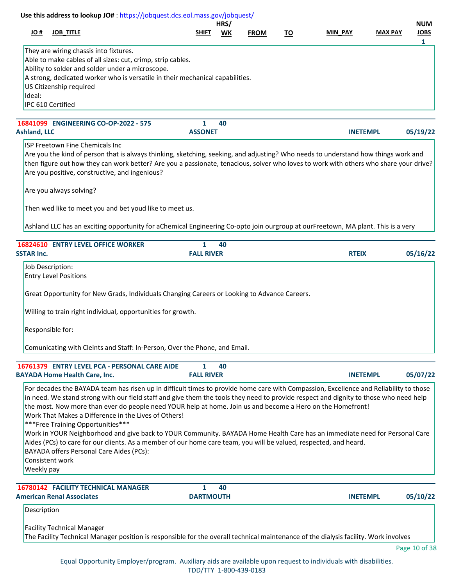| # OL                | Use this address to lookup JO#: https://jobquest.dcs.eol.mass.gov/jobquest/<br><b>JOB_TITLE</b>                                                                                                                                                                                                                                                                                                                                                                                                                                                                                                                                                                                                                                                     | <b>SHIFT</b>                      | HRS/<br>WK | <b>FROM</b> | <u>TO</u> | <b>MIN PAY</b> |                 | <b>MAX PAY</b> | <b>NUM</b><br><b>JOBS</b> |
|---------------------|-----------------------------------------------------------------------------------------------------------------------------------------------------------------------------------------------------------------------------------------------------------------------------------------------------------------------------------------------------------------------------------------------------------------------------------------------------------------------------------------------------------------------------------------------------------------------------------------------------------------------------------------------------------------------------------------------------------------------------------------------------|-----------------------------------|------------|-------------|-----------|----------------|-----------------|----------------|---------------------------|
| Ideal:              | They are wiring chassis into fixtures.<br>Able to make cables of all sizes: cut, crimp, strip cables.<br>Ability to solder and solder under a microscope.<br>A strong, dedicated worker who is versatile in their mechanical capabilities.<br>US Citizenship required<br>IPC 610 Certified                                                                                                                                                                                                                                                                                                                                                                                                                                                          |                                   |            |             |           |                |                 |                | $\mathbf{1}$              |
|                     | 16841099 ENGINEERING CO-OP-2022 - 575                                                                                                                                                                                                                                                                                                                                                                                                                                                                                                                                                                                                                                                                                                               | 1                                 | 40         |             |           |                |                 |                |                           |
| <b>Ashland, LLC</b> |                                                                                                                                                                                                                                                                                                                                                                                                                                                                                                                                                                                                                                                                                                                                                     | <b>ASSONET</b>                    |            |             |           |                | <b>INETEMPL</b> |                | 05/19/22                  |
|                     | ISP Freetown Fine Chemicals Inc<br>Are you the kind of person that is always thinking, sketching, seeking, and adjusting? Who needs to understand how things work and<br>then figure out how they can work better? Are you a passionate, tenacious, solver who loves to work with others who share your drive?<br>Are you positive, constructive, and ingenious?                                                                                                                                                                                                                                                                                                                                                                                    |                                   |            |             |           |                |                 |                |                           |
|                     | Are you always solving?                                                                                                                                                                                                                                                                                                                                                                                                                                                                                                                                                                                                                                                                                                                             |                                   |            |             |           |                |                 |                |                           |
|                     | Then wed like to meet you and bet youd like to meet us.                                                                                                                                                                                                                                                                                                                                                                                                                                                                                                                                                                                                                                                                                             |                                   |            |             |           |                |                 |                |                           |
|                     | Ashland LLC has an exciting opportunity for aChemical Engineering Co-opto join ourgroup at ourFreetown, MA plant. This is a very                                                                                                                                                                                                                                                                                                                                                                                                                                                                                                                                                                                                                    |                                   |            |             |           |                |                 |                |                           |
| <b>SSTAR Inc.</b>   | 16824610 ENTRY LEVEL OFFICE WORKER                                                                                                                                                                                                                                                                                                                                                                                                                                                                                                                                                                                                                                                                                                                  | $\mathbf{1}$<br><b>FALL RIVER</b> | 40         |             |           |                | <b>RTEIX</b>    |                | 05/16/22                  |
|                     | Job Description:<br><b>Entry Level Positions</b>                                                                                                                                                                                                                                                                                                                                                                                                                                                                                                                                                                                                                                                                                                    |                                   |            |             |           |                |                 |                |                           |
|                     | Great Opportunity for New Grads, Individuals Changing Careers or Looking to Advance Careers.                                                                                                                                                                                                                                                                                                                                                                                                                                                                                                                                                                                                                                                        |                                   |            |             |           |                |                 |                |                           |
|                     | Willing to train right individual, opportunities for growth.                                                                                                                                                                                                                                                                                                                                                                                                                                                                                                                                                                                                                                                                                        |                                   |            |             |           |                |                 |                |                           |
|                     | Responsible for:                                                                                                                                                                                                                                                                                                                                                                                                                                                                                                                                                                                                                                                                                                                                    |                                   |            |             |           |                |                 |                |                           |
|                     | Comunicating with Cleints and Staff: In-Person, Over the Phone, and Email.                                                                                                                                                                                                                                                                                                                                                                                                                                                                                                                                                                                                                                                                          |                                   |            |             |           |                |                 |                |                           |
|                     | 16761379 ENTRY LEVEL PCA - PERSONAL CARE AIDE                                                                                                                                                                                                                                                                                                                                                                                                                                                                                                                                                                                                                                                                                                       | 1                                 | 40         |             |           |                |                 |                |                           |
|                     | <b>BAYADA Home Health Care, Inc.</b>                                                                                                                                                                                                                                                                                                                                                                                                                                                                                                                                                                                                                                                                                                                | <b>FALL RIVER</b>                 |            |             |           |                | <b>INETEMPL</b> |                | 05/07/22                  |
|                     | For decades the BAYADA team has risen up in difficult times to provide home care with Compassion, Excellence and Reliability to those<br>in need. We stand strong with our field staff and give them the tools they need to provide respect and dignity to those who need help<br>the most. Now more than ever do people need YOUR help at home. Join us and become a Hero on the Homefront!<br>Work That Makes a Difference in the Lives of Others!<br><b>***Free Training Opportunities***</b><br>Work in YOUR Neighborhood and give back to YOUR Community. BAYADA Home Health Care has an immediate need for Personal Care<br>Aides (PCs) to care for our clients. As a member of our home care team, you will be valued, respected, and heard. |                                   |            |             |           |                |                 |                |                           |
| Weekly pay          | BAYADA offers Personal Care Aides (PCs):<br>Consistent work                                                                                                                                                                                                                                                                                                                                                                                                                                                                                                                                                                                                                                                                                         |                                   |            |             |           |                |                 |                |                           |
|                     | 16780142 FACILITY TECHNICAL MANAGER                                                                                                                                                                                                                                                                                                                                                                                                                                                                                                                                                                                                                                                                                                                 | $\mathbf{1}$                      | 40         |             |           |                |                 |                |                           |
| Description         | <b>American Renal Associates</b>                                                                                                                                                                                                                                                                                                                                                                                                                                                                                                                                                                                                                                                                                                                    | <b>DARTMOUTH</b>                  |            |             |           |                | <b>INETEMPL</b> |                | 05/10/22                  |
|                     |                                                                                                                                                                                                                                                                                                                                                                                                                                                                                                                                                                                                                                                                                                                                                     |                                   |            |             |           |                |                 |                |                           |
|                     | <b>Facility Technical Manager</b><br>The Facility Technical Manager position is responsible for the overall technical maintenance of the dialysis facility. Work involves                                                                                                                                                                                                                                                                                                                                                                                                                                                                                                                                                                           |                                   |            |             |           |                |                 |                |                           |
|                     |                                                                                                                                                                                                                                                                                                                                                                                                                                                                                                                                                                                                                                                                                                                                                     |                                   |            |             |           |                |                 |                | Page 10 of 38             |

Equal Opportunity Employer/program. Auxiliary aids are available upon request to individuals with disabilities. TDD/TTY 1-800-439-0183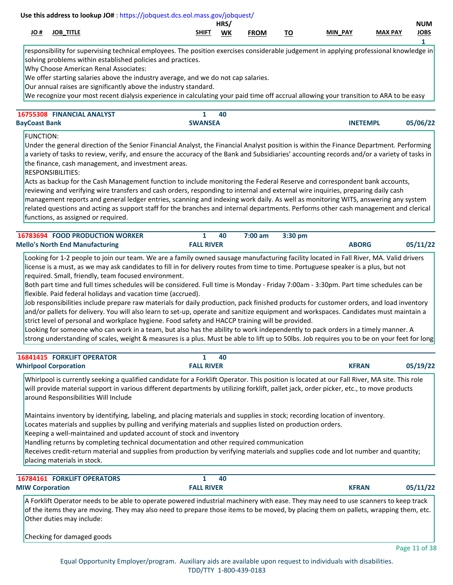|              |              |                        | HRS,      |             |                    |                          |                | <b>NUM</b>  |
|--------------|--------------|------------------------|-----------|-------------|--------------------|--------------------------|----------------|-------------|
| - 44<br>JU # | TITLE<br>IOB | <b>SHIF</b><br>_______ | <b>WK</b> | <b>FROM</b> | ÷.,<br>. v<br>____ | <b>PAY</b><br><b>MIN</b> | <b>MAX PAY</b> | <b>JOBS</b> |
|              |              |                        |           |             |                    |                          |                |             |

responsibility for supervising technical employees. The position exercises considerable judgement in applying professional knowledge in solving problems within established policies and practices.

Why Choose American Renal Associates:

We offer starting salaries above the industry average, and we do not cap salaries.

Our annual raises are significantly above the industry standard.

We recognize your most recent dialysis experience in calculating your paid time off accrual allowing your transition to ARA to be easy

| 16755308 FINANCIAL ANALYST |                | 40 |                 |          |
|----------------------------|----------------|----|-----------------|----------|
| <b>BayCoast Bank</b>       | <b>SWANSEA</b> |    | <b>INETEMPL</b> | 05/06/22 |

FUNCTION:

Under the general direction of the Senior Financial Analyst, the Financial Analyst position is within the Finance Department. Performing a variety of tasks to review, verify, and ensure the accuracy of the Bank and Subsidiaries' accounting records and/or a variety of tasks in the finance, cash management, and investment areas.

RESPONSIBILITIES:

Acts as backup for the Cash Management function to include monitoring the Federal Reserve and correspondent bank accounts, reviewing and verifying wire transfers and cash orders, responding to internal and external wire inquiries, preparing daily cash management reports and general ledger entries, scanning and indexing work daily. As well as monitoring WITS, answering any system related questions and acting as support staff for the branches and internal departments. Performs other cash management and clerical functions, as assigned or required.

| <b>16783694 FOOD PRODUCTION WORKER</b> |                   | - 40 | 7:00 am 3:30 pm |              |          |
|----------------------------------------|-------------------|------|-----------------|--------------|----------|
| <b>Mello's North End Manufacturing</b> | <b>FALL RIVER</b> |      |                 | <b>ABORG</b> | 05/11/22 |

Looking for 1-2 people to join our team. We are a family owned sausage manufacturing facility located in Fall River, MA. Valid drivers license is a must, as we may ask candidates to fill in for delivery routes from time to time. Portuguese speaker is a plus, but not required. Small, friendly, team focused environment.

Both part time and full times schedules will be considered. Full time is Monday - Friday 7:00am - 3:30pm. Part time schedules can be flexible. Paid federal holidays and vacation time (accrued).

Job responsibilities include prepare raw materials for daily production, pack finished products for customer orders, and load inventory and/or pallets for delivery. You will also learn to set-up, operate and sanitize equipment and workspaces. Candidates must maintain a strict level of personal and workplace hygiene. Food safety and HACCP training will be provided.

Looking for someone who can work in a team, but also has the ability to work independently to pack orders in a timely manner. A strong understanding of scales, weight & measures is a plus. Must be able to lift up to 50lbs. Job requires you to be on your feet for long

| <b>16841415 FORKLIFT OPERATOR</b> | 40                |              |          |
|-----------------------------------|-------------------|--------------|----------|
| <b>Whirlpool Corporation</b>      | <b>FALL RIVER</b> | <b>KFRAN</b> | 05/19/22 |

Whirlpool is currently seeking a qualified candidate for a Forklift Operator. This position is located at our Fall River, MA site. This role will provide material support in various different departments by utilizing forklift, pallet jack, order picker, etc., to move products around Responsibilities Will Include

Maintains inventory by identifying, labeling, and placing materials and supplies in stock; recording location of inventory.

Locates materials and supplies by pulling and verifying materials and supplies listed on production orders.

Keeping a well-maintained and updated account of stock and inventory

Handling returns by completing technical documentation and other required communication

Receives credit-return material and supplies from production by verifying materials and supplies code and lot number and quantity; placing materials in stock.

| <b>16784161 FORKLIFT OPERATORS</b>                                                                                                  |                   | -40 |              |          |
|-------------------------------------------------------------------------------------------------------------------------------------|-------------------|-----|--------------|----------|
| <b>MIW Corporation</b>                                                                                                              | <b>FALL RIVER</b> |     | <b>KFRAN</b> | 05/11/22 |
| A Forklift Operator needs to be able to operate powered industrial machinery with ease. They may need to use scanners to keep track |                   |     |              |          |

of the items they are moving. They may also need to prepare those items to be moved, by placing them on pallets, wrapping them, etc. Other duties may include:

Checking for damaged goods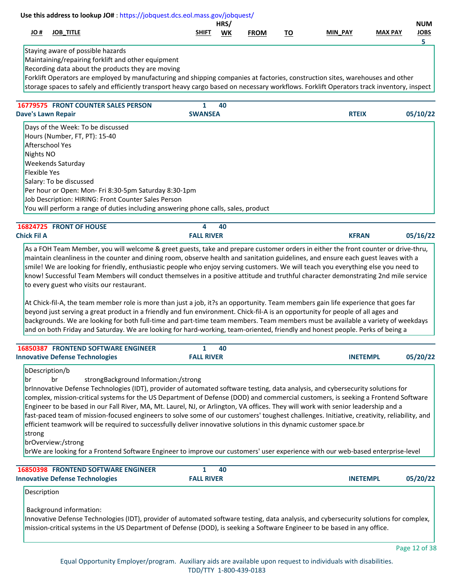|                     |                                                                                                                                                                                                                                                    |                   | HRS/ |             |           |                |                | <b>NUM</b>  |
|---------------------|----------------------------------------------------------------------------------------------------------------------------------------------------------------------------------------------------------------------------------------------------|-------------------|------|-------------|-----------|----------------|----------------|-------------|
| # OL                | <b>JOB_TITLE</b>                                                                                                                                                                                                                                   | <b>SHIFT</b>      | WK   | <b>FROM</b> | <u>TO</u> | <b>MIN PAY</b> | <b>MAX PAY</b> | <b>JOBS</b> |
|                     |                                                                                                                                                                                                                                                    |                   |      |             |           |                |                | 5           |
|                     | Staying aware of possible hazards                                                                                                                                                                                                                  |                   |      |             |           |                |                |             |
|                     | Maintaining/repairing forklift and other equipment                                                                                                                                                                                                 |                   |      |             |           |                |                |             |
|                     | Recording data about the products they are moving<br>Forklift Operators are employed by manufacturing and shipping companies at factories, construction sites, warehouses and other                                                                |                   |      |             |           |                |                |             |
|                     | storage spaces to safely and efficiently transport heavy cargo based on necessary workflows. Forklift Operators track inventory, inspect                                                                                                           |                   |      |             |           |                |                |             |
|                     |                                                                                                                                                                                                                                                    |                   |      |             |           |                |                |             |
|                     | 16779575 FRONT COUNTER SALES PERSON                                                                                                                                                                                                                | 1                 | 40   |             |           |                |                |             |
|                     | <b>Dave's Lawn Repair</b>                                                                                                                                                                                                                          | <b>SWANSEA</b>    |      |             |           | <b>RTEIX</b>   |                | 05/10/22    |
|                     | Days of the Week: To be discussed                                                                                                                                                                                                                  |                   |      |             |           |                |                |             |
|                     | Hours (Number, FT, PT): 15-40                                                                                                                                                                                                                      |                   |      |             |           |                |                |             |
|                     | Afterschool Yes                                                                                                                                                                                                                                    |                   |      |             |           |                |                |             |
| Nights NO           |                                                                                                                                                                                                                                                    |                   |      |             |           |                |                |             |
|                     | <b>Weekends Saturday</b>                                                                                                                                                                                                                           |                   |      |             |           |                |                |             |
| <b>Flexible Yes</b> |                                                                                                                                                                                                                                                    |                   |      |             |           |                |                |             |
|                     | Salary: To be discussed                                                                                                                                                                                                                            |                   |      |             |           |                |                |             |
|                     | Per hour or Open: Mon- Fri 8:30-5pm Saturday 8:30-1pm                                                                                                                                                                                              |                   |      |             |           |                |                |             |
|                     | Job Description: HIRING: Front Counter Sales Person                                                                                                                                                                                                |                   |      |             |           |                |                |             |
|                     | You will perform a range of duties including answering phone calls, sales, product                                                                                                                                                                 |                   |      |             |           |                |                |             |
|                     | 16824725 FRONT OF HOUSE                                                                                                                                                                                                                            | 4                 | 40   |             |           |                |                |             |
| <b>Chick Fil A</b>  |                                                                                                                                                                                                                                                    | <b>FALL RIVER</b> |      |             |           | <b>KFRAN</b>   |                | 05/16/22    |
|                     | As a FOH Team Member, you will welcome & greet guests, take and prepare customer orders in either the front counter or drive-thru,                                                                                                                 |                   |      |             |           |                |                |             |
|                     | maintain cleanliness in the counter and dining room, observe health and sanitation guidelines, and ensure each guest leaves with a                                                                                                                 |                   |      |             |           |                |                |             |
|                     | smile! We are looking for friendly, enthusiastic people who enjoy serving customers. We will teach you everything else you need to                                                                                                                 |                   |      |             |           |                |                |             |
|                     | know! Successful Team Members will conduct themselves in a positive attitude and truthful character demonstrating 2nd mile service                                                                                                                 |                   |      |             |           |                |                |             |
|                     | to every guest who visits our restaurant.                                                                                                                                                                                                          |                   |      |             |           |                |                |             |
|                     | At Chick-fil-A, the team member role is more than just a job, it?s an opportunity. Team members gain life experience that goes far                                                                                                                 |                   |      |             |           |                |                |             |
|                     | $\mathcal{L} = \mathcal{L} \cup \mathcal{L}$ , and the contract of the contract of the contract of the contract of the contract of the contract of the contract of the contract of the contract of the contract of the contract of the contract of |                   |      |             |           |                |                |             |

beyond just serving a great product in a friendly and fun environment. Chick-fil-A is an opportunity for people of all ages and backgrounds. We are looking for both full-time and part-time team members. Team members must be available a variety of weekdays and on both Friday and Saturday. We are looking for hard-working, team-oriented, friendly and honest people. Perks of being a

| <b>16850387 FRONTEND SOFTWARE ENGINEER</b> |                   | 40 |                 |          |
|--------------------------------------------|-------------------|----|-----------------|----------|
| <b>Innovative Defense Technologies</b>     | <b>FALL RIVER</b> |    | <b>INETEMPL</b> | 05/20/22 |

## bDescription/b

br br strongBackground Information:/strong

brInnovative Defense Technologies (IDT), provider of automated software testing, data analysis, and cybersecurity solutions for complex, mission-critical systems for the US Department of Defense (DOD) and commercial customers, is seeking a Frontend Software Engineer to be based in our Fall River, MA, Mt. Laurel, NJ, or Arlington, VA offices. They will work with senior leadership and a fast-paced team of mission-focused engineers to solve some of our customers' toughest challenges. Initiative, creativity, reliability, and efficient teamwork will be required to successfully deliver innovative solutions in this dynamic customer space.br strong

## brOverview:/strong

brWe are looking for a Frontend Software Engineer to improve our customers' user experience with our web-based enterprise-level

| <b>16850398 FRONTEND SOFTWARE ENGINEER</b> |                   | 40 |                 |          |
|--------------------------------------------|-------------------|----|-----------------|----------|
| <b>Innovative Defense Technologies</b>     | <b>FALL RIVER</b> |    | <b>INETEMPL</b> | 05/20/22 |

# Description

Background information:

Innovative Defense Technologies (IDT), provider of automated software testing, data analysis, and cybersecurity solutions for complex, mission-critical systems in the US Department of Defense (DOD), is seeking a Software Engineer to be based in any office.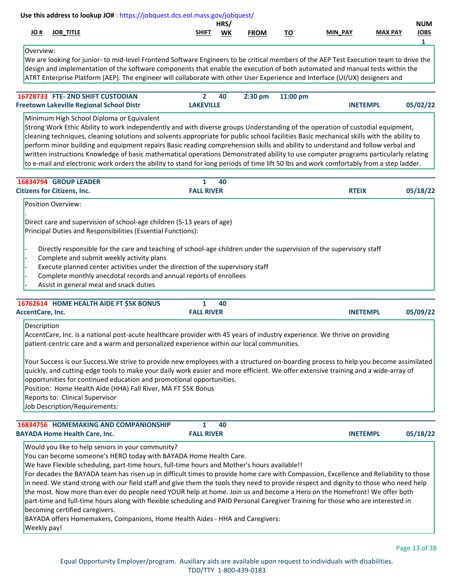|                                                                                 | Use this address to lookup JO#: https://jobquest.dcs.eol.mass.gov/jobquest/                                                                                                                                                                                                                                                                                                                                                                                                                                                                                                                                                                                                                                                                                                                                                                                |                   |            |             |           |                 |                |                                |
|---------------------------------------------------------------------------------|------------------------------------------------------------------------------------------------------------------------------------------------------------------------------------------------------------------------------------------------------------------------------------------------------------------------------------------------------------------------------------------------------------------------------------------------------------------------------------------------------------------------------------------------------------------------------------------------------------------------------------------------------------------------------------------------------------------------------------------------------------------------------------------------------------------------------------------------------------|-------------------|------------|-------------|-----------|-----------------|----------------|--------------------------------|
| # OL<br><b>JOB_TITLE</b>                                                        |                                                                                                                                                                                                                                                                                                                                                                                                                                                                                                                                                                                                                                                                                                                                                                                                                                                            | <b>SHIFT</b>      | HRS/<br>WK | <b>FROM</b> | <u>TO</u> | MIN PAY         | <b>MAX PAY</b> | <b>NUM</b><br><b>JOBS</b><br>1 |
| Overview:                                                                       | We are looking for junior- to mid-level Frontend Software Engineers to be critical members of the AEP Test Execution team to drive the<br>design and implementation of the software components that enable the execution of both automated and manual tests within the<br>ATRT Enterprise Platform (AEP). The engineer will collaborate with other User Experience and Interface (UI/UX) designers and                                                                                                                                                                                                                                                                                                                                                                                                                                                     |                   |            |             |           |                 |                |                                |
| 16728733 FTE-2ND SHIFT CUSTODIAN                                                |                                                                                                                                                                                                                                                                                                                                                                                                                                                                                                                                                                                                                                                                                                                                                                                                                                                            | $\mathbf{2}$      | 40         | 2:30 pm     | 11:00 pm  |                 |                |                                |
| <b>Freetown Lakeville Regional School Distr</b>                                 |                                                                                                                                                                                                                                                                                                                                                                                                                                                                                                                                                                                                                                                                                                                                                                                                                                                            | <b>LAKEVILLE</b>  |            |             |           | <b>INETEMPL</b> |                | 05/02/22                       |
|                                                                                 | Minimum High School Diploma or Equivalent<br>Strong Work Ethic Ability to work independently and with diverse groups Understanding of the operation of custodial equipment,<br>cleaning techniques, cleaning solutions and solvents appropriate for public school facilities Basic mechanical skills with the ability to<br>perform minor building and equipment repairs Basic reading comprehension skills and ability to understand and follow verbal and<br>written instructions Knowledge of basic mathematical operations Demonstrated ability to use computer programs particularly relating<br>to e-mail and electronic work orders the ability to stand for long periods of time lift 50 lbs and work comfortably from a step ladder.                                                                                                              |                   |            |             |           |                 |                |                                |
| 16834794 GROUP LEADER                                                           |                                                                                                                                                                                                                                                                                                                                                                                                                                                                                                                                                                                                                                                                                                                                                                                                                                                            | $\mathbf{1}$      | 40         |             |           |                 |                |                                |
| <b>Citizens for Citizens, Inc.</b>                                              |                                                                                                                                                                                                                                                                                                                                                                                                                                                                                                                                                                                                                                                                                                                                                                                                                                                            | <b>FALL RIVER</b> |            |             |           | <b>RTEIX</b>    |                | 05/18/22                       |
|                                                                                 | Principal Duties and Responsibilities (Essential Functions):<br>Directly responsible for the care and teaching of school-age children under the supervision of the supervisory staff<br>Complete and submit weekly activity plans<br>Execute planned center activities under the direction of the supervisory staff<br>Complete monthly anecdotal records and annual reports of enrollees<br>Assist in general meal and snack duties                                                                                                                                                                                                                                                                                                                                                                                                                       |                   |            |             |           |                 |                |                                |
|                                                                                 | 16762614 HOME HEALTH AIDE FT \$5K BONUS                                                                                                                                                                                                                                                                                                                                                                                                                                                                                                                                                                                                                                                                                                                                                                                                                    | 1                 | 40         |             |           |                 |                |                                |
| AccentCare, Inc.                                                                |                                                                                                                                                                                                                                                                                                                                                                                                                                                                                                                                                                                                                                                                                                                                                                                                                                                            | <b>FALL RIVER</b> |            |             |           | <b>INETEMPL</b> |                | 05/09/22                       |
| Description<br>Reports to: Clinical Supervisor<br>Job Description/Requirements: | AccentCare, Inc. is a national post-acute healthcare provider with 45 years of industry experience. We thrive on providing<br>patient-centric care and a warm and personalized experience within our local communities.<br>Your Success is our Success. We strive to provide new employees with a structured on-boarding process to help you become assimilated<br>quickly, and cutting-edge tools to make your daily work easier and more efficient. We offer extensive training and a wide-array of<br>opportunities for continued education and promotional opportunities.<br>Position: Home Health Aide (HHA) Fall River, MA FT \$5K Bonus                                                                                                                                                                                                             |                   |            |             |           |                 |                |                                |
|                                                                                 | 16834756 HOMEMAKING AND COMPANIONSHIP                                                                                                                                                                                                                                                                                                                                                                                                                                                                                                                                                                                                                                                                                                                                                                                                                      | 1                 | 40         |             |           |                 |                |                                |
| <b>BAYADA Home Health Care, Inc.</b>                                            |                                                                                                                                                                                                                                                                                                                                                                                                                                                                                                                                                                                                                                                                                                                                                                                                                                                            | <b>FALL RIVER</b> |            |             |           | <b>INETEMPL</b> |                | 05/18/22                       |
| becoming certified caregivers.<br>Weekly pay!                                   | Would you like to help seniors in your community?<br>You can become someone's HERO today with BAYADA Home Health Care.<br>We have Flexible scheduling, part-time hours, full-time hours and Mother's hours available!!<br>For decades the BAYADA team has risen up in difficult times to provide home care with Compassion, Excellence and Reliability to those<br>in need. We stand strong with our field staff and give them the tools they need to provide respect and dignity to those who need help<br>the most. Now more than ever do people need YOUR help at home. Join us and become a Hero on the Homefront! We offer both<br>part-time and full-time hours along with flexible scheduling and PAID Personal Caregiver Training for those who are interested in<br>BAYADA offers Homemakers, Companions, Home Health Aides - HHA and Caregivers: |                   |            |             |           |                 |                |                                |

Page 13 of 38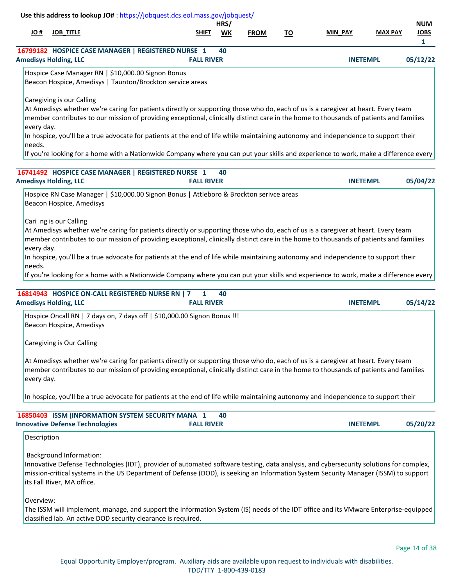|             | <b>JOB_TITLE</b>                                                                                                                                                                                                                                                                                      | <b>SHIFT</b>                      | HRS/<br><b>WK</b> | <b>FROM</b> | TO | <b>MIN PAY</b>  | <b>MAX PAY</b> | <b>NUM</b><br><b>JOBS</b> |
|-------------|-------------------------------------------------------------------------------------------------------------------------------------------------------------------------------------------------------------------------------------------------------------------------------------------------------|-----------------------------------|-------------------|-------------|----|-----------------|----------------|---------------------------|
|             | 16799182 HOSPICE CASE MANAGER   REGISTERED NURSE 1                                                                                                                                                                                                                                                    |                                   | 40                |             |    |                 |                | $\mathbf{1}$              |
|             | <b>Amedisys Holding, LLC</b>                                                                                                                                                                                                                                                                          | <b>FALL RIVER</b>                 |                   |             |    | <b>INETEMPL</b> |                | 05/12/22                  |
|             | Hospice Case Manager RN   \$10,000.00 Signon Bonus<br>Beacon Hospice, Amedisys   Taunton/Brockton service areas                                                                                                                                                                                       |                                   |                   |             |    |                 |                |                           |
|             | Caregiving is our Calling                                                                                                                                                                                                                                                                             |                                   |                   |             |    |                 |                |                           |
| every day.  | At Amedisys whether we're caring for patients directly or supporting those who do, each of us is a caregiver at heart. Every team<br>member contributes to our mission of providing exceptional, clinically distinct care in the home to thousands of patients and families                           |                                   |                   |             |    |                 |                |                           |
| needs.      | In hospice, you'll be a true advocate for patients at the end of life while maintaining autonomy and independence to support their                                                                                                                                                                    |                                   |                   |             |    |                 |                |                           |
|             | If you're looking for a home with a Nationwide Company where you can put your skills and experience to work, make a difference every                                                                                                                                                                  |                                   |                   |             |    |                 |                |                           |
|             | 16741492 HOSPICE CASE MANAGER   REGISTERED NURSE 1                                                                                                                                                                                                                                                    |                                   | 40                |             |    |                 |                |                           |
|             | <b>Amedisys Holding, LLC</b>                                                                                                                                                                                                                                                                          | <b>FALL RIVER</b>                 |                   |             |    | <b>INETEMPL</b> |                | 05/04/22                  |
|             | Hospice RN Case Manager   \$10,000.00 Signon Bonus   Attleboro & Brockton serivce areas<br>Beacon Hospice, Amedisys                                                                                                                                                                                   |                                   |                   |             |    |                 |                |                           |
|             | Cari ng is our Calling<br>At Amedisys whether we're caring for patients directly or supporting those who do, each of us is a caregiver at heart. Every team<br>member contributes to our mission of providing exceptional, clinically distinct care in the home to thousands of patients and families |                                   |                   |             |    |                 |                |                           |
| every day.  |                                                                                                                                                                                                                                                                                                       |                                   |                   |             |    |                 |                |                           |
|             | In hospice, you'll be a true advocate for patients at the end of life while maintaining autonomy and independence to support their                                                                                                                                                                    |                                   |                   |             |    |                 |                |                           |
| needs.      | If you're looking for a home with a Nationwide Company where you can put your skills and experience to work, make a difference every                                                                                                                                                                  |                                   |                   |             |    |                 |                |                           |
|             |                                                                                                                                                                                                                                                                                                       |                                   |                   |             |    |                 |                |                           |
|             | 16814943 HOSPICE ON-CALL REGISTERED NURSE RN   7<br><b>Amedisys Holding, LLC</b>                                                                                                                                                                                                                      | $\mathbf{1}$<br><b>FALL RIVER</b> | 40                |             |    | <b>INETEMPL</b> |                | 05/14/22                  |
|             | Hospice Oncall RN   7 days on, 7 days off   \$10,000.00 Signon Bonus !!!<br>Beacon Hospice, Amedisys                                                                                                                                                                                                  |                                   |                   |             |    |                 |                |                           |
|             | Caregiving is Our Calling                                                                                                                                                                                                                                                                             |                                   |                   |             |    |                 |                |                           |
| every day.  | At Amedisys whether we're caring for patients directly or supporting those who do, each of us is a caregiver at heart. Every team<br>member contributes to our mission of providing exceptional, clinically distinct care in the home to thousands of patients and families                           |                                   |                   |             |    |                 |                |                           |
|             | In hospice, you'll be a true advocate for patients at the end of life while maintaining autonomy and independence to support their                                                                                                                                                                    |                                   |                   |             |    |                 |                |                           |
|             |                                                                                                                                                                                                                                                                                                       |                                   | 40                |             |    |                 |                |                           |
|             | 16850403 ISSM (INFORMATION SYSTEM SECURITY MANA 1<br><b>Innovative Defense Technologies</b>                                                                                                                                                                                                           | <b>FALL RIVER</b>                 |                   |             |    | <b>INETEMPL</b> |                | 05/20/22                  |
| Description |                                                                                                                                                                                                                                                                                                       |                                   |                   |             |    |                 |                |                           |

Overview:

The ISSM will implement, manage, and support the Information System (IS) needs of the IDT office and its VMware Enterprise-equipped classified lab. An active DOD security clearance is required.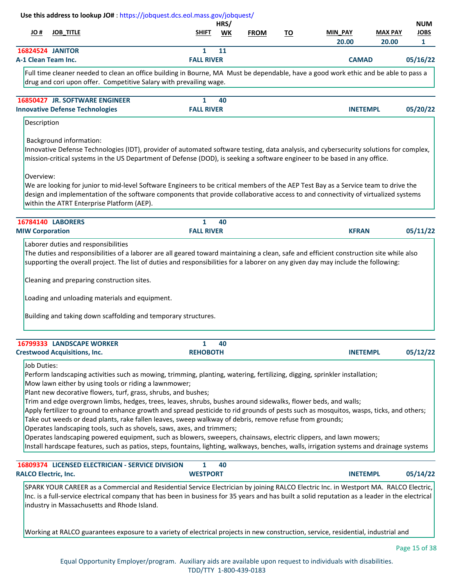|                          |                                                                                                                 | HRS/      |             |           |                |                | <b>NUM</b>  |
|--------------------------|-----------------------------------------------------------------------------------------------------------------|-----------|-------------|-----------|----------------|----------------|-------------|
| # OL<br><b>JOB TITLE</b> | <b>SHIFT</b>                                                                                                    | <b>WK</b> | <b>FROM</b> | <u>TO</u> | <b>MIN PAY</b> | <b>MAX PAY</b> | <b>JOBS</b> |
|                          |                                                                                                                 |           |             |           | 20.00          | 20.00          |             |
| <b>16824524 JANITOR</b>  |                                                                                                                 | 11        |             |           |                |                |             |
| A-1 Clean Team Inc.      | <b>FALL RIVER</b>                                                                                               |           |             |           | <b>CAMAD</b>   |                | 05/16/22    |
|                          | the contract of the contract of the contract of the contract of the contract of the contract of the contract of |           |             | .         |                |                |             |

Full time cleaner needed to clean an office building in Bourne, MA Must be dependable, have a good work ethic and be able to pass a drug and cori upon offer. Competitive Salary with prevailing wage.

| <b>16850427 JR. SOFTWARE ENGINEER</b>  |                   | 40 |                 |          |
|----------------------------------------|-------------------|----|-----------------|----------|
| <b>Innovative Defense Technologies</b> | <b>FALL RIVER</b> |    | <b>INETEMPI</b> | 05/20/22 |

# Description

Background information:

Innovative Defense Technologies (IDT), provider of automated software testing, data analysis, and cybersecurity solutions for complex, mission-critical systems in the US Department of Defense (DOD), is seeking a software engineer to be based in any office.

Overview:

We are looking for junior to mid-level Software Engineers to be critical members of the AEP Test Bay as a Service team to drive the design and implementation of the software components that provide collaborative access to and connectivity of virtualized systems within the ATRT Enterprise Platform (AEP).

| <b>16784140 LABORERS</b>                                       | 40                                                                                                                                                                                                                                                                           |              |          |
|----------------------------------------------------------------|------------------------------------------------------------------------------------------------------------------------------------------------------------------------------------------------------------------------------------------------------------------------------|--------------|----------|
| <b>MIW Corporation</b>                                         | <b>FALL RIVER</b>                                                                                                                                                                                                                                                            | <b>KFRAN</b> | 05/11/22 |
| Laborer duties and responsibilities                            | The duties and responsibilities of a laborer are all geared toward maintaining a clean, safe and efficient construction site while also<br>supporting the overall project. The list of duties and responsibilities for a laborer on any given day may include the following: |              |          |
| Cleaning and preparing construction sites.                     |                                                                                                                                                                                                                                                                              |              |          |
| Loading and unloading materials and equipment.                 |                                                                                                                                                                                                                                                                              |              |          |
| Building and taking down scaffolding and temporary structures. |                                                                                                                                                                                                                                                                              |              |          |
|                                                                |                                                                                                                                                                                                                                                                              |              |          |

| <b>16799333 LANDSCAPE WORKER</b>    |                 | 40 |                 |          |
|-------------------------------------|-----------------|----|-----------------|----------|
| <b>Crestwood Acquisitions, Inc.</b> | <b>REHOBOTH</b> |    | <b>INETEMPL</b> | 05/12/22 |

# Job Duties:

Perform landscaping activities such as mowing, trimming, planting, watering, fertilizing, digging, sprinkler installation;

Mow lawn either by using tools or riding a lawnmower;

Plant new decorative flowers, turf, grass, shrubs, and bushes;

Trim and edge overgrown limbs, hedges, trees, leaves, shrubs, bushes around sidewalks, flower beds, and walls;

Apply fertilizer to ground to enhance growth and spread pesticide to rid grounds of pests such as mosquitos, wasps, ticks, and others;

Take out weeds or dead plants, rake fallen leaves, sweep walkway of debris, remove refuse from grounds;

Operates landscaping tools, such as shovels, saws, axes, and trimmers;

Operates landscaping powered equipment, such as blowers, sweepers, chainsaws, electric clippers, and lawn mowers;

Install hardscape features, such as patios, steps, fountains, lighting, walkways, benches, walls, irrigation systems and drainage systems

| <b>16809374 LICENSED ELECTRICIAN - SERVICE DIVISION</b> |                 | 40 |                 |          |
|---------------------------------------------------------|-----------------|----|-----------------|----------|
| <b>RALCO Electric, Inc.</b>                             | <b>WESTPORT</b> |    | <b>INETEMPL</b> | 05/14/22 |

SPARK YOUR CAREER as a Commercial and Residential Service Electrician by joining RALCO Electric Inc. in Westport MA. RALCO Electric, Inc. is a full-service electrical company that has been in business for 35 years and has built a solid reputation as a leader in the electrical industry in Massachusetts and Rhode Island.

Working at RALCO guarantees exposure to a variety of electrical projects in new construction, service, residential, industrial and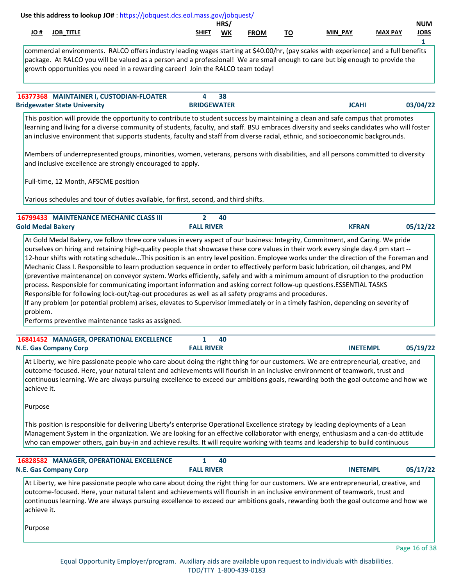| Use this address to lookup JO#: https://jobquest.dcs.eol.mass.gov/jobquest/<br>H OL<br><b>JOB_TITLE</b>                                                                                                                                                                                                                                                                                                                                                                                                                                                                                                                                                                                                                                                                                                                                             | <b>SHIFT</b>                        | HRS/<br>WK | <b>FROM</b> | <u>TO</u> | MIN PAY         | <b>MAX PAY</b> | <b>NUM</b><br><b>JOBS</b> |
|-----------------------------------------------------------------------------------------------------------------------------------------------------------------------------------------------------------------------------------------------------------------------------------------------------------------------------------------------------------------------------------------------------------------------------------------------------------------------------------------------------------------------------------------------------------------------------------------------------------------------------------------------------------------------------------------------------------------------------------------------------------------------------------------------------------------------------------------------------|-------------------------------------|------------|-------------|-----------|-----------------|----------------|---------------------------|
| commercial environments. RALCO offers industry leading wages starting at \$40.00/hr, (pay scales with experience) and a full benefits<br>package. At RALCO you will be valued as a person and a professional! We are small enough to care but big enough to provide the<br>growth opportunities you need in a rewarding career! Join the RALCO team today!                                                                                                                                                                                                                                                                                                                                                                                                                                                                                          |                                     |            |             |           |                 |                | 1                         |
| 16377368 MAINTAINER I, CUSTODIAN-FLOATER<br><b>Bridgewater State University</b>                                                                                                                                                                                                                                                                                                                                                                                                                                                                                                                                                                                                                                                                                                                                                                     | 4<br><b>BRIDGEWATER</b>             | 38         |             |           | <b>JCAHI</b>    |                | 03/04/22                  |
| This position will provide the opportunity to contribute to student success by maintaining a clean and safe campus that promotes<br>learning and living for a diverse community of students, faculty, and staff. BSU embraces diversity and seeks candidates who will foster<br>an inclusive environment that supports students, faculty and staff from diverse racial, ethnic, and socioeconomic backgrounds.                                                                                                                                                                                                                                                                                                                                                                                                                                      |                                     |            |             |           |                 |                |                           |
| Members of underrepresented groups, minorities, women, veterans, persons with disabilities, and all persons committed to diversity<br>and inclusive excellence are strongly encouraged to apply.                                                                                                                                                                                                                                                                                                                                                                                                                                                                                                                                                                                                                                                    |                                     |            |             |           |                 |                |                           |
| Full-time, 12 Month, AFSCME position                                                                                                                                                                                                                                                                                                                                                                                                                                                                                                                                                                                                                                                                                                                                                                                                                |                                     |            |             |           |                 |                |                           |
| Various schedules and tour of duties available, for first, second, and third shifts.                                                                                                                                                                                                                                                                                                                                                                                                                                                                                                                                                                                                                                                                                                                                                                |                                     |            |             |           |                 |                |                           |
| 16799433 MAINTENANCE MECHANIC CLASS III<br><b>Gold Medal Bakery</b>                                                                                                                                                                                                                                                                                                                                                                                                                                                                                                                                                                                                                                                                                                                                                                                 | $\overline{2}$<br><b>FALL RIVER</b> | 40         |             |           | <b>KFRAN</b>    |                | 05/12/22                  |
| 12-hour shifts with rotating scheduleThis position is an entry level position. Employee works under the direction of the Foreman and<br>Mechanic Class I. Responsible to learn production sequence in order to effectively perform basic lubrication, oil changes, and PM<br>(preventive maintenance) on conveyor system. Works efficiently, safely and with a minimum amount of disruption to the production<br>process. Responsible for communicating important information and asking correct follow-up questions.ESSENTIAL TASKS<br>Responsible for following lock-out/tag-out procedures as well as all safety programs and procedures.<br>If any problem (or potential problem) arises, elevates to Supervisor immediately or in a timely fashion, depending on severity of<br>problem.<br>Performs preventive maintenance tasks as assigned. |                                     |            |             |           |                 |                |                           |
| 16841452 MANAGER, OPERATIONAL EXCELLENCE<br><b>N.E. Gas Company Corp</b>                                                                                                                                                                                                                                                                                                                                                                                                                                                                                                                                                                                                                                                                                                                                                                            | 1<br><b>FALL RIVER</b>              | 40         |             |           | <b>INETEMPL</b> |                | 05/19/22                  |
| At Liberty, we hire passionate people who care about doing the right thing for our customers. We are entrepreneurial, creative, and<br>outcome-focused. Here, your natural talent and achievements will flourish in an inclusive environment of teamwork, trust and<br>continuous learning. We are always pursuing excellence to exceed our ambitions goals, rewarding both the goal outcome and how we<br>achieve it.<br>Purpose                                                                                                                                                                                                                                                                                                                                                                                                                   |                                     |            |             |           |                 |                |                           |
| This position is responsible for delivering Liberty's enterprise Operational Excellence strategy by leading deployments of a Lean<br>Management System in the organization. We are looking for an effective collaborator with energy, enthusiasm and a can-do attitude<br>who can empower others, gain buy-in and achieve results. It will require working with teams and leadership to build continuous                                                                                                                                                                                                                                                                                                                                                                                                                                            |                                     |            |             |           |                 |                |                           |
| 16828582 MANAGER, OPERATIONAL EXCELLENCE<br><b>N.E. Gas Company Corp</b>                                                                                                                                                                                                                                                                                                                                                                                                                                                                                                                                                                                                                                                                                                                                                                            | $\mathbf{1}$<br><b>FALL RIVER</b>   | 40         |             |           | <b>INETEMPL</b> |                | 05/17/22                  |
| At Liberty, we hire passionate people who care about doing the right thing for our customers. We are entrepreneurial, creative, and<br>outcome-focused. Here, your natural talent and achievements will flourish in an inclusive environment of teamwork, trust and<br>continuous learning. We are always pursuing excellence to exceed our ambitions goals, rewarding both the goal outcome and how we<br>achieve it.                                                                                                                                                                                                                                                                                                                                                                                                                              |                                     |            |             |           |                 |                |                           |
| Purpose                                                                                                                                                                                                                                                                                                                                                                                                                                                                                                                                                                                                                                                                                                                                                                                                                                             |                                     |            |             |           |                 |                |                           |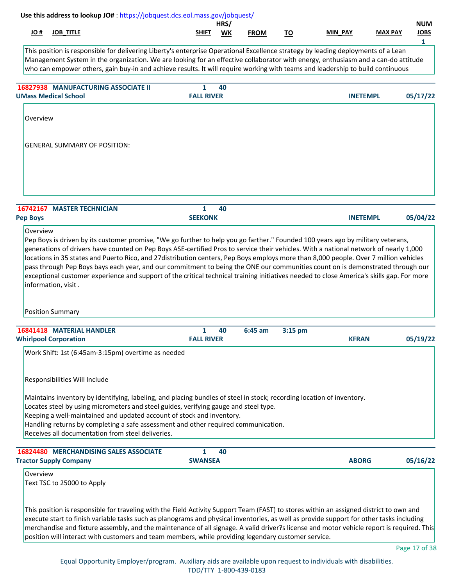| Use this address to lookup JO#: https://jobquest.dcs.eol.mass.gov/jobquest/                                                                                                                                                                                                                                                                                                                              |                                   | HRS/ |             |           |                 |                | <b>NUM</b>       |
|----------------------------------------------------------------------------------------------------------------------------------------------------------------------------------------------------------------------------------------------------------------------------------------------------------------------------------------------------------------------------------------------------------|-----------------------------------|------|-------------|-----------|-----------------|----------------|------------------|
| <b>JOB_TITLE</b><br># OL                                                                                                                                                                                                                                                                                                                                                                                 | <b>SHIFT</b>                      | WK   | <b>FROM</b> | <u>TO</u> | MIN_PAY         | <b>MAX PAY</b> | <b>JOBS</b><br>1 |
| This position is responsible for delivering Liberty's enterprise Operational Excellence strategy by leading deployments of a Lean<br>Management System in the organization. We are looking for an effective collaborator with energy, enthusiasm and a can-do attitude<br>who can empower others, gain buy-in and achieve results. It will require working with teams and leadership to build continuous |                                   |      |             |           |                 |                |                  |
| <b>16827938 MANUFACTURING ASSOCIATE II</b><br><b>UMass Medical School</b>                                                                                                                                                                                                                                                                                                                                | $\mathbf{1}$<br><b>FALL RIVER</b> | 40   |             |           | <b>INETEMPL</b> |                | 05/17/22         |
| Overview                                                                                                                                                                                                                                                                                                                                                                                                 |                                   |      |             |           |                 |                |                  |
| <b>GENERAL SUMMARY OF POSITION:</b>                                                                                                                                                                                                                                                                                                                                                                      |                                   |      |             |           |                 |                |                  |
| <b>16742167 MASTER TECHNICIAN</b>                                                                                                                                                                                                                                                                                                                                                                        | $\mathbf{1}$                      | 40   |             |           |                 |                |                  |
| <b>Pep Boys</b>                                                                                                                                                                                                                                                                                                                                                                                          | <b>SEEKONK</b>                    |      |             |           | <b>INETEMPL</b> |                | 05/04/22         |
| information, visit.<br><b>Position Summary</b><br><b>16841418 MATERIAL HANDLER</b>                                                                                                                                                                                                                                                                                                                       | 1                                 | 40   | 6:45 am     | 3:15 pm   |                 |                |                  |
| <b>Whirlpool Corporation</b><br>Work Shift: 1st (6:45am-3:15pm) overtime as needed                                                                                                                                                                                                                                                                                                                       | <b>FALL RIVER</b>                 |      |             |           | <b>KFRAN</b>    |                | 05/19/22         |
| Responsibilities Will Include<br>Maintains inventory by identifying, labeling, and placing bundles of steel in stock; recording location of inventory.<br>Locates steel by using micrometers and steel guides, verifying gauge and steel type.<br>Keeping a well-maintained and updated account of stock and inventory.                                                                                  |                                   |      |             |           |                 |                |                  |
| Handling returns by completing a safe assessment and other required communication.<br>Receives all documentation from steel deliveries.                                                                                                                                                                                                                                                                  |                                   |      |             |           |                 |                |                  |
|                                                                                                                                                                                                                                                                                                                                                                                                          | 1<br><b>SWANSEA</b>               | 40   |             |           | <b>ABORG</b>    |                | 05/16/22         |
| 16824480 MERCHANDISING SALES ASSOCIATE<br><b>Tractor Supply Company</b><br>Overview<br>Text TSC to 25000 to Apply<br>This position is responsible for traveling with the Field Activity Support Team (FAST) to stores within an assigned district to own and                                                                                                                                             |                                   |      |             |           |                 |                |                  |
| execute start to finish variable tasks such as planograms and physical inventories, as well as provide support for other tasks including<br>merchandise and fixture assembly, and the maintenance of all signage. A valid driver?s license and motor vehicle report is required. This<br>position will interact with customers and team members, while providing legendary customer service.             |                                   |      |             |           |                 |                |                  |

Equal Opportunity Employer/program. Auxiliary aids are available upon request to individuals with disabilities. TDD/TTY 1-800-439-0183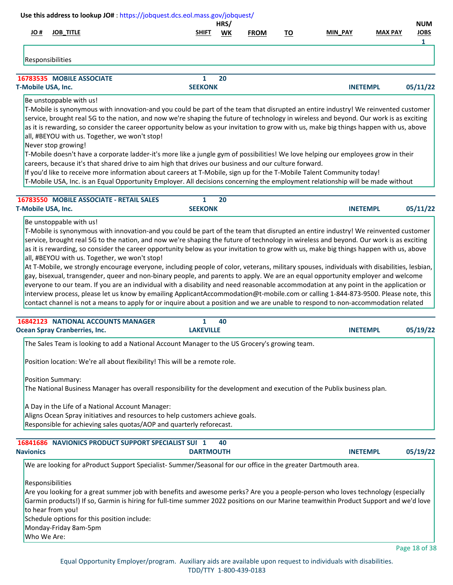| Use this address to lookup JO#: https://jobquest.dcs.eol.mass.gov/jobquest/                                                                                                                                                                                                                                                                                                                                                                                                                                                                                                                                                                                                                                                                                                                                                                                                                                                                                                                                                                                                                                                                                                   |                                | HRS/ |             |           |                 |                | <b>NUM</b>       |
|-------------------------------------------------------------------------------------------------------------------------------------------------------------------------------------------------------------------------------------------------------------------------------------------------------------------------------------------------------------------------------------------------------------------------------------------------------------------------------------------------------------------------------------------------------------------------------------------------------------------------------------------------------------------------------------------------------------------------------------------------------------------------------------------------------------------------------------------------------------------------------------------------------------------------------------------------------------------------------------------------------------------------------------------------------------------------------------------------------------------------------------------------------------------------------|--------------------------------|------|-------------|-----------|-----------------|----------------|------------------|
| H OL<br><b>JOB_TITLE</b>                                                                                                                                                                                                                                                                                                                                                                                                                                                                                                                                                                                                                                                                                                                                                                                                                                                                                                                                                                                                                                                                                                                                                      | <b>SHIFT</b>                   | WK   | <b>FROM</b> | <u>TO</u> | MIN_PAY         | <b>MAX PAY</b> | <b>JOBS</b><br>1 |
| Responsibilities                                                                                                                                                                                                                                                                                                                                                                                                                                                                                                                                                                                                                                                                                                                                                                                                                                                                                                                                                                                                                                                                                                                                                              |                                |      |             |           |                 |                |                  |
| 16783535 MOBILE ASSOCIATE                                                                                                                                                                                                                                                                                                                                                                                                                                                                                                                                                                                                                                                                                                                                                                                                                                                                                                                                                                                                                                                                                                                                                     | $\mathbf{1}$                   | 20   |             |           |                 |                |                  |
| T-Mobile USA, Inc.                                                                                                                                                                                                                                                                                                                                                                                                                                                                                                                                                                                                                                                                                                                                                                                                                                                                                                                                                                                                                                                                                                                                                            | <b>SEEKONK</b>                 |      |             |           | <b>INETEMPL</b> |                | 05/11/22         |
| Be unstoppable with us!<br>T-Mobile is synonymous with innovation-and you could be part of the team that disrupted an entire industry! We reinvented customer<br>service, brought real 5G to the nation, and now we're shaping the future of technology in wireless and beyond. Our work is as exciting<br>as it is rewarding, so consider the career opportunity below as your invitation to grow with us, make big things happen with us, above<br>all, #BEYOU with us. Together, we won't stop!<br>Never stop growing!<br>T-Mobile doesn't have a corporate ladder-it's more like a jungle gym of possibilities! We love helping our employees grow in their<br>careers, because it's that shared drive to aim high that drives our business and our culture forward.<br>If you'd like to receive more information about careers at T-Mobile, sign up for the T-Mobile Talent Community today!<br>T-Mobile USA, Inc. is an Equal Opportunity Employer. All decisions concerning the employment relationship will be made without                                                                                                                                           |                                |      |             |           |                 |                |                  |
| 16783550 MOBILE ASSOCIATE - RETAIL SALES<br>T-Mobile USA, Inc.                                                                                                                                                                                                                                                                                                                                                                                                                                                                                                                                                                                                                                                                                                                                                                                                                                                                                                                                                                                                                                                                                                                | $\mathbf{1}$<br><b>SEEKONK</b> | 20   |             |           | <b>INETEMPL</b> |                | 05/11/22         |
| T-Mobile is synonymous with innovation-and you could be part of the team that disrupted an entire industry! We reinvented customer<br>service, brought real 5G to the nation, and now we're shaping the future of technology in wireless and beyond. Our work is as exciting<br>as it is rewarding, so consider the career opportunity below as your invitation to grow with us, make big things happen with us, above<br>all, #BEYOU with us. Together, we won't stop!<br>At T-Mobile, we strongly encourage everyone, including people of color, veterans, military spouses, individuals with disabilities, lesbian,<br>gay, bisexual, transgender, queer and non-binary people, and parents to apply. We are an equal opportunity employer and welcome<br>everyone to our team. If you are an individual with a disability and need reasonable accommodation at any point in the application or<br>interview process, please let us know by emailing ApplicantAccommodation@t-mobile.com or calling 1-844-873-9500. Please note, this<br>contact channel is not a means to apply for or inquire about a position and we are unable to respond to non-accommodation related |                                |      |             |           |                 |                |                  |
| 16842123 NATIONAL ACCOUNTS MANAGER<br><b>Ocean Spray Cranberries, Inc.</b>                                                                                                                                                                                                                                                                                                                                                                                                                                                                                                                                                                                                                                                                                                                                                                                                                                                                                                                                                                                                                                                                                                    | 1<br><b>LAKEVILLE</b>          | 40   |             |           | <b>INETEMPL</b> |                | 05/19/22         |
| The Sales Team is looking to add a National Account Manager to the US Grocery's growing team.                                                                                                                                                                                                                                                                                                                                                                                                                                                                                                                                                                                                                                                                                                                                                                                                                                                                                                                                                                                                                                                                                 |                                |      |             |           |                 |                |                  |
| Position location: We're all about flexibility! This will be a remote role.<br>Position Summary:                                                                                                                                                                                                                                                                                                                                                                                                                                                                                                                                                                                                                                                                                                                                                                                                                                                                                                                                                                                                                                                                              |                                |      |             |           |                 |                |                  |
| The National Business Manager has overall responsibility for the development and execution of the Publix business plan.<br>A Day in the Life of a National Account Manager:<br>Aligns Ocean Spray initiatives and resources to help customers achieve goals.<br>Responsible for achieving sales quotas/AOP and quarterly reforecast.                                                                                                                                                                                                                                                                                                                                                                                                                                                                                                                                                                                                                                                                                                                                                                                                                                          |                                |      |             |           |                 |                |                  |
| 16841686 NAVIONICS PRODUCT SUPPORT SPECIALIST SUI 1<br><b>Navionics</b>                                                                                                                                                                                                                                                                                                                                                                                                                                                                                                                                                                                                                                                                                                                                                                                                                                                                                                                                                                                                                                                                                                       | <b>DARTMOUTH</b>               | 40   |             |           | <b>INETEMPL</b> |                | 05/19/22         |
| We are looking for aProduct Support Specialist-Summer/Seasonal for our office in the greater Dartmouth area.                                                                                                                                                                                                                                                                                                                                                                                                                                                                                                                                                                                                                                                                                                                                                                                                                                                                                                                                                                                                                                                                  |                                |      |             |           |                 |                |                  |
| Responsibilities<br>Are you looking for a great summer job with benefits and awesome perks? Are you a people-person who loves technology (especially<br>Garmin products!) If so, Garmin is hiring for full-time summer 2022 positions on our Marine teamwithin Product Support and we'd love<br>to hear from you!<br>Schedule options for this position include:<br>Monday-Friday 8am-5pm<br>Who We Are:                                                                                                                                                                                                                                                                                                                                                                                                                                                                                                                                                                                                                                                                                                                                                                      |                                |      |             |           |                 |                |                  |
|                                                                                                                                                                                                                                                                                                                                                                                                                                                                                                                                                                                                                                                                                                                                                                                                                                                                                                                                                                                                                                                                                                                                                                               |                                |      |             |           |                 |                | Page 18 of 38    |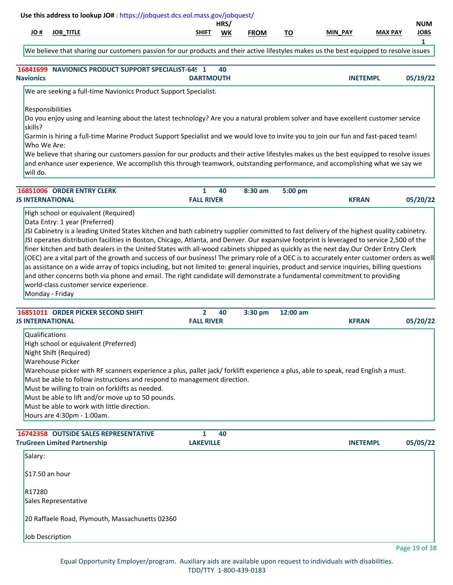| # OL                    | <b>JOB_TITLE</b>                                                                                                                                                            | SHIFT             | HRS/<br>WK | <b>FROM</b> | <u>TO</u> | MIN PAY         | <b>MAX PAY</b> | <b>NUM</b><br><b>JOBS</b> |
|-------------------------|-----------------------------------------------------------------------------------------------------------------------------------------------------------------------------|-------------------|------------|-------------|-----------|-----------------|----------------|---------------------------|
|                         |                                                                                                                                                                             |                   |            |             |           |                 |                | 1                         |
|                         | We believe that sharing our customers passion for our products and their active lifestyles makes us the best equipped to resolve issues                                     |                   |            |             |           |                 |                |                           |
|                         | 16841699 NAVIONICS PRODUCT SUPPORT SPECIALIST-649 1                                                                                                                         |                   | 40         |             |           |                 |                |                           |
| <b>Navionics</b>        |                                                                                                                                                                             | <b>DARTMOUTH</b>  |            |             |           | <b>INETEMPL</b> |                | 05/19/22                  |
|                         | We are seeking a full-time Navionics Product Support Specialist.                                                                                                            |                   |            |             |           |                 |                |                           |
|                         | Responsibilities                                                                                                                                                            |                   |            |             |           |                 |                |                           |
| skills?                 | Do you enjoy using and learning about the latest technology? Are you a natural problem solver and have excellent customer service                                           |                   |            |             |           |                 |                |                           |
|                         | Garmin is hiring a full-time Marine Product Support Specialist and we would love to invite you to join our fun and fast-paced team!                                         |                   |            |             |           |                 |                |                           |
| Who We Are:             | We believe that sharing our customers passion for our products and their active lifestyles makes us the best equipped to resolve issues                                     |                   |            |             |           |                 |                |                           |
|                         | and enhance user experience. We accomplish this through teamwork, outstanding performance, and accomplishing what we say we                                                 |                   |            |             |           |                 |                |                           |
| will do.                |                                                                                                                                                                             |                   |            |             |           |                 |                |                           |
|                         | 16851006 ORDER ENTRY CLERK                                                                                                                                                  | $\mathbf{1}$      | 40         | 8:30 am     | 5:00 pm   |                 |                |                           |
| <b>JS INTERNATIONAL</b> |                                                                                                                                                                             | <b>FALL RIVER</b> |            |             |           | <b>KFRAN</b>    |                | 05/20/22                  |
|                         | High school or equivalent (Required)                                                                                                                                        |                   |            |             |           |                 |                |                           |
|                         | Data Entry: 1 year (Preferred)<br>JSI Cabinetry is a leading United States kitchen and bath cabinetry supplier committed to fast delivery of the highest quality cabinetry. |                   |            |             |           |                 |                |                           |
|                         | JSI operates distribution facilities in Boston, Chicago, Atlanta, and Denver. Our expansive footprint is leveraged to service 2,500 of the                                  |                   |            |             |           |                 |                |                           |
|                         | finer kitchen and bath dealers in the United States with all-wood cabinets shipped as quickly as the next day.Our Order Entry Clerk                                         |                   |            |             |           |                 |                |                           |
|                         | (OEC) are a vital part of the growth and success of our business! The primary role of a OEC is to accurately enter customer orders as well                                  |                   |            |             |           |                 |                |                           |
|                         | as assistance on a wide array of topics including, but not limited to: general inquiries, product and service inquiries, billing questions                                  |                   |            |             |           |                 |                |                           |
|                         | and other concerns both via phone and email. The right candidate will demonstrate a fundamental commitment to providing                                                     |                   |            |             |           |                 |                |                           |
|                         | world-class customer service experience.                                                                                                                                    |                   |            |             |           |                 |                |                           |
|                         | Monday - Friday                                                                                                                                                             |                   |            |             |           |                 |                |                           |
|                         | 16851011 ORDER PICKER SECOND SHIFT                                                                                                                                          | 2                 | 40         | 3:30 pm     | 12:00 am  |                 |                |                           |
| <b>JS INTERNATIONAL</b> |                                                                                                                                                                             | <b>FALL RIVER</b> |            |             |           | <b>KFRAN</b>    |                | 05/20/22                  |
| <b>Qualifications</b>   |                                                                                                                                                                             |                   |            |             |           |                 |                |                           |
|                         | High school or equivalent (Preferred)                                                                                                                                       |                   |            |             |           |                 |                |                           |
|                         | Night Shift (Required)<br><b>Warehouse Picker</b>                                                                                                                           |                   |            |             |           |                 |                |                           |
|                         | Warehouse picker with RF scanners experience a plus, pallet jack/ forklift experience a plus, able to speak, read English a must.                                           |                   |            |             |           |                 |                |                           |
|                         | Must be able to follow instructions and respond to management direction.                                                                                                    |                   |            |             |           |                 |                |                           |
|                         | Must be willing to train on forklifts as needed.                                                                                                                            |                   |            |             |           |                 |                |                           |
|                         | Must be able to lift and/or move up to 50 pounds.                                                                                                                           |                   |            |             |           |                 |                |                           |
|                         | Must be able to work with little direction.                                                                                                                                 |                   |            |             |           |                 |                |                           |
|                         | Hours are 4:30pm - 1:00am.                                                                                                                                                  |                   |            |             |           |                 |                |                           |
|                         | 16742358 OUTSIDE SALES REPRESENTATIVE                                                                                                                                       | 1                 | 40         |             |           |                 |                |                           |
|                         | <b>TruGreen Limited Partnership</b>                                                                                                                                         | <b>LAKEVILLE</b>  |            |             |           | <b>INETEMPL</b> |                | 05/05/22                  |
| Salary:                 |                                                                                                                                                                             |                   |            |             |           |                 |                |                           |
| $$17.50$ an hour        |                                                                                                                                                                             |                   |            |             |           |                 |                |                           |
| R17280                  |                                                                                                                                                                             |                   |            |             |           |                 |                |                           |
|                         | Sales Representative                                                                                                                                                        |                   |            |             |           |                 |                |                           |
|                         | 20 Raffaele Road, Plymouth, Massachusetts 02360                                                                                                                             |                   |            |             |           |                 |                |                           |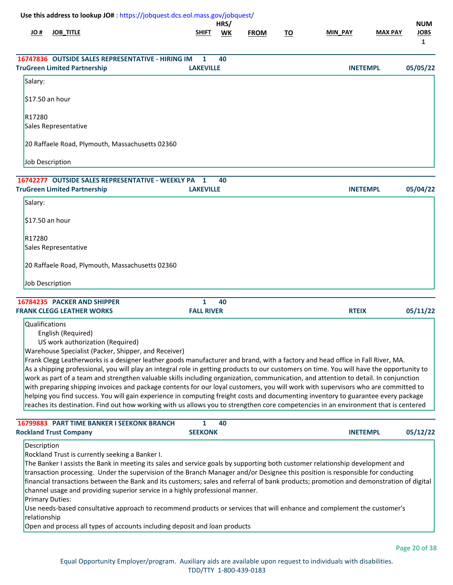| <b>JOB_TITLE</b>                     |                                                        |                                                                                                                                                                                                                                                                                                                                                      | WK                                                                | <b>FROM</b>                                                                         | <u>TO</u>                                                                                                                                                    | <b>MIN PAY</b> | <b>MAX PAY</b> | <b>NUM</b><br><b>JOBS</b><br>$\mathbf{1}$                                                                                                                                                                                                                                                                                                                                                                                                                                                                                                                                                                                                                                                                                                                                                                                                                                                                                                                                                                                                                                                                                                                                                                                                                                                                     |
|--------------------------------------|--------------------------------------------------------|------------------------------------------------------------------------------------------------------------------------------------------------------------------------------------------------------------------------------------------------------------------------------------------------------------------------------------------------------|-------------------------------------------------------------------|-------------------------------------------------------------------------------------|--------------------------------------------------------------------------------------------------------------------------------------------------------------|----------------|----------------|---------------------------------------------------------------------------------------------------------------------------------------------------------------------------------------------------------------------------------------------------------------------------------------------------------------------------------------------------------------------------------------------------------------------------------------------------------------------------------------------------------------------------------------------------------------------------------------------------------------------------------------------------------------------------------------------------------------------------------------------------------------------------------------------------------------------------------------------------------------------------------------------------------------------------------------------------------------------------------------------------------------------------------------------------------------------------------------------------------------------------------------------------------------------------------------------------------------------------------------------------------------------------------------------------------------|
|                                      |                                                        | 1                                                                                                                                                                                                                                                                                                                                                    | 40                                                                |                                                                                     |                                                                                                                                                              |                |                | 05/05/22                                                                                                                                                                                                                                                                                                                                                                                                                                                                                                                                                                                                                                                                                                                                                                                                                                                                                                                                                                                                                                                                                                                                                                                                                                                                                                      |
|                                      |                                                        |                                                                                                                                                                                                                                                                                                                                                      |                                                                   |                                                                                     |                                                                                                                                                              |                |                |                                                                                                                                                                                                                                                                                                                                                                                                                                                                                                                                                                                                                                                                                                                                                                                                                                                                                                                                                                                                                                                                                                                                                                                                                                                                                                               |
|                                      |                                                        |                                                                                                                                                                                                                                                                                                                                                      |                                                                   |                                                                                     |                                                                                                                                                              |                |                |                                                                                                                                                                                                                                                                                                                                                                                                                                                                                                                                                                                                                                                                                                                                                                                                                                                                                                                                                                                                                                                                                                                                                                                                                                                                                                               |
|                                      |                                                        |                                                                                                                                                                                                                                                                                                                                                      |                                                                   |                                                                                     |                                                                                                                                                              |                |                |                                                                                                                                                                                                                                                                                                                                                                                                                                                                                                                                                                                                                                                                                                                                                                                                                                                                                                                                                                                                                                                                                                                                                                                                                                                                                                               |
| R17280                               |                                                        |                                                                                                                                                                                                                                                                                                                                                      |                                                                   |                                                                                     |                                                                                                                                                              |                |                |                                                                                                                                                                                                                                                                                                                                                                                                                                                                                                                                                                                                                                                                                                                                                                                                                                                                                                                                                                                                                                                                                                                                                                                                                                                                                                               |
| Sales Representative                 |                                                        |                                                                                                                                                                                                                                                                                                                                                      |                                                                   |                                                                                     |                                                                                                                                                              |                |                |                                                                                                                                                                                                                                                                                                                                                                                                                                                                                                                                                                                                                                                                                                                                                                                                                                                                                                                                                                                                                                                                                                                                                                                                                                                                                                               |
|                                      |                                                        |                                                                                                                                                                                                                                                                                                                                                      |                                                                   |                                                                                     |                                                                                                                                                              |                |                |                                                                                                                                                                                                                                                                                                                                                                                                                                                                                                                                                                                                                                                                                                                                                                                                                                                                                                                                                                                                                                                                                                                                                                                                                                                                                                               |
| Job Description                      |                                                        |                                                                                                                                                                                                                                                                                                                                                      |                                                                   |                                                                                     |                                                                                                                                                              |                |                |                                                                                                                                                                                                                                                                                                                                                                                                                                                                                                                                                                                                                                                                                                                                                                                                                                                                                                                                                                                                                                                                                                                                                                                                                                                                                                               |
|                                      |                                                        | 1                                                                                                                                                                                                                                                                                                                                                    | 40                                                                |                                                                                     |                                                                                                                                                              |                |                |                                                                                                                                                                                                                                                                                                                                                                                                                                                                                                                                                                                                                                                                                                                                                                                                                                                                                                                                                                                                                                                                                                                                                                                                                                                                                                               |
| <b>TruGreen Limited Partnership</b>  |                                                        |                                                                                                                                                                                                                                                                                                                                                      |                                                                   |                                                                                     |                                                                                                                                                              |                |                | 05/04/22                                                                                                                                                                                                                                                                                                                                                                                                                                                                                                                                                                                                                                                                                                                                                                                                                                                                                                                                                                                                                                                                                                                                                                                                                                                                                                      |
|                                      |                                                        |                                                                                                                                                                                                                                                                                                                                                      |                                                                   |                                                                                     |                                                                                                                                                              |                |                |                                                                                                                                                                                                                                                                                                                                                                                                                                                                                                                                                                                                                                                                                                                                                                                                                                                                                                                                                                                                                                                                                                                                                                                                                                                                                                               |
| $$17.50$ an hour                     |                                                        |                                                                                                                                                                                                                                                                                                                                                      |                                                                   |                                                                                     |                                                                                                                                                              |                |                |                                                                                                                                                                                                                                                                                                                                                                                                                                                                                                                                                                                                                                                                                                                                                                                                                                                                                                                                                                                                                                                                                                                                                                                                                                                                                                               |
| R17280                               |                                                        |                                                                                                                                                                                                                                                                                                                                                      |                                                                   |                                                                                     |                                                                                                                                                              |                |                |                                                                                                                                                                                                                                                                                                                                                                                                                                                                                                                                                                                                                                                                                                                                                                                                                                                                                                                                                                                                                                                                                                                                                                                                                                                                                                               |
| Sales Representative                 |                                                        |                                                                                                                                                                                                                                                                                                                                                      |                                                                   |                                                                                     |                                                                                                                                                              |                |                |                                                                                                                                                                                                                                                                                                                                                                                                                                                                                                                                                                                                                                                                                                                                                                                                                                                                                                                                                                                                                                                                                                                                                                                                                                                                                                               |
|                                      |                                                        |                                                                                                                                                                                                                                                                                                                                                      |                                                                   |                                                                                     |                                                                                                                                                              |                |                |                                                                                                                                                                                                                                                                                                                                                                                                                                                                                                                                                                                                                                                                                                                                                                                                                                                                                                                                                                                                                                                                                                                                                                                                                                                                                                               |
| Job Description                      |                                                        |                                                                                                                                                                                                                                                                                                                                                      |                                                                   |                                                                                     |                                                                                                                                                              |                |                |                                                                                                                                                                                                                                                                                                                                                                                                                                                                                                                                                                                                                                                                                                                                                                                                                                                                                                                                                                                                                                                                                                                                                                                                                                                                                                               |
| 16784235 PACKER AND SHIPPER          |                                                        | $\mathbf{1}$                                                                                                                                                                                                                                                                                                                                         | 40                                                                |                                                                                     |                                                                                                                                                              |                |                |                                                                                                                                                                                                                                                                                                                                                                                                                                                                                                                                                                                                                                                                                                                                                                                                                                                                                                                                                                                                                                                                                                                                                                                                                                                                                                               |
| <b>FRANK CLEGG LEATHER WORKS</b>     |                                                        |                                                                                                                                                                                                                                                                                                                                                      |                                                                   |                                                                                     |                                                                                                                                                              |                |                | 05/11/22                                                                                                                                                                                                                                                                                                                                                                                                                                                                                                                                                                                                                                                                                                                                                                                                                                                                                                                                                                                                                                                                                                                                                                                                                                                                                                      |
| Qualifications<br>English (Required) |                                                        |                                                                                                                                                                                                                                                                                                                                                      |                                                                   |                                                                                     |                                                                                                                                                              |                |                |                                                                                                                                                                                                                                                                                                                                                                                                                                                                                                                                                                                                                                                                                                                                                                                                                                                                                                                                                                                                                                                                                                                                                                                                                                                                                                               |
|                                      |                                                        | $\mathbf{1}$                                                                                                                                                                                                                                                                                                                                         | 40                                                                |                                                                                     |                                                                                                                                                              |                |                |                                                                                                                                                                                                                                                                                                                                                                                                                                                                                                                                                                                                                                                                                                                                                                                                                                                                                                                                                                                                                                                                                                                                                                                                                                                                                                               |
| <b>Rockland Trust Company</b>        |                                                        |                                                                                                                                                                                                                                                                                                                                                      |                                                                   |                                                                                     |                                                                                                                                                              |                |                | 05/12/22                                                                                                                                                                                                                                                                                                                                                                                                                                                                                                                                                                                                                                                                                                                                                                                                                                                                                                                                                                                                                                                                                                                                                                                                                                                                                                      |
| Description                          |                                                        |                                                                                                                                                                                                                                                                                                                                                      |                                                                   |                                                                                     |                                                                                                                                                              |                |                |                                                                                                                                                                                                                                                                                                                                                                                                                                                                                                                                                                                                                                                                                                                                                                                                                                                                                                                                                                                                                                                                                                                                                                                                                                                                                                               |
|                                      | <b>TruGreen Limited Partnership</b><br>\$17.50 an hour | 16747836 OUTSIDE SALES REPRESENTATIVE - HIRING IM<br>20 Raffaele Road, Plymouth, Massachusetts 02360<br>20 Raffaele Road, Plymouth, Massachusetts 02360<br>US work authorization (Required)<br>Warehouse Specialist (Packer, Shipper, and Receiver)<br>16799883 PART TIME BANKER I SEEKONK BRANCH<br>Rockland Trust is currently seeking a Banker I. | <b>SHIFT</b><br>16742277 OUTSIDE SALES REPRESENTATIVE - WEEKLY PA | HRS/<br><b>LAKEVILLE</b><br><b>LAKEVILLE</b><br><b>FALL RIVER</b><br><b>SEEKONK</b> | Use this address to lookup JO#: https://jobquest.dcs.eol.mass.gov/jobquest/<br>channel usage and providing superior service in a highly professional manner. |                | <b>RTEIX</b>   | <b>INETEMPL</b><br><b>INETEMPL</b><br>Frank Clegg Leatherworks is a designer leather goods manufacturer and brand, with a factory and head office in Fall River, MA.<br>As a shipping professional, you will play an integral role in getting products to our customers on time. You will have the opportunity to<br>work as part of a team and strengthen valuable skills including organization, communication, and attention to detail. In conjunction<br>with preparing shipping invoices and package contents for our loyal customers, you will work with supervisors who are committed to<br>helping you find success. You will gain experience in computing freight costs and documenting inventory to guarantee every package<br>reaches its destination. Find out how working with us allows you to strengthen core competencies in an environment that is centered<br><b>INETEMPL</b><br>The Banker I assists the Bank in meeting its sales and service goals by supporting both customer relationship development and<br>transaction processing. Under the supervision of the Branch Manager and/or Designee this position is responsible for conducting<br>financial transactions between the Bank and its customers; sales and referral of bank products; promotion and demonstration of digital |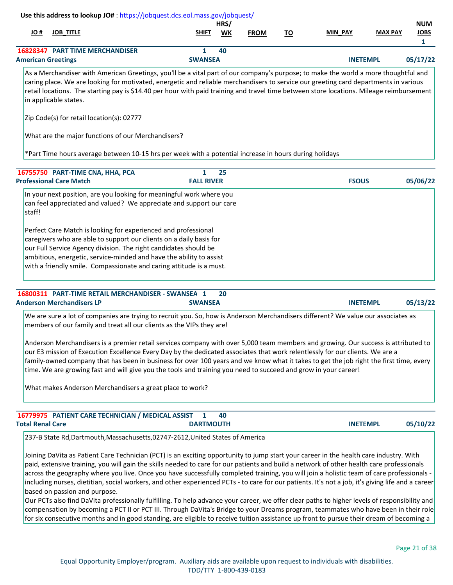| JO #                    | <b>JOB_TITLE</b>                                                                                                                                                                                                                                                                                                                                                                                                                                                                                                                 | <b>SHIFT</b>        | HRS/<br>WK | <b>FROM</b> | <u>TO</u> | MIN PAY         | <b>MAX PAY</b> | <b>NUM</b><br><b>JOBS</b> |
|-------------------------|----------------------------------------------------------------------------------------------------------------------------------------------------------------------------------------------------------------------------------------------------------------------------------------------------------------------------------------------------------------------------------------------------------------------------------------------------------------------------------------------------------------------------------|---------------------|------------|-------------|-----------|-----------------|----------------|---------------------------|
|                         |                                                                                                                                                                                                                                                                                                                                                                                                                                                                                                                                  |                     |            |             |           |                 |                | $\mathbf{1}$              |
|                         | <b>16828347 PART TIME MERCHANDISER</b><br><b>American Greetings</b>                                                                                                                                                                                                                                                                                                                                                                                                                                                              | 1<br><b>SWANSEA</b> | 40         |             |           | <b>INETEMPL</b> |                | 05/17/22                  |
|                         | As a Merchandiser with American Greetings, you'll be a vital part of our company's purpose; to make the world a more thoughtful and                                                                                                                                                                                                                                                                                                                                                                                              |                     |            |             |           |                 |                |                           |
|                         | caring place. We are looking for motivated, energetic and reliable merchandisers to service our greeting card departments in various<br>retail locations. The starting pay is \$14.40 per hour with paid training and travel time between store locations. Mileage reimbursement<br>in applicable states.                                                                                                                                                                                                                        |                     |            |             |           |                 |                |                           |
|                         | Zip Code(s) for retail location(s): 02777                                                                                                                                                                                                                                                                                                                                                                                                                                                                                        |                     |            |             |           |                 |                |                           |
|                         | What are the major functions of our Merchandisers?                                                                                                                                                                                                                                                                                                                                                                                                                                                                               |                     |            |             |           |                 |                |                           |
|                         | *Part Time hours average between 10-15 hrs per week with a potential increase in hours during holidays                                                                                                                                                                                                                                                                                                                                                                                                                           |                     |            |             |           |                 |                |                           |
|                         | 16755750 PART-TIME CNA, HHA, PCA                                                                                                                                                                                                                                                                                                                                                                                                                                                                                                 | $\mathbf{1}$        | 25         |             |           |                 |                |                           |
|                         | <b>Professional Care Match</b>                                                                                                                                                                                                                                                                                                                                                                                                                                                                                                   | <b>FALL RIVER</b>   |            |             |           | <b>FSOUS</b>    |                | 05/06/22                  |
|                         | caregivers who are able to support our clients on a daily basis for<br>our Full Service Agency division. The right candidates should be<br>ambitious, energetic, service-minded and have the ability to assist<br>with a friendly smile. Compassionate and caring attitude is a must.                                                                                                                                                                                                                                            |                     |            |             |           |                 |                |                           |
|                         | 16800311 PART-TIME RETAIL MERCHANDISER - SWANSEA 1                                                                                                                                                                                                                                                                                                                                                                                                                                                                               |                     | 20         |             |           |                 |                |                           |
|                         | <b>Anderson Merchandisers LP</b>                                                                                                                                                                                                                                                                                                                                                                                                                                                                                                 | <b>SWANSEA</b>      |            |             |           | <b>INETEMPL</b> |                | 05/13/22                  |
|                         | We are sure a lot of companies are trying to recruit you. So, how is Anderson Merchandisers different? We value our associates as<br>members of our family and treat all our clients as the VIPs they are!                                                                                                                                                                                                                                                                                                                       |                     |            |             |           |                 |                |                           |
|                         | Anderson Merchandisers is a premier retail services company with over 5,000 team members and growing. Our success is attributed to<br>our E3 mission of Execution Excellence Every Day by the dedicated associates that work relentlessly for our clients. We are a<br>family-owned company that has been in business for over 100 years and we know what it takes to get the job right the first time, every<br>time. We are growing fast and will give you the tools and training you need to succeed and grow in your career! |                     |            |             |           |                 |                |                           |
|                         | What makes Anderson Merchandisers a great place to work?                                                                                                                                                                                                                                                                                                                                                                                                                                                                         |                     |            |             |           |                 |                |                           |
|                         |                                                                                                                                                                                                                                                                                                                                                                                                                                                                                                                                  |                     | 40         |             |           |                 |                |                           |
| <b>Total Renal Care</b> | 16779975 PATIENT CARE TECHNICIAN / MEDICAL ASSIST                                                                                                                                                                                                                                                                                                                                                                                                                                                                                |                     |            |             |           |                 |                | 05/10/22                  |

Joining DaVita as Patient Care Technician (PCT) is an exciting opportunity to jump start your career in the health care industry. With paid, extensive training, you will gain the skills needed to care for our patients and build a network of other health care professionals across the geography where you live. Once you have successfully completed training, you will join a holistic team of care professionals including nurses, dietitian, social workers, and other experienced PCTs - to care for our patients. It's not a job, it's giving life and a career based on passion and purpose.

Our PCTs also find DaVita professionally fulfilling. To help advance your career, we offer clear paths to higher levels of responsibility and compensation by becoming a PCT II or PCT III. Through DaVita's Bridge to your Dreams program, teammates who have been in their role for six consecutive months and in good standing, are eligible to receive tuition assistance up front to pursue their dream of becoming a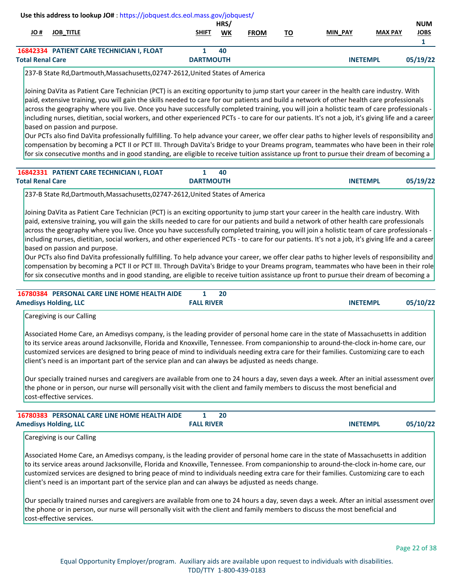| # JO                    | <b>JOB TITLE</b>                          | <b>SHIFT</b>     | HRS/<br>WK | <b>FROM</b> | то | <u>MIN_PAY</u>  | <b>MAX PAY</b> | <b>NUM</b><br><b>JOBS</b> |
|-------------------------|-------------------------------------------|------------------|------------|-------------|----|-----------------|----------------|---------------------------|
|                         |                                           |                  |            |             |    |                 |                |                           |
|                         | 16842334 PATIENT CARE TECHNICIAN I, FLOAT |                  | 40         |             |    |                 |                |                           |
| <b>Total Renal Care</b> |                                           | <b>DARTMOUTH</b> |            |             |    | <b>INETEMPL</b> |                | 05/19/22                  |

237-B State Rd,Dartmouth,Massachusetts,02747-2612,United States of America

Joining DaVita as Patient Care Technician (PCT) is an exciting opportunity to jump start your career in the health care industry. With paid, extensive training, you will gain the skills needed to care for our patients and build a network of other health care professionals across the geography where you live. Once you have successfully completed training, you will join a holistic team of care professionals including nurses, dietitian, social workers, and other experienced PCTs - to care for our patients. It's not a job, it's giving life and a career based on passion and purpose.

Our PCTs also find DaVita professionally fulfilling. To help advance your career, we offer clear paths to higher levels of responsibility and compensation by becoming a PCT II or PCT III. Through DaVita's Bridge to your Dreams program, teammates who have been in their role for six consecutive months and in good standing, are eligible to receive tuition assistance up front to pursue their dream of becoming a

| 16842331 PATIENT CARE TECHNICIAN I, FLOAT | 40               |                 |          |
|-------------------------------------------|------------------|-----------------|----------|
| <b>Total Renal Care</b>                   | <b>DARTMOUTH</b> | <b>INETEMPL</b> | 05/19/22 |

237-B State Rd,Dartmouth,Massachusetts,02747-2612,United States of America

Joining DaVita as Patient Care Technician (PCT) is an exciting opportunity to jump start your career in the health care industry. With paid, extensive training, you will gain the skills needed to care for our patients and build a network of other health care professionals across the geography where you live. Once you have successfully completed training, you will join a holistic team of care professionals including nurses, dietitian, social workers, and other experienced PCTs - to care for our patients. It's not a job, it's giving life and a career based on passion and purpose.

Our PCTs also find DaVita professionally fulfilling. To help advance your career, we offer clear paths to higher levels of responsibility and compensation by becoming a PCT II or PCT III. Through DaVita's Bridge to your Dreams program, teammates who have been in their role for six consecutive months and in good standing, are eligible to receive tuition assistance up front to pursue their dream of becoming a

| 16780384 PERSONAL CARE LINE HOME HEALTH AIDE |                   | 20 |                 |          |
|----------------------------------------------|-------------------|----|-----------------|----------|
| <b>Amedisys Holding, LLC</b>                 | <b>FALL RIVER</b> |    | <b>INETEMPL</b> | 05/10/22 |

Caregiving is our Calling

Associated Home Care, an Amedisys company, is the leading provider of personal home care in the state of Massachusetts in addition to its service areas around Jacksonville, Florida and Knoxville, Tennessee. From companionship to around-the-clock in-home care, our customized services are designed to bring peace of mind to individuals needing extra care for their families. Customizing care to each client's need is an important part of the service plan and can always be adjusted as needs change.

Our specially trained nurses and caregivers are available from one to 24 hours a day, seven days a week. After an initial assessment over the phone or in person, our nurse will personally visit with the client and family members to discuss the most beneficial and cost-effective services.

| 16780383 PERSONAL CARE LINE HOME HEALTH AIDE |                   | 20 |                 |          |
|----------------------------------------------|-------------------|----|-----------------|----------|
| <b>Amedisys Holding, LLC</b>                 | <b>FALL RIVER</b> |    | <b>INETEMPL</b> | 05/10/22 |

Caregiving is our Calling

Associated Home Care, an Amedisys company, is the leading provider of personal home care in the state of Massachusetts in addition to its service areas around Jacksonville, Florida and Knoxville, Tennessee. From companionship to around-the-clock in-home care, our customized services are designed to bring peace of mind to individuals needing extra care for their families. Customizing care to each client's need is an important part of the service plan and can always be adjusted as needs change.

Our specially trained nurses and caregivers are available from one to 24 hours a day, seven days a week. After an initial assessment over the phone or in person, our nurse will personally visit with the client and family members to discuss the most beneficial and cost-effective services.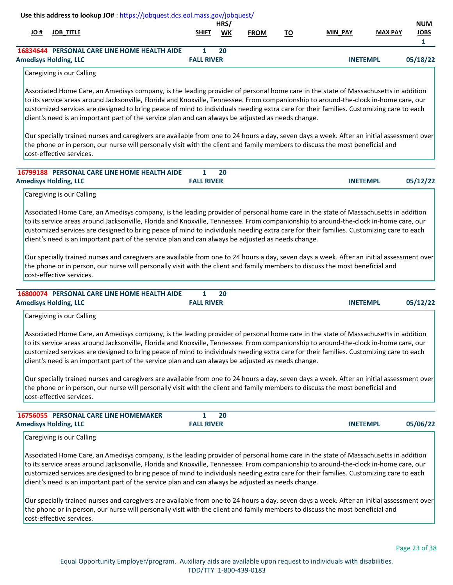|      |                                              | Use this address to lookup JO#: https://jobquest.dcs.eol.mass.gov/jobquest/                                                                                                                                                                                                                                                                                                                                                                                                                                                                                                                                                                                             |                                   | HRS/ |             |           |                 |                | <b>NUM</b>                  |
|------|----------------------------------------------|-------------------------------------------------------------------------------------------------------------------------------------------------------------------------------------------------------------------------------------------------------------------------------------------------------------------------------------------------------------------------------------------------------------------------------------------------------------------------------------------------------------------------------------------------------------------------------------------------------------------------------------------------------------------------|-----------------------------------|------|-------------|-----------|-----------------|----------------|-----------------------------|
| # JO | <b>JOB_TITLE</b>                             |                                                                                                                                                                                                                                                                                                                                                                                                                                                                                                                                                                                                                                                                         | SHIFT                             | WK   | <b>FROM</b> | <u>TO</u> | <b>MIN PAY</b>  | <b>MAX PAY</b> | <b>JOBS</b><br>$\mathbf{1}$ |
|      |                                              | 16834644 PERSONAL CARE LINE HOME HEALTH AIDE                                                                                                                                                                                                                                                                                                                                                                                                                                                                                                                                                                                                                            | 1                                 | 20   |             |           |                 |                |                             |
|      | <b>Amedisys Holding, LLC</b>                 |                                                                                                                                                                                                                                                                                                                                                                                                                                                                                                                                                                                                                                                                         | <b>FALL RIVER</b>                 |      |             |           | <b>INETEMPL</b> |                | 05/18/22                    |
|      | Caregiving is our Calling                    |                                                                                                                                                                                                                                                                                                                                                                                                                                                                                                                                                                                                                                                                         |                                   |      |             |           |                 |                |                             |
|      |                                              | Associated Home Care, an Amedisys company, is the leading provider of personal home care in the state of Massachusetts in addition<br>to its service areas around Jacksonville, Florida and Knoxville, Tennessee. From companionship to around-the-clock in-home care, our<br>customized services are designed to bring peace of mind to individuals needing extra care for their families. Customizing care to each<br>client's need is an important part of the service plan and can always be adjusted as needs change.                                                                                                                                              |                                   |      |             |           |                 |                |                             |
|      | cost-effective services.                     | Our specially trained nurses and caregivers are available from one to 24 hours a day, seven days a week. After an initial assessment over<br>the phone or in person, our nurse will personally visit with the client and family members to discuss the most beneficial and                                                                                                                                                                                                                                                                                                                                                                                              |                                   |      |             |           |                 |                |                             |
|      |                                              | 16799188 PERSONAL CARE LINE HOME HEALTH AIDE                                                                                                                                                                                                                                                                                                                                                                                                                                                                                                                                                                                                                            | $\mathbf{1}$                      | 20   |             |           |                 |                |                             |
|      | <b>Amedisys Holding, LLC</b>                 |                                                                                                                                                                                                                                                                                                                                                                                                                                                                                                                                                                                                                                                                         | <b>FALL RIVER</b>                 |      |             |           | <b>INETEMPL</b> |                | 05/12/22                    |
|      | Caregiving is our Calling                    |                                                                                                                                                                                                                                                                                                                                                                                                                                                                                                                                                                                                                                                                         |                                   |      |             |           |                 |                |                             |
|      | cost-effective services.                     | customized services are designed to bring peace of mind to individuals needing extra care for their families. Customizing care to each<br>client's need is an important part of the service plan and can always be adjusted as needs change.<br>Our specially trained nurses and caregivers are available from one to 24 hours a day, seven days a week. After an initial assessment over<br>the phone or in person, our nurse will personally visit with the client and family members to discuss the most beneficial and                                                                                                                                              |                                   |      |             |           |                 |                |                             |
|      | <b>Amedisys Holding, LLC</b>                 | 16800074 PERSONAL CARE LINE HOME HEALTH AIDE                                                                                                                                                                                                                                                                                                                                                                                                                                                                                                                                                                                                                            | $\mathbf{1}$<br><b>FALL RIVER</b> | 20   |             |           | <b>INETEMPL</b> |                | 05/12/22                    |
|      | Caregiving is our Calling                    |                                                                                                                                                                                                                                                                                                                                                                                                                                                                                                                                                                                                                                                                         |                                   |      |             |           |                 |                |                             |
|      |                                              | Associated Home Care, an Amedisys company, is the leading provider of personal home care in the state of Massachusetts in addition<br>to its service areas around Jacksonville, Florida and Knoxville, Tennessee. From companionship to around-the-clock in-home care, our<br>customized services are designed to bring peace of mind to individuals needing extra care for their families. Customizing care to each<br>client's need is an important part of the service plan and can always be adjusted as needs change.                                                                                                                                              |                                   |      |             |           |                 |                |                             |
|      | cost-effective services.                     | Our specially trained nurses and caregivers are available from one to 24 hours a day, seven days a week. After an initial assessment over<br>the phone or in person, our nurse will personally visit with the client and family members to discuss the most beneficial and                                                                                                                                                                                                                                                                                                                                                                                              |                                   |      |             |           |                 |                |                             |
|      | <b>16756055 PERSONAL CARE LINE HOMEMAKER</b> |                                                                                                                                                                                                                                                                                                                                                                                                                                                                                                                                                                                                                                                                         | $\mathbf{1}$                      | 20   |             |           |                 |                |                             |
|      | <b>Amedisys Holding, LLC</b>                 |                                                                                                                                                                                                                                                                                                                                                                                                                                                                                                                                                                                                                                                                         | <b>FALL RIVER</b>                 |      |             |           | <b>INETEMPL</b> |                | 05/06/22                    |
|      | Caregiving is our Calling                    |                                                                                                                                                                                                                                                                                                                                                                                                                                                                                                                                                                                                                                                                         |                                   |      |             |           |                 |                |                             |
|      |                                              | Associated Home Care, an Amedisys company, is the leading provider of personal home care in the state of Massachusetts in addition<br>to its service areas around Jacksonville, Florida and Knoxville, Tennessee. From companionship to around-the-clock in-home care, our<br>customized services are designed to bring peace of mind to individuals needing extra care for their families. Customizing care to each<br>client's need is an important part of the service plan and can always be adjusted as needs change.<br>Our specially trained nurses and caregivers are available from one to 24 hours a day, seven days a week. After an initial assessment over |                                   |      |             |           |                 |                |                             |
|      | cost-effective services.                     | the phone or in person, our nurse will personally visit with the client and family members to discuss the most beneficial and                                                                                                                                                                                                                                                                                                                                                                                                                                                                                                                                           |                                   |      |             |           |                 |                |                             |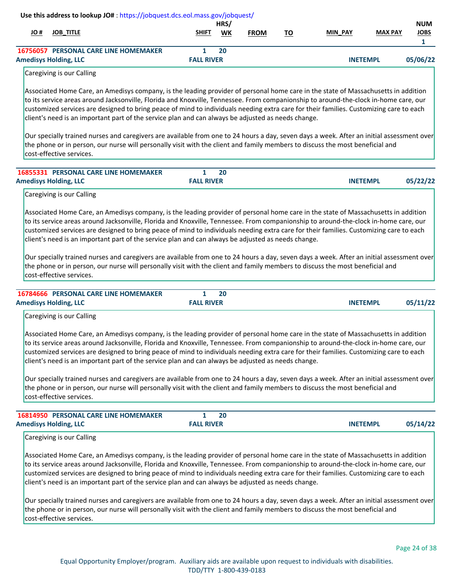| H OL | <b>JOB_TITLE</b>                                                                                                                                                                                                                                                                                                                                                                                                                                                                                                                                                                                                                                                        | SHIFT                             | HRS/<br>WK | <b>FROM</b> | <u>TO</u> | <b>MIN PAY</b> | <b>MAX PAY</b>  | <b>NUM</b><br><b>JOBS</b><br>$\mathbf{1}$ |
|------|-------------------------------------------------------------------------------------------------------------------------------------------------------------------------------------------------------------------------------------------------------------------------------------------------------------------------------------------------------------------------------------------------------------------------------------------------------------------------------------------------------------------------------------------------------------------------------------------------------------------------------------------------------------------------|-----------------------------------|------------|-------------|-----------|----------------|-----------------|-------------------------------------------|
|      | 16756057 PERSONAL CARE LINE HOMEMAKER<br><b>Amedisys Holding, LLC</b>                                                                                                                                                                                                                                                                                                                                                                                                                                                                                                                                                                                                   | $\mathbf{1}$<br><b>FALL RIVER</b> | 20         |             |           |                | <b>INETEMPL</b> | 05/06/22                                  |
|      | Caregiving is our Calling                                                                                                                                                                                                                                                                                                                                                                                                                                                                                                                                                                                                                                               |                                   |            |             |           |                |                 |                                           |
|      | Associated Home Care, an Amedisys company, is the leading provider of personal home care in the state of Massachusetts in addition<br>to its service areas around Jacksonville, Florida and Knoxville, Tennessee. From companionship to around-the-clock in-home care, our<br>customized services are designed to bring peace of mind to individuals needing extra care for their families. Customizing care to each<br>client's need is an important part of the service plan and can always be adjusted as needs change.<br>Our specially trained nurses and caregivers are available from one to 24 hours a day, seven days a week. After an initial assessment over |                                   |            |             |           |                |                 |                                           |
|      | the phone or in person, our nurse will personally visit with the client and family members to discuss the most beneficial and<br>cost-effective services.                                                                                                                                                                                                                                                                                                                                                                                                                                                                                                               |                                   |            |             |           |                |                 |                                           |
|      | 16855331 PERSONAL CARE LINE HOMEMAKER<br><b>Amedisys Holding, LLC</b>                                                                                                                                                                                                                                                                                                                                                                                                                                                                                                                                                                                                   | 1<br><b>FALL RIVER</b>            | 20         |             |           |                | <b>INETEMPL</b> | 05/22/22                                  |
|      | Caregiving is our Calling                                                                                                                                                                                                                                                                                                                                                                                                                                                                                                                                                                                                                                               |                                   |            |             |           |                |                 |                                           |
|      | client's need is an important part of the service plan and can always be adjusted as needs change.                                                                                                                                                                                                                                                                                                                                                                                                                                                                                                                                                                      |                                   |            |             |           |                |                 |                                           |
|      | Our specially trained nurses and caregivers are available from one to 24 hours a day, seven days a week. After an initial assessment over<br>the phone or in person, our nurse will personally visit with the client and family members to discuss the most beneficial and<br>cost-effective services.                                                                                                                                                                                                                                                                                                                                                                  |                                   |            |             |           |                |                 |                                           |
|      | <b>16784666 PERSONAL CARE LINE HOMEMAKER</b><br><b>Amedisys Holding, LLC</b>                                                                                                                                                                                                                                                                                                                                                                                                                                                                                                                                                                                            | $\mathbf{1}$<br><b>FALL RIVER</b> | 20         |             |           |                | <b>INETEMPL</b> |                                           |
|      | Caregiving is our Calling                                                                                                                                                                                                                                                                                                                                                                                                                                                                                                                                                                                                                                               |                                   |            |             |           |                |                 |                                           |
|      | Associated Home Care, an Amedisys company, is the leading provider of personal home care in the state of Massachusetts in addition<br>to its service areas around Jacksonville, Florida and Knoxville, Tennessee. From companionship to around-the-clock in-home care, our<br>customized services are designed to bring peace of mind to individuals needing extra care for their families. Customizing care to each<br>client's need is an important part of the service plan and can always be adjusted as needs change.                                                                                                                                              |                                   |            |             |           |                |                 |                                           |
|      | Our specially trained nurses and caregivers are available from one to 24 hours a day, seven days a week. After an initial assessment over<br>the phone or in person, our nurse will personally visit with the client and family members to discuss the most beneficial and<br>cost-effective services.                                                                                                                                                                                                                                                                                                                                                                  |                                   |            |             |           |                |                 |                                           |
|      | 16814950 PERSONAL CARE LINE HOMEMAKER                                                                                                                                                                                                                                                                                                                                                                                                                                                                                                                                                                                                                                   | 1                                 | 20         |             |           |                |                 |                                           |
|      | <b>Amedisys Holding, LLC</b><br>Caregiving is our Calling                                                                                                                                                                                                                                                                                                                                                                                                                                                                                                                                                                                                               | <b>FALL RIVER</b>                 |            |             |           |                | <b>INETEMPL</b> | 05/11/22<br>05/14/22                      |

Our specially trained nurses and caregivers are available from one to 24 hours a day, seven days a week. After an initial assessment over the phone or in person, our nurse will personally visit with the client and family members to discuss the most beneficial and cost-effective services.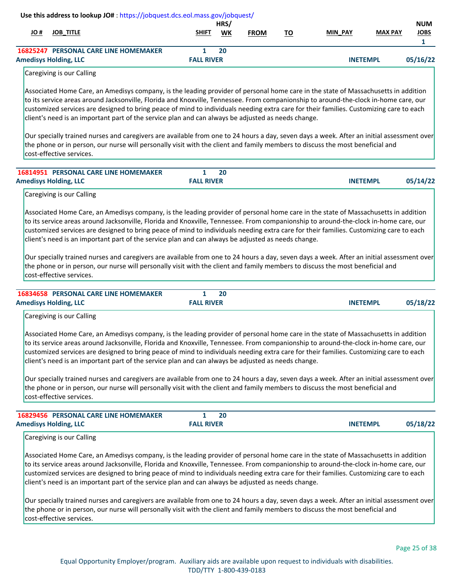| # JO | <b>JOB_TITLE</b>                                                                                                                                                                                                                                                                                                                                                                                                                                                                                                                                                                                                                                                                                                                                                                                                                      | SHIFT                             | HRS/<br><b>WK</b> | <b>FROM</b> | <u>TO</u> | <b>MIN_PAY</b>  | <b>MAX PAY</b> | <b>NUM</b><br><b>JOBS</b><br>$\mathbf{1}$ |
|------|---------------------------------------------------------------------------------------------------------------------------------------------------------------------------------------------------------------------------------------------------------------------------------------------------------------------------------------------------------------------------------------------------------------------------------------------------------------------------------------------------------------------------------------------------------------------------------------------------------------------------------------------------------------------------------------------------------------------------------------------------------------------------------------------------------------------------------------|-----------------------------------|-------------------|-------------|-----------|-----------------|----------------|-------------------------------------------|
|      | <b>16825247 PERSONAL CARE LINE HOMEMAKER</b><br><b>Amedisys Holding, LLC</b>                                                                                                                                                                                                                                                                                                                                                                                                                                                                                                                                                                                                                                                                                                                                                          | $\mathbf{1}$<br><b>FALL RIVER</b> | 20                |             |           | <b>INETEMPL</b> |                | 05/16/22                                  |
|      | Caregiving is our Calling                                                                                                                                                                                                                                                                                                                                                                                                                                                                                                                                                                                                                                                                                                                                                                                                             |                                   |                   |             |           |                 |                |                                           |
|      | Associated Home Care, an Amedisys company, is the leading provider of personal home care in the state of Massachusetts in addition<br>to its service areas around Jacksonville, Florida and Knoxville, Tennessee. From companionship to around-the-clock in-home care, our<br>customized services are designed to bring peace of mind to individuals needing extra care for their families. Customizing care to each<br>client's need is an important part of the service plan and can always be adjusted as needs change.                                                                                                                                                                                                                                                                                                            |                                   |                   |             |           |                 |                |                                           |
|      | Our specially trained nurses and caregivers are available from one to 24 hours a day, seven days a week. After an initial assessment over<br>the phone or in person, our nurse will personally visit with the client and family members to discuss the most beneficial and<br>cost-effective services.                                                                                                                                                                                                                                                                                                                                                                                                                                                                                                                                |                                   |                   |             |           |                 |                |                                           |
|      | <b>16814951 PERSONAL CARE LINE HOMEMAKER</b>                                                                                                                                                                                                                                                                                                                                                                                                                                                                                                                                                                                                                                                                                                                                                                                          | $\mathbf{1}$                      | 20                |             |           |                 |                |                                           |
|      | <b>Amedisys Holding, LLC</b><br>Caregiving is our Calling                                                                                                                                                                                                                                                                                                                                                                                                                                                                                                                                                                                                                                                                                                                                                                             | <b>FALL RIVER</b>                 |                   |             |           | <b>INETEMPL</b> |                | 05/14/22                                  |
|      | Our specially trained nurses and caregivers are available from one to 24 hours a day, seven days a week. After an initial assessment over<br>the phone or in person, our nurse will personally visit with the client and family members to discuss the most beneficial and<br>cost-effective services.<br>16834658 PERSONAL CARE LINE HOMEMAKER                                                                                                                                                                                                                                                                                                                                                                                                                                                                                       | $\mathbf{1}$                      | 20                |             |           |                 |                |                                           |
|      | <b>Amedisys Holding, LLC</b><br>Caregiving is our Calling                                                                                                                                                                                                                                                                                                                                                                                                                                                                                                                                                                                                                                                                                                                                                                             | <b>FALL RIVER</b>                 |                   |             |           | <b>INETEMPL</b> |                | 05/18/22                                  |
|      | Associated Home Care, an Amedisys company, is the leading provider of personal home care in the state of Massachusetts in addition<br>to its service areas around Jacksonville, Florida and Knoxville, Tennessee. From companionship to around-the-clock in-home care, our<br>customized services are designed to bring peace of mind to individuals needing extra care for their families. Customizing care to each<br>client's need is an important part of the service plan and can always be adjusted as needs change.<br>Our specially trained nurses and caregivers are available from one to 24 hours a day, seven days a week. After an initial assessment over<br>the phone or in person, our nurse will personally visit with the client and family members to discuss the most beneficial and<br>cost-effective services.  |                                   |                   |             |           |                 |                |                                           |
|      |                                                                                                                                                                                                                                                                                                                                                                                                                                                                                                                                                                                                                                                                                                                                                                                                                                       |                                   |                   |             |           |                 |                |                                           |
|      | 16829456 PERSONAL CARE LINE HOMEMAKER<br><b>Amedisys Holding, LLC</b>                                                                                                                                                                                                                                                                                                                                                                                                                                                                                                                                                                                                                                                                                                                                                                 | $\mathbf{1}$<br><b>FALL RIVER</b> | 20                |             |           | <b>INETEMPL</b> |                | 05/18/22                                  |
|      | Caregiving is our Calling<br>Associated Home Care, an Amedisys company, is the leading provider of personal home care in the state of Massachusetts in addition<br>to its service areas around Jacksonville, Florida and Knoxville, Tennessee. From companionship to around-the-clock in-home care, our<br>customized services are designed to bring peace of mind to individuals needing extra care for their families. Customizing care to each<br>client's need is an important part of the service plan and can always be adjusted as needs change.<br>Our specially trained nurses and caregivers are available from one to 24 hours a day, seven days a week. After an initial assessment over<br>the phone or in person, our nurse will personally visit with the client and family members to discuss the most beneficial and |                                   |                   |             |           |                 |                |                                           |

cost-effective services.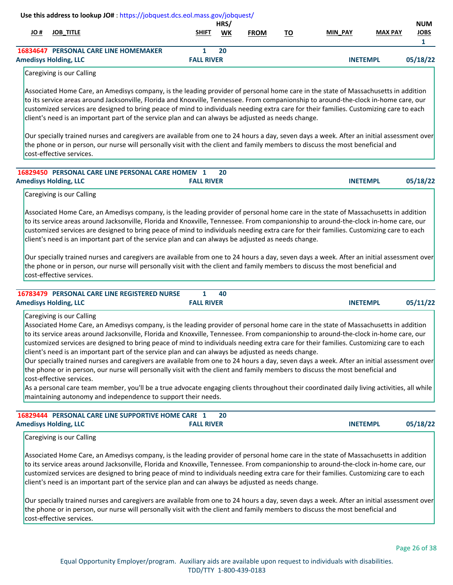| # JO | <b>JOB_TITLE</b>                                                                                                                                                                                                                                                                                                                                                                                                                                                                                                                                                                                                                                                                                                                                                                                                                                                                                                                                                                                                                                                                 | SHIFT             | HRS/<br>WK | <b>FROM</b> | <u>TO</u> | MIN_PAY         | <b>MAX PAY</b> | <b>NUM</b><br><b>JOBS</b> |
|------|----------------------------------------------------------------------------------------------------------------------------------------------------------------------------------------------------------------------------------------------------------------------------------------------------------------------------------------------------------------------------------------------------------------------------------------------------------------------------------------------------------------------------------------------------------------------------------------------------------------------------------------------------------------------------------------------------------------------------------------------------------------------------------------------------------------------------------------------------------------------------------------------------------------------------------------------------------------------------------------------------------------------------------------------------------------------------------|-------------------|------------|-------------|-----------|-----------------|----------------|---------------------------|
|      | <b>16834647 PERSONAL CARE LINE HOMEMAKER</b>                                                                                                                                                                                                                                                                                                                                                                                                                                                                                                                                                                                                                                                                                                                                                                                                                                                                                                                                                                                                                                     | 1                 | 20         |             |           |                 |                | $\mathbf{1}$              |
|      | <b>Amedisys Holding, LLC</b>                                                                                                                                                                                                                                                                                                                                                                                                                                                                                                                                                                                                                                                                                                                                                                                                                                                                                                                                                                                                                                                     | <b>FALL RIVER</b> |            |             |           | <b>INETEMPL</b> |                | 05/18/22                  |
|      | Caregiving is our Calling                                                                                                                                                                                                                                                                                                                                                                                                                                                                                                                                                                                                                                                                                                                                                                                                                                                                                                                                                                                                                                                        |                   |            |             |           |                 |                |                           |
|      | Associated Home Care, an Amedisys company, is the leading provider of personal home care in the state of Massachusetts in addition<br>to its service areas around Jacksonville, Florida and Knoxville, Tennessee. From companionship to around-the-clock in-home care, our<br>customized services are designed to bring peace of mind to individuals needing extra care for their families. Customizing care to each<br>client's need is an important part of the service plan and can always be adjusted as needs change.                                                                                                                                                                                                                                                                                                                                                                                                                                                                                                                                                       |                   |            |             |           |                 |                |                           |
|      | Our specially trained nurses and caregivers are available from one to 24 hours a day, seven days a week. After an initial assessment over<br>the phone or in person, our nurse will personally visit with the client and family members to discuss the most beneficial and<br>cost-effective services.                                                                                                                                                                                                                                                                                                                                                                                                                                                                                                                                                                                                                                                                                                                                                                           |                   |            |             |           |                 |                |                           |
|      | 16829450 PERSONAL CARE LINE PERSONAL CARE HOMEM 1<br><b>Amedisys Holding, LLC</b>                                                                                                                                                                                                                                                                                                                                                                                                                                                                                                                                                                                                                                                                                                                                                                                                                                                                                                                                                                                                | <b>FALL RIVER</b> | 20         |             |           | <b>INETEMPL</b> |                | 05/18/22                  |
|      |                                                                                                                                                                                                                                                                                                                                                                                                                                                                                                                                                                                                                                                                                                                                                                                                                                                                                                                                                                                                                                                                                  |                   |            |             |           |                 |                |                           |
|      | Caregiving is our Calling<br>Associated Home Care, an Amedisys company, is the leading provider of personal home care in the state of Massachusetts in addition<br>to its service areas around Jacksonville, Florida and Knoxville, Tennessee. From companionship to around-the-clock in-home care, our<br>customized services are designed to bring peace of mind to individuals needing extra care for their families. Customizing care to each<br>client's need is an important part of the service plan and can always be adjusted as needs change.                                                                                                                                                                                                                                                                                                                                                                                                                                                                                                                          |                   |            |             |           |                 |                |                           |
|      | Our specially trained nurses and caregivers are available from one to 24 hours a day, seven days a week. After an initial assessment over<br>the phone or in person, our nurse will personally visit with the client and family members to discuss the most beneficial and<br>cost-effective services.                                                                                                                                                                                                                                                                                                                                                                                                                                                                                                                                                                                                                                                                                                                                                                           |                   |            |             |           |                 |                |                           |
|      | 16783479 PERSONAL CARE LINE REGISTERED NURSE                                                                                                                                                                                                                                                                                                                                                                                                                                                                                                                                                                                                                                                                                                                                                                                                                                                                                                                                                                                                                                     | 1                 | 40         |             |           |                 |                |                           |
|      | <b>Amedisys Holding, LLC</b>                                                                                                                                                                                                                                                                                                                                                                                                                                                                                                                                                                                                                                                                                                                                                                                                                                                                                                                                                                                                                                                     | <b>FALL RIVER</b> |            |             |           | <b>INETEMPL</b> |                |                           |
|      | Caregiving is our Calling<br>Associated Home Care, an Amedisys company, is the leading provider of personal home care in the state of Massachusetts in addition<br>to its service areas around Jacksonville, Florida and Knoxville, Tennessee. From companionship to around-the-clock in-home care, our<br>customized services are designed to bring peace of mind to individuals needing extra care for their families. Customizing care to each<br>client's need is an important part of the service plan and can always be adjusted as needs change.<br>Our specially trained nurses and caregivers are available from one to 24 hours a day, seven days a week. After an initial assessment over<br>the phone or in person, our nurse will personally visit with the client and family members to discuss the most beneficial and<br>cost-effective services.<br>As a personal care team member, you'll be a true advocate engaging clients throughout their coordinated daily living activities, all while<br>maintaining autonomy and independence to support their needs. |                   |            |             |           |                 |                |                           |
|      | 16829444 PERSONAL CARE LINE SUPPORTIVE HOME CARE 1                                                                                                                                                                                                                                                                                                                                                                                                                                                                                                                                                                                                                                                                                                                                                                                                                                                                                                                                                                                                                               |                   | 20         |             |           |                 |                | 05/11/22                  |

Associated Home Care, an Amedisys company, is the leading provider of personal home care in the state of Massachusetts in addition to its service areas around Jacksonville, Florida and Knoxville, Tennessee. From companionship to around-the-clock in-home care, our customized services are designed to bring peace of mind to individuals needing extra care for their families. Customizing care to each client's need is an important part of the service plan and can always be adjusted as needs change.

Our specially trained nurses and caregivers are available from one to 24 hours a day, seven days a week. After an initial assessment over the phone or in person, our nurse will personally visit with the client and family members to discuss the most beneficial and cost-effective services.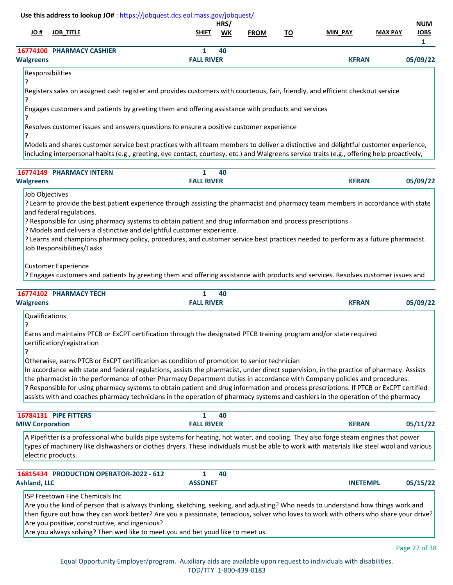| # OL             | <b>JOB TITLE</b>          | <b>SHIFT</b>      | HRS/<br>WK | <b>FROM</b> | <u>TO</u> | <b>MIN PAY</b> | <b>MAX PAY</b> | <b>NUM</b><br><b>JOBS</b> |
|------------------|---------------------------|-------------------|------------|-------------|-----------|----------------|----------------|---------------------------|
| <b>Walgreens</b> | 16774100 PHARMACY CASHIER | <b>FALL RIVER</b> | 40         |             |           | <b>KFRAN</b>   |                | 05/09/22                  |

```
Responsibilities
```
? Registers sales on assigned cash register and provides customers with courteous, fair, friendly, and efficient checkout service

? Engages customers and patients by greeting them and offering assistance with products and services

? Resolves customer issues and answers questions to ensure a positive customer experience

Models and shares customer service best practices with all team members to deliver a distinctive and delightful customer experience, including interpersonal habits (e.g., greeting, eye contact, courtesy, etc.) and Walgreens service traits (e.g., offering help proactively,

|                  | <b>16774149 PHARMACY INTERN</b> |                   | 40 |              |          |
|------------------|---------------------------------|-------------------|----|--------------|----------|
| <b>Walgreens</b> |                                 | <b>FALL RIVER</b> |    | <b>KFRAN</b> | 05/09/22 |

Job Objectives

?

? Learn to provide the best patient experience through assisting the pharmacist and pharmacy team members in accordance with state and federal regulations.

? Responsible for using pharmacy systems to obtain patient and drug information and process prescriptions

? Models and delivers a distinctive and delightful customer experience.

? Learns and champions pharmacy policy, procedures, and customer service best practices needed to perform as a future pharmacist. Job Responsibilities/Tasks

Customer Experience

? Engages customers and patients by greeting them and offering assistance with products and services. Resolves customer issues and

| 16774102         | <b>PHARMACY TECH</b> |                   | 40 |              |          |
|------------------|----------------------|-------------------|----|--------------|----------|
| <b>Walgreens</b> |                      | <b>FALL RIVER</b> |    | <b>KFRAN</b> | 05/09/22 |

Qualifications

?

Earns and maintains PTCB or ExCPT certification through the designated PTCB training program and/or state required certification/registration

? Otherwise, earns PTCB or ExCPT certification as condition of promotion to senior technician

In accordance with state and federal regulations, assists the pharmacist, under direct supervision, in the practice of pharmacy. Assists the pharmacist in the performance of other Pharmacy Department duties in accordance with Company policies and procedures. ? Responsible for using pharmacy systems to obtain patient and drug information and process prescriptions. If PTCB or ExCPT certified assists with and coaches pharmacy technicians in the operation of pharmacy systems and cashiers in the operation of the pharmacy

| 16784131 PIPE FITTERS<br><b>MIW Corporation</b> | -40<br><b>FALL RIVER</b>                                                                                                                                                                                                                                                         | <b>KFRAN</b> | 05/11/22 |
|-------------------------------------------------|----------------------------------------------------------------------------------------------------------------------------------------------------------------------------------------------------------------------------------------------------------------------------------|--------------|----------|
| electric products.                              | A Pipefitter is a professional who builds pipe systems for heating, hot water, and cooling. They also forge steam engines that power<br>types of machinery like dishwashers or clothes dryers. These individuals must be able to work with materials like steel wool and various |              |          |

| 16815434 PRODUCTION OPERATOR-2022 - 612                                                                                               |                | 40 |                 |          |
|---------------------------------------------------------------------------------------------------------------------------------------|----------------|----|-----------------|----------|
| Ashland. LLC                                                                                                                          | <b>ASSONET</b> |    | <b>INETEMPL</b> | 05/15/22 |
| <b>ISP Freetown Fine Chemicals Inc.</b>                                                                                               |                |    |                 |          |
| Are you the kind of person that is always thinking, sketching, seeking, and adjusting? Who needs to understand how things work and    |                |    |                 |          |
| then figure out how they can work better? Are you a passionate, tenacious, solver who loves to work with others who share your drive? |                |    |                 |          |

Are you positive, constructive, and ingenious?

Are you always solving? Then wed like to meet you and bet youd like to meet us.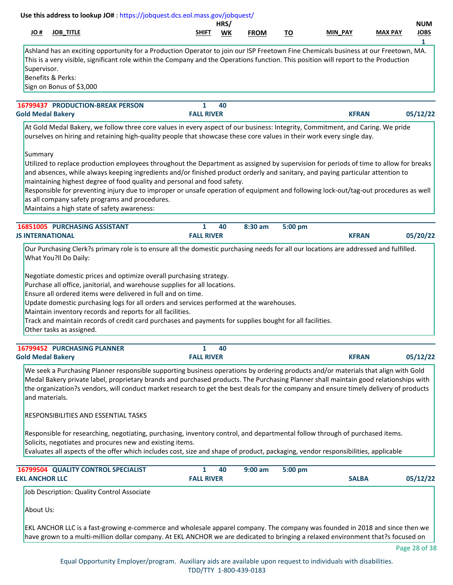| # JO<br><b>JOB_TITLE</b>                                                                                                                                                                                                                                                                                                                                                                                                                                                                                                                                                                                 | SHIFT                             | HRS/<br>WK | <b>FROM</b> | <u>TO</u> | MIN PAY      | <b>MAX PAY</b> | <b>NUM</b><br><b>JOBS</b><br>1 |
|----------------------------------------------------------------------------------------------------------------------------------------------------------------------------------------------------------------------------------------------------------------------------------------------------------------------------------------------------------------------------------------------------------------------------------------------------------------------------------------------------------------------------------------------------------------------------------------------------------|-----------------------------------|------------|-------------|-----------|--------------|----------------|--------------------------------|
| Ashland has an exciting opportunity for a Production Operator to join our ISP Freetown Fine Chemicals business at our Freetown, MA.<br>This is a very visible, significant role within the Company and the Operations function. This position will report to the Production<br>Supervisor.<br>Benefits & Perks:<br>Sign on Bonus of \$3,000                                                                                                                                                                                                                                                              |                                   |            |             |           |              |                |                                |
| <b>16799437 PRODUCTION-BREAK PERSON</b><br><b>Gold Medal Bakery</b>                                                                                                                                                                                                                                                                                                                                                                                                                                                                                                                                      | $\mathbf{1}$<br><b>FALL RIVER</b> | 40         |             |           | <b>KFRAN</b> |                | 05/12/22                       |
| At Gold Medal Bakery, we follow three core values in every aspect of our business: Integrity, Commitment, and Caring. We pride<br>ourselves on hiring and retaining high-quality people that showcase these core values in their work every single day.                                                                                                                                                                                                                                                                                                                                                  |                                   |            |             |           |              |                |                                |
| Summary<br>Utilized to replace production employees throughout the Department as assigned by supervision for periods of time to allow for breaks<br>and absences, while always keeping ingredients and/or finished product orderly and sanitary, and paying particular attention to<br>maintaining highest degree of food quality and personal and food safety.<br>Responsible for preventing injury due to improper or unsafe operation of equipment and following lock-out/tag-out procedures as well<br>as all company safety programs and procedures.<br>Maintains a high state of safety awareness: |                                   |            |             |           |              |                |                                |
| 16851005 PURCHASING ASSISTANT<br><b>JS INTERNATIONAL</b>                                                                                                                                                                                                                                                                                                                                                                                                                                                                                                                                                 | $\mathbf{1}$<br><b>FALL RIVER</b> | 40         | 8:30 am     | 5:00 pm   | <b>KFRAN</b> |                | 05/20/22                       |
| Negotiate domestic prices and optimize overall purchasing strategy.<br>Purchase all office, janitorial, and warehouse supplies for all locations.<br>Ensure all ordered items were delivered in full and on time.<br>Update domestic purchasing logs for all orders and services performed at the warehouses.<br>Maintain inventory records and reports for all facilities.<br>Track and maintain records of credit card purchases and payments for supplies bought for all facilities.<br>Other tasks as assigned.                                                                                      |                                   |            |             |           |              |                |                                |
| 16799452 PURCHASING PLANNER<br><b>Gold Medal Bakery</b>                                                                                                                                                                                                                                                                                                                                                                                                                                                                                                                                                  | $\mathbf{1}$<br><b>FALL RIVER</b> | 40         |             |           | <b>KFRAN</b> |                | 05/12/22                       |
| We seek a Purchasing Planner responsible supporting business operations by ordering products and/or materials that align with Gold<br>Medal Bakery private label, proprietary brands and purchased products. The Purchasing Planner shall maintain good relationships with<br>the organization?s vendors, will conduct market research to get the best deals for the company and ensure timely delivery of products<br>and materials.<br><b>RESPONSIBILITIES AND ESSENTIAL TASKS</b>                                                                                                                     |                                   |            |             |           |              |                |                                |
| Responsible for researching, negotiating, purchasing, inventory control, and departmental follow through of purchased items.<br>Solicits, negotiates and procures new and existing items.<br>Evaluates all aspects of the offer which includes cost, size and shape of product, packaging, vendor responsibilities, applicable                                                                                                                                                                                                                                                                           |                                   |            |             |           |              |                |                                |
| 16799504 QUALITY CONTROL SPECIALIST<br><b>EKL ANCHOR LLC</b>                                                                                                                                                                                                                                                                                                                                                                                                                                                                                                                                             | $\mathbf{1}$<br><b>FALL RIVER</b> | 40         | $9:00$ am   | 5:00 pm   | <b>SALBA</b> |                | 05/12/22                       |
| Job Description: Quality Control Associate                                                                                                                                                                                                                                                                                                                                                                                                                                                                                                                                                               |                                   |            |             |           |              |                |                                |
| About Us:                                                                                                                                                                                                                                                                                                                                                                                                                                                                                                                                                                                                |                                   |            |             |           |              |                |                                |
| EKL ANCHOR LLC is a fast-growing e-commerce and wholesale apparel company. The company was founded in 2018 and since then we<br>have grown to a multi-million dollar company. At EKL ANCHOR we are dedicated to bringing a relaxed environment that?s focused on                                                                                                                                                                                                                                                                                                                                         |                                   |            |             |           |              |                |                                |
|                                                                                                                                                                                                                                                                                                                                                                                                                                                                                                                                                                                                          |                                   |            |             |           |              |                | Page 28 of 38                  |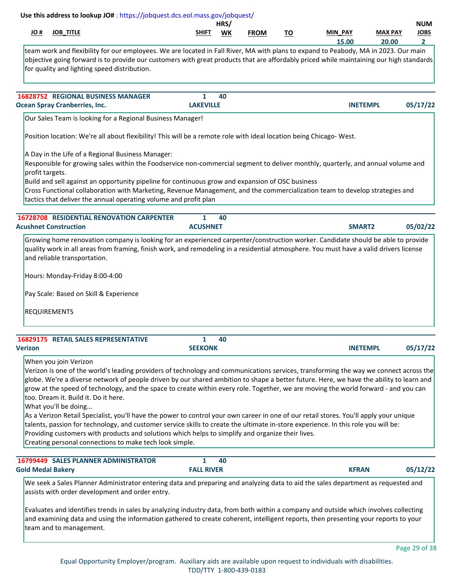|                 |                                                                                                 | Use this address to lookup JO#: https://jobquest.dcs.eol.mass.gov/jobquest/                                                                                                                                                                                                                                                                                                                                                                                                                                                                                                                                                                                                                                                                                                                                                                                             |                      | HRS/      |             |           |                    |                         | <b>NUM</b>                  |
|-----------------|-------------------------------------------------------------------------------------------------|-------------------------------------------------------------------------------------------------------------------------------------------------------------------------------------------------------------------------------------------------------------------------------------------------------------------------------------------------------------------------------------------------------------------------------------------------------------------------------------------------------------------------------------------------------------------------------------------------------------------------------------------------------------------------------------------------------------------------------------------------------------------------------------------------------------------------------------------------------------------------|----------------------|-----------|-------------|-----------|--------------------|-------------------------|-----------------------------|
| H OL            | <b>JOB_TITLE</b>                                                                                |                                                                                                                                                                                                                                                                                                                                                                                                                                                                                                                                                                                                                                                                                                                                                                                                                                                                         | SHIFT                | <b>WK</b> | <b>FROM</b> | <u>TO</u> | MIN PAY<br>15.00   | <b>MAX PAY</b><br>20.00 | <b>JOBS</b><br>$\mathbf{2}$ |
|                 |                                                                                                 | team work and flexibility for our employees. We are located in Fall River, MA with plans to expand to Peabody, MA in 2023. Our main<br>objective going forward is to provide our customers with great products that are affordably priced while maintaining our high standards<br>for quality and lighting speed distribution.                                                                                                                                                                                                                                                                                                                                                                                                                                                                                                                                          |                      |           |             |           |                    |                         |                             |
|                 |                                                                                                 | <b>16828752 REGIONAL BUSINESS MANAGER</b>                                                                                                                                                                                                                                                                                                                                                                                                                                                                                                                                                                                                                                                                                                                                                                                                                               | 1                    | 40        |             |           |                    |                         |                             |
|                 | <b>Ocean Spray Cranberries, Inc.</b>                                                            |                                                                                                                                                                                                                                                                                                                                                                                                                                                                                                                                                                                                                                                                                                                                                                                                                                                                         | <b>LAKEVILLE</b>     |           |             |           | <b>INETEMPL</b>    |                         | 05/17/22                    |
|                 |                                                                                                 | Our Sales Team is looking for a Regional Business Manager!<br>Position location: We're all about flexibility! This will be a remote role with ideal location being Chicago-West.                                                                                                                                                                                                                                                                                                                                                                                                                                                                                                                                                                                                                                                                                        |                      |           |             |           |                    |                         |                             |
| profit targets. |                                                                                                 | A Day in the Life of a Regional Business Manager:<br>Responsible for growing sales within the Foodservice non-commercial segment to deliver monthly, quarterly, and annual volume and<br>Build and sell against an opportunity pipeline for continuous grow and expansion of OSC business<br>Cross Functional collaboration with Marketing, Revenue Management, and the commercialization team to develop strategies and<br>tactics that deliver the annual operating volume and profit plan                                                                                                                                                                                                                                                                                                                                                                            |                      |           |             |           |                    |                         |                             |
|                 | <b>Acushnet Construction</b>                                                                    | <b>16728708 RESIDENTIAL RENOVATION CARPENTER</b>                                                                                                                                                                                                                                                                                                                                                                                                                                                                                                                                                                                                                                                                                                                                                                                                                        | 1<br><b>ACUSHNET</b> | 40        |             |           | SMART <sub>2</sub> |                         | 05/02/22                    |
|                 | Hours: Monday-Friday 8:00-4:00<br>Pay Scale: Based on Skill & Experience<br><b>REQUIREMENTS</b> |                                                                                                                                                                                                                                                                                                                                                                                                                                                                                                                                                                                                                                                                                                                                                                                                                                                                         |                      |           |             |           |                    |                         |                             |
| <b>Verizon</b>  | 16829175 RETAIL SALES REPRESENTATIVE                                                            |                                                                                                                                                                                                                                                                                                                                                                                                                                                                                                                                                                                                                                                                                                                                                                                                                                                                         | 1<br><b>SEEKONK</b>  | 40        |             |           | <b>INETEMPL</b>    |                         | 05/17/22                    |
|                 | When you join Verizon<br>too. Dream it. Build it. Do it here.<br>What you'll be doing           | Verizon is one of the world's leading providers of technology and communications services, transforming the way we connect across the<br>globe. We're a diverse network of people driven by our shared ambition to shape a better future. Here, we have the ability to learn and<br>grow at the speed of technology, and the space to create within every role. Together, we are moving the world forward - and you can<br>As a Verizon Retail Specialist, you'll have the power to control your own career in one of our retail stores. You'll apply your unique<br>talents, passion for technology, and customer service skills to create the ultimate in-store experience. In this role you will be:<br>Providing customers with products and solutions which helps to simplify and organize their lives.<br>Creating personal connections to make tech look simple. |                      |           |             |           |                    |                         |                             |
|                 |                                                                                                 | 16799449 SALES PLANNER ADMINISTRATOR                                                                                                                                                                                                                                                                                                                                                                                                                                                                                                                                                                                                                                                                                                                                                                                                                                    | 1                    | 40        |             |           |                    |                         |                             |
|                 | <b>Gold Medal Bakery</b>                                                                        | We seek a Sales Planner Administrator entering data and preparing and analyzing data to aid the sales department as requested and<br>assists with order development and order entry.                                                                                                                                                                                                                                                                                                                                                                                                                                                                                                                                                                                                                                                                                    | <b>FALL RIVER</b>    |           |             |           | <b>KFRAN</b>       |                         | 05/12/22                    |
|                 | team and to management.                                                                         | Evaluates and identifies trends in sales by analyzing industry data, from both within a company and outside which involves collecting<br>and examining data and using the information gathered to create coherent, intelligent reports, then presenting your reports to your                                                                                                                                                                                                                                                                                                                                                                                                                                                                                                                                                                                            |                      |           |             |           |                    |                         |                             |
|                 |                                                                                                 |                                                                                                                                                                                                                                                                                                                                                                                                                                                                                                                                                                                                                                                                                                                                                                                                                                                                         |                      |           |             |           |                    |                         | Page 29 of 38               |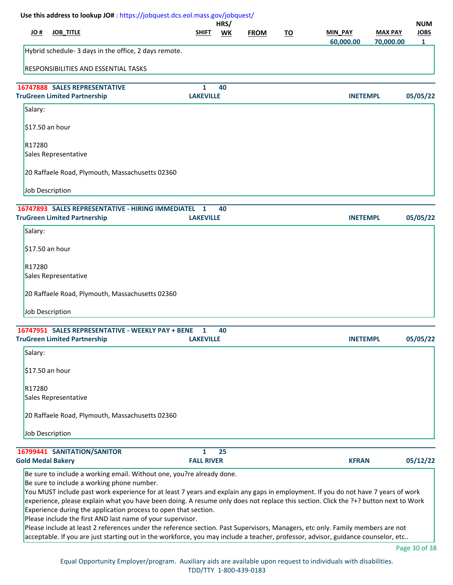| Use this address to lookup JO#: https://jobquest.dcs.eol.mass.gov/jobquest/                                                                                                                                                                                                                                                                                                                                                                                                                                                                                                                                                                                                                                                                                                                             |                   |                   |             |           |                             |                             |                                           |
|---------------------------------------------------------------------------------------------------------------------------------------------------------------------------------------------------------------------------------------------------------------------------------------------------------------------------------------------------------------------------------------------------------------------------------------------------------------------------------------------------------------------------------------------------------------------------------------------------------------------------------------------------------------------------------------------------------------------------------------------------------------------------------------------------------|-------------------|-------------------|-------------|-----------|-----------------------------|-----------------------------|-------------------------------------------|
| JO#<br><b>JOB_TITLE</b>                                                                                                                                                                                                                                                                                                                                                                                                                                                                                                                                                                                                                                                                                                                                                                                 | <b>SHIFT</b>      | HRS/<br><b>WK</b> | <b>FROM</b> | <u>TO</u> | <b>MIN PAY</b><br>60,000.00 | <b>MAX PAY</b><br>70,000.00 | <b>NUM</b><br><b>JOBS</b><br>$\mathbf{1}$ |
| Hybrid schedule- 3 days in the office, 2 days remote.                                                                                                                                                                                                                                                                                                                                                                                                                                                                                                                                                                                                                                                                                                                                                   |                   |                   |             |           |                             |                             |                                           |
| <b>RESPONSIBILITIES AND ESSENTIAL TASKS</b>                                                                                                                                                                                                                                                                                                                                                                                                                                                                                                                                                                                                                                                                                                                                                             |                   |                   |             |           |                             |                             |                                           |
| <b>16747888 SALES REPRESENTATIVE</b>                                                                                                                                                                                                                                                                                                                                                                                                                                                                                                                                                                                                                                                                                                                                                                    | 1                 | 40                |             |           |                             |                             |                                           |
| <b>TruGreen Limited Partnership</b>                                                                                                                                                                                                                                                                                                                                                                                                                                                                                                                                                                                                                                                                                                                                                                     | <b>LAKEVILLE</b>  |                   |             |           | <b>INETEMPL</b>             |                             | 05/05/22                                  |
| Salary:                                                                                                                                                                                                                                                                                                                                                                                                                                                                                                                                                                                                                                                                                                                                                                                                 |                   |                   |             |           |                             |                             |                                           |
| \$17.50 an hour                                                                                                                                                                                                                                                                                                                                                                                                                                                                                                                                                                                                                                                                                                                                                                                         |                   |                   |             |           |                             |                             |                                           |
| R17280                                                                                                                                                                                                                                                                                                                                                                                                                                                                                                                                                                                                                                                                                                                                                                                                  |                   |                   |             |           |                             |                             |                                           |
| Sales Representative                                                                                                                                                                                                                                                                                                                                                                                                                                                                                                                                                                                                                                                                                                                                                                                    |                   |                   |             |           |                             |                             |                                           |
| 20 Raffaele Road, Plymouth, Massachusetts 02360                                                                                                                                                                                                                                                                                                                                                                                                                                                                                                                                                                                                                                                                                                                                                         |                   |                   |             |           |                             |                             |                                           |
| <b>Job Description</b>                                                                                                                                                                                                                                                                                                                                                                                                                                                                                                                                                                                                                                                                                                                                                                                  |                   |                   |             |           |                             |                             |                                           |
| 16747893 SALES REPRESENTATIVE - HIRING IMMEDIATEL                                                                                                                                                                                                                                                                                                                                                                                                                                                                                                                                                                                                                                                                                                                                                       | 1                 | 40                |             |           |                             |                             |                                           |
| <b>TruGreen Limited Partnership</b>                                                                                                                                                                                                                                                                                                                                                                                                                                                                                                                                                                                                                                                                                                                                                                     | <b>LAKEVILLE</b>  |                   |             |           | <b>INETEMPL</b>             |                             | 05/05/22                                  |
| Salary:                                                                                                                                                                                                                                                                                                                                                                                                                                                                                                                                                                                                                                                                                                                                                                                                 |                   |                   |             |           |                             |                             |                                           |
| \$17.50 an hour                                                                                                                                                                                                                                                                                                                                                                                                                                                                                                                                                                                                                                                                                                                                                                                         |                   |                   |             |           |                             |                             |                                           |
| R <sub>17280</sub>                                                                                                                                                                                                                                                                                                                                                                                                                                                                                                                                                                                                                                                                                                                                                                                      |                   |                   |             |           |                             |                             |                                           |
| Sales Representative                                                                                                                                                                                                                                                                                                                                                                                                                                                                                                                                                                                                                                                                                                                                                                                    |                   |                   |             |           |                             |                             |                                           |
| 20 Raffaele Road, Plymouth, Massachusetts 02360                                                                                                                                                                                                                                                                                                                                                                                                                                                                                                                                                                                                                                                                                                                                                         |                   |                   |             |           |                             |                             |                                           |
| <b>Job Description</b>                                                                                                                                                                                                                                                                                                                                                                                                                                                                                                                                                                                                                                                                                                                                                                                  |                   |                   |             |           |                             |                             |                                           |
| 16747951 SALES REPRESENTATIVE - WEEKLY PAY + BENE                                                                                                                                                                                                                                                                                                                                                                                                                                                                                                                                                                                                                                                                                                                                                       | 1                 | 40                |             |           |                             |                             |                                           |
| <b>TruGreen Limited Partnership</b>                                                                                                                                                                                                                                                                                                                                                                                                                                                                                                                                                                                                                                                                                                                                                                     | <b>LAKEVILLE</b>  |                   |             |           | <b>INETEMPL</b>             |                             | 05/05/22                                  |
| Salary:                                                                                                                                                                                                                                                                                                                                                                                                                                                                                                                                                                                                                                                                                                                                                                                                 |                   |                   |             |           |                             |                             |                                           |
| \$17.50 an hour                                                                                                                                                                                                                                                                                                                                                                                                                                                                                                                                                                                                                                                                                                                                                                                         |                   |                   |             |           |                             |                             |                                           |
| R <sub>17280</sub>                                                                                                                                                                                                                                                                                                                                                                                                                                                                                                                                                                                                                                                                                                                                                                                      |                   |                   |             |           |                             |                             |                                           |
| Sales Representative                                                                                                                                                                                                                                                                                                                                                                                                                                                                                                                                                                                                                                                                                                                                                                                    |                   |                   |             |           |                             |                             |                                           |
| 20 Raffaele Road, Plymouth, Massachusetts 02360                                                                                                                                                                                                                                                                                                                                                                                                                                                                                                                                                                                                                                                                                                                                                         |                   |                   |             |           |                             |                             |                                           |
| Job Description                                                                                                                                                                                                                                                                                                                                                                                                                                                                                                                                                                                                                                                                                                                                                                                         |                   |                   |             |           |                             |                             |                                           |
| 16799441 SANITATION/SANITOR                                                                                                                                                                                                                                                                                                                                                                                                                                                                                                                                                                                                                                                                                                                                                                             | 1                 | 25                |             |           |                             |                             |                                           |
| <b>Gold Medal Bakery</b>                                                                                                                                                                                                                                                                                                                                                                                                                                                                                                                                                                                                                                                                                                                                                                                | <b>FALL RIVER</b> |                   |             |           | <b>KFRAN</b>                |                             | 05/12/22                                  |
| Be sure to include a working email. Without one, you?re already done.<br>Be sure to include a working phone number.<br>You MUST include past work experience for at least 7 years and explain any gaps in employment. If you do not have 7 years of work<br>experience, please explain what you have been doing. A resume only does not replace this section. Click the ?+? button next to Work<br>Experience during the application process to open that section.<br>Please include the first AND last name of your supervisor.<br>Please include at least 2 references under the reference section. Past Supervisors, Managers, etc only. Family members are not<br>acceptable. If you are just starting out in the workforce, you may include a teacher, professor, advisor, guidance counselor, etc |                   |                   |             |           |                             |                             |                                           |

Page 30 of 38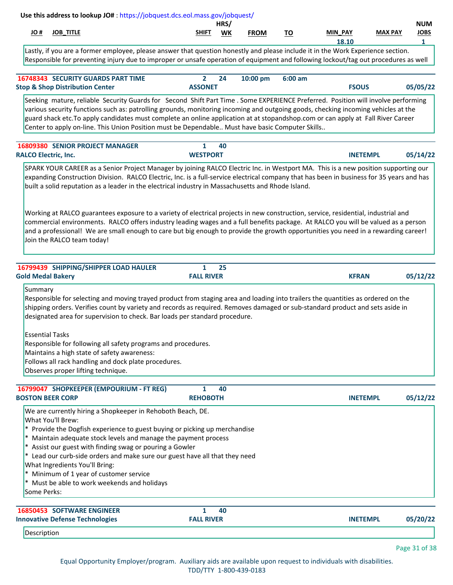|            |                     |                        | HRS, |      |           |                                     |                | <b>NUM</b>  |
|------------|---------------------|------------------------|------|------|-----------|-------------------------------------|----------------|-------------|
| <u>JO#</u> | <b>TITLE</b><br>JOB | <b>SHIFT</b><br>______ | WK   | ∶ROM | -~<br>. U | DAV<br><b>MIN</b><br>$\overline{ }$ | <b>MAX PAY</b> | <b>JOBS</b> |
|            |                     |                        |      |      |           | 10.IL                               |                |             |

Lastly, if you are a former employee, please answer that question honestly and please include it in the Work Experience section. Responsible for preventing injury due to improper or unsafe operation of equipment and following lockout/tag out procedures as well

| <b>16748343 SECURITY GUARDS PART TIME</b>  |                | 24 | 10:00 pm 6:00 am |              |          |
|--------------------------------------------|----------------|----|------------------|--------------|----------|
| <b>Stop &amp; Shop Distribution Center</b> | <b>ASSONET</b> |    |                  | <b>FSOUS</b> | 05/05/22 |

Seeking mature, reliable Security Guards for Second Shift Part Time . Some EXPERIENCE Preferred. Position will involve performing various security functions such as: patrolling grounds, monitoring incoming and outgoing goods, checking incoming vehicles at the guard shack etc.To apply candidates must complete an online application at at stopandshop.com or can apply at Fall River Career Center to apply on-line. This Union Position must be Dependable.. Must have basic Computer Skills..

|                             | <b>16809380 SENIOR PROJECT MANAGER</b>                                                                                                                                                                                                                                                                                                                                                                        |                 | 40 |                 |          |
|-----------------------------|---------------------------------------------------------------------------------------------------------------------------------------------------------------------------------------------------------------------------------------------------------------------------------------------------------------------------------------------------------------------------------------------------------------|-----------------|----|-----------------|----------|
| <b>RALCO Electric, Inc.</b> |                                                                                                                                                                                                                                                                                                                                                                                                               | <b>WESTPORT</b> |    | <b>INETEMPL</b> | 05/14/22 |
|                             | SPARK YOUR CAREER as a Senior Project Manager by joining RALCO Electric Inc. in Westport MA. This is a new position supporting our<br>expanding Construction Division. RALCO Electric, Inc. is a full-service electrical company that has been in business for 35 years and has<br>built a solid reputation as a leader in the electrical industry in Massachusetts and Rhode Island.                         |                 |    |                 |          |
|                             | Working at RALCO guarantees exposure to a variety of electrical projects in new construction, service, residential, industrial and<br>commercial environments. RALCO offers industry leading wages and a full benefits package. At RALCO you will be valued as a person<br>and a professional! We are small enough to care but big enough to provide the growth opportunities you need in a rewarding career! |                 |    |                 |          |

Join the RALCO team today!

| 16799439 SHIPPING/SHIPPER LOAD HAULER                                                                                            |                   | 25 |                 |          |
|----------------------------------------------------------------------------------------------------------------------------------|-------------------|----|-----------------|----------|
| <b>Gold Medal Bakery</b>                                                                                                         | <b>FALL RIVER</b> |    | <b>KFRAN</b>    | 05/12/22 |
| Summary                                                                                                                          |                   |    |                 |          |
| Responsible for selecting and moving trayed product from staging area and loading into trailers the quantities as ordered on the |                   |    |                 |          |
| shipping orders. Verifies count by variety and records as required. Removes damaged or sub-standard product and sets aside in    |                   |    |                 |          |
| designated area for supervision to check. Bar loads per standard procedure.                                                      |                   |    |                 |          |
| <b>Essential Tasks</b>                                                                                                           |                   |    |                 |          |
| Responsible for following all safety programs and procedures.                                                                    |                   |    |                 |          |
| Maintains a high state of safety awareness:                                                                                      |                   |    |                 |          |
| Follows all rack handling and dock plate procedures.                                                                             |                   |    |                 |          |
| Observes proper lifting technique.                                                                                               |                   |    |                 |          |
|                                                                                                                                  |                   |    |                 |          |
| 16799047 SHOPKEEPER (EMPOURIUM - FT REG)                                                                                         |                   | 40 |                 |          |
| <b>BOSTON BEER CORP</b>                                                                                                          | <b>REHOBOTH</b>   |    | <b>INETEMPL</b> | 05/12/22 |

We are currently hiring a Shopkeeper in Rehoboth Beach, DE. What You'll Brew: \* Provide the Dogfish experience to guest buying or picking up merchandise \* Maintain adequate stock levels and manage the payment process \* Assist our guest with finding swag or pouring a Gowler \* Lead our curb-side orders and make sure our guest have all that they need What Ingredients You'll Bring: \* Minimum of 1 year of customer service \* Must be able to work weekends and holidays Some Perks:  **[16850453](https://jobquest.dcs.eol.mass.gov/jobquest/NewJobDetails.aspx?jo=16850453) 1 SOFTWARE ENGINEER 05/20/22 40 Innovative Defense Technologies FALL RIVER INETEMPL**

Description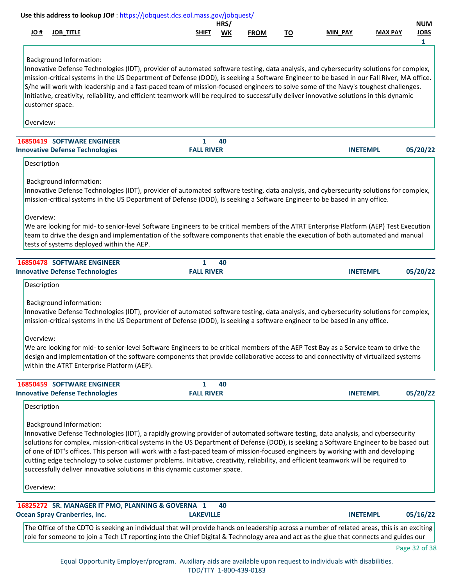|                          | Use this address to lookup JO#: https://jobquest.dcs.eol.mass.gov/jobquest/                                                                                                                                                                                                                                                                                                                                                                                                                                                                                                                                                                                           |                   |            |             |           |                 |                |                                |
|--------------------------|-----------------------------------------------------------------------------------------------------------------------------------------------------------------------------------------------------------------------------------------------------------------------------------------------------------------------------------------------------------------------------------------------------------------------------------------------------------------------------------------------------------------------------------------------------------------------------------------------------------------------------------------------------------------------|-------------------|------------|-------------|-----------|-----------------|----------------|--------------------------------|
| H OL                     | <b>JOB_TITLE</b>                                                                                                                                                                                                                                                                                                                                                                                                                                                                                                                                                                                                                                                      | SHIFT             | HRS/<br>WK | <b>FROM</b> | <u>TO</u> | <b>MIN PAY</b>  | <b>MAX PAY</b> | <b>NUM</b><br><b>JOBS</b><br>1 |
| Overview:                | <b>Background Information:</b><br>Innovative Defense Technologies (IDT), provider of automated software testing, data analysis, and cybersecurity solutions for complex,<br>mission-critical systems in the US Department of Defense (DOD), is seeking a Software Engineer to be based in our Fall River, MA office.<br>S/he will work with leadership and a fast-paced team of mission-focused engineers to solve some of the Navy's toughest challenges.<br>Initiative, creativity, reliability, and efficient teamwork will be required to successfully deliver innovative solutions in this dynamic<br>customer space.                                            |                   |            |             |           |                 |                |                                |
|                          | <b>16850419 SOFTWARE ENGINEER</b>                                                                                                                                                                                                                                                                                                                                                                                                                                                                                                                                                                                                                                     | 1                 | 40         |             |           |                 |                |                                |
|                          | <b>Innovative Defense Technologies</b>                                                                                                                                                                                                                                                                                                                                                                                                                                                                                                                                                                                                                                | <b>FALL RIVER</b> |            |             |           | <b>INETEMPL</b> |                | 05/20/22                       |
| Description              |                                                                                                                                                                                                                                                                                                                                                                                                                                                                                                                                                                                                                                                                       |                   |            |             |           |                 |                |                                |
| Overview:                | <b>Background information:</b><br>Innovative Defense Technologies (IDT), provider of automated software testing, data analysis, and cybersecurity solutions for complex,<br>mission-critical systems in the US Department of Defense (DOD), is seeking a Software Engineer to be based in any office.<br>We are looking for mid- to senior-level Software Engineers to be critical members of the ATRT Enterprise Platform (AEP) Test Execution<br>team to drive the design and implementation of the software components that enable the execution of both automated and manual<br>tests of systems deployed within the AEP.                                         |                   |            |             |           |                 |                |                                |
|                          | 16850478 SOFTWARE ENGINEER                                                                                                                                                                                                                                                                                                                                                                                                                                                                                                                                                                                                                                            | $\mathbf{1}$      | 40         |             |           |                 |                |                                |
|                          | <b>Innovative Defense Technologies</b>                                                                                                                                                                                                                                                                                                                                                                                                                                                                                                                                                                                                                                | <b>FALL RIVER</b> |            |             |           | <b>INETEMPL</b> |                | 05/20/22                       |
| Overview:                | <b>Background information:</b><br>Innovative Defense Technologies (IDT), provider of automated software testing, data analysis, and cybersecurity solutions for complex,<br>mission-critical systems in the US Department of Defense (DOD), is seeking a software engineer to be based in any office.<br>We are looking for mid- to senior-level Software Engineers to be critical members of the AEP Test Bay as a Service team to drive the<br>design and implementation of the software components that provide collaborative access to and connectivity of virtualized systems<br>within the ATRT Enterprise Platform (AEP).                                      |                   |            |             |           |                 |                |                                |
|                          | 16850459 SOFTWARE ENGINEER                                                                                                                                                                                                                                                                                                                                                                                                                                                                                                                                                                                                                                            | 1                 | 40         |             |           |                 |                |                                |
|                          | <b>Innovative Defense Technologies</b>                                                                                                                                                                                                                                                                                                                                                                                                                                                                                                                                                                                                                                | <b>FALL RIVER</b> |            |             |           | <b>INETEMPL</b> |                | 05/20/22                       |
| Description<br>Overview: | <b>Background Information:</b><br>Innovative Defense Technologies (IDT), a rapidly growing provider of automated software testing, data analysis, and cybersecurity<br>solutions for complex, mission-critical systems in the US Department of Defense (DOD), is seeking a Software Engineer to be based out<br>of one of IDT's offices. This person will work with a fast-paced team of mission-focused engineers by working with and developing<br>cutting edge technology to solve customer problems. Initiative, creativity, reliability, and efficient teamwork will be required to<br>successfully deliver innovative solutions in this dynamic customer space. |                   |            |             |           |                 |                |                                |
|                          | 16825272 SR. MANAGER IT PMO, PLANNING & GOVERNA 1                                                                                                                                                                                                                                                                                                                                                                                                                                                                                                                                                                                                                     |                   | 40         |             |           |                 |                |                                |
|                          | <b>Ocean Spray Cranberries, Inc.</b>                                                                                                                                                                                                                                                                                                                                                                                                                                                                                                                                                                                                                                  | <b>LAKEVILLE</b>  |            |             |           | <b>INETEMPL</b> |                | 05/16/22                       |
|                          | The Office of the CDTO is seeking an individual that will provide hands on leadership across a number of related areas, this is an exciting<br>role for someone to join a Tech LT reporting into the Chief Digital & Technology area and act as the glue that connects and guides our                                                                                                                                                                                                                                                                                                                                                                                 |                   |            |             |           |                 |                |                                |
|                          |                                                                                                                                                                                                                                                                                                                                                                                                                                                                                                                                                                                                                                                                       |                   |            |             |           |                 |                | Page 32 of 38                  |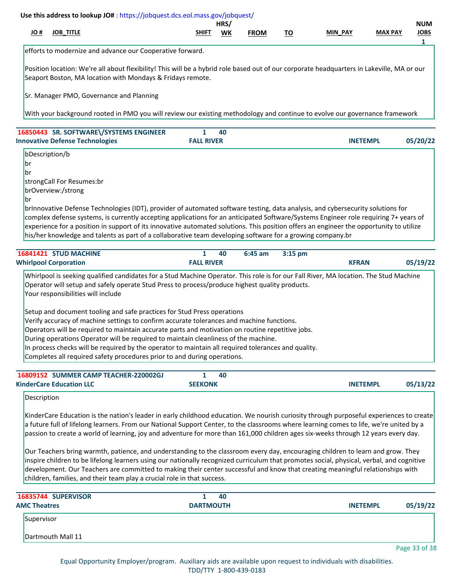|                     |                                                                                   | Use this address to lookup JO#: https://jobquest.dcs.eol.mass.gov/jobquest/                                                                                                                                                                                                                                                                                                                                                                                                                                                                                                                                                                                                                                                                                                                                                                                                                                           |                                   |            |             |           |                 |                |                                |
|---------------------|-----------------------------------------------------------------------------------|-----------------------------------------------------------------------------------------------------------------------------------------------------------------------------------------------------------------------------------------------------------------------------------------------------------------------------------------------------------------------------------------------------------------------------------------------------------------------------------------------------------------------------------------------------------------------------------------------------------------------------------------------------------------------------------------------------------------------------------------------------------------------------------------------------------------------------------------------------------------------------------------------------------------------|-----------------------------------|------------|-------------|-----------|-----------------|----------------|--------------------------------|
| H OL                | <b>JOB_TITLE</b>                                                                  |                                                                                                                                                                                                                                                                                                                                                                                                                                                                                                                                                                                                                                                                                                                                                                                                                                                                                                                       | SHIFT                             | HRS/<br>WK | <b>FROM</b> | <u>TO</u> | <b>MIN PAY</b>  | <b>MAX PAY</b> | <b>NUM</b><br><b>JOBS</b><br>1 |
|                     |                                                                                   | efforts to modernize and advance our Cooperative forward.                                                                                                                                                                                                                                                                                                                                                                                                                                                                                                                                                                                                                                                                                                                                                                                                                                                             |                                   |            |             |           |                 |                |                                |
|                     |                                                                                   | Position location: We're all about flexibility! This will be a hybrid role based out of our corporate headquarters in Lakeville, MA or our<br>Seaport Boston, MA location with Mondays & Fridays remote.                                                                                                                                                                                                                                                                                                                                                                                                                                                                                                                                                                                                                                                                                                              |                                   |            |             |           |                 |                |                                |
|                     | Sr. Manager PMO, Governance and Planning                                          |                                                                                                                                                                                                                                                                                                                                                                                                                                                                                                                                                                                                                                                                                                                                                                                                                                                                                                                       |                                   |            |             |           |                 |                |                                |
|                     |                                                                                   | With your background rooted in PMO you will review our existing methodology and continue to evolve our governance framework                                                                                                                                                                                                                                                                                                                                                                                                                                                                                                                                                                                                                                                                                                                                                                                           |                                   |            |             |           |                 |                |                                |
|                     | 16850443 SR. SOFTWARE\/SYSTEMS ENGINEER<br><b>Innovative Defense Technologies</b> |                                                                                                                                                                                                                                                                                                                                                                                                                                                                                                                                                                                                                                                                                                                                                                                                                                                                                                                       | 1<br><b>FALL RIVER</b>            | 40         |             |           | <b>INETEMPL</b> |                | 05/20/22                       |
| br<br>br<br>br      | bDescription/b<br>strongCall For Resumes:br<br>brOverview:/strong                 | brInnovative Defense Technologies (IDT), provider of automated software testing, data analysis, and cybersecurity solutions for<br>complex defense systems, is currently accepting applications for an anticipated Software/Systems Engineer role requiring 7+ years of<br>experience for a position in support of its innovative automated solutions. This position offers an engineer the opportunity to utilize<br>his/her knowledge and talents as part of a collaborative team developing software for a growing company.br                                                                                                                                                                                                                                                                                                                                                                                      |                                   |            |             |           |                 |                |                                |
|                     | 16841421 STUD MACHINE<br><b>Whirlpool Corporation</b>                             |                                                                                                                                                                                                                                                                                                                                                                                                                                                                                                                                                                                                                                                                                                                                                                                                                                                                                                                       | $\mathbf{1}$<br><b>FALL RIVER</b> | 40         | $6:45$ am   | 3:15 pm   | <b>KFRAN</b>    |                | 05/19/22                       |
|                     | Your responsibilities will include                                                | Operator will setup and safely operate Stud Press to process/produce highest quality products.<br>Setup and document tooling and safe practices for Stud Press operations<br>Verify accuracy of machine settings to confirm accurate tolerances and machine functions.<br>Operators will be required to maintain accurate parts and motivation on routine repetitive jobs.<br>During operations Operator will be required to maintain cleanliness of the machine.<br>In process checks will be required by the operator to maintain all required tolerances and quality.<br>Completes all required safety procedures prior to and during operations.                                                                                                                                                                                                                                                                  |                                   |            |             |           |                 |                |                                |
|                     | 16809152 SUMMER CAMP TEACHER-220002GJ                                             |                                                                                                                                                                                                                                                                                                                                                                                                                                                                                                                                                                                                                                                                                                                                                                                                                                                                                                                       | $\mathbf{1}$                      | 40         |             |           |                 |                |                                |
|                     | <b>KinderCare Education LLC</b>                                                   |                                                                                                                                                                                                                                                                                                                                                                                                                                                                                                                                                                                                                                                                                                                                                                                                                                                                                                                       | <b>SEEKONK</b>                    |            |             |           | <b>INETEMPL</b> |                | 05/13/22                       |
| Description         |                                                                                   | KinderCare Education is the nation's leader in early childhood education. We nourish curiosity through purposeful experiences to create<br>a future full of lifelong learners. From our National Support Center, to the classrooms where learning comes to life, we're united by a<br>passion to create a world of learning, joy and adventure for more than 161,000 children ages six-weeks through 12 years every day.<br>Our Teachers bring warmth, patience, and understanding to the classroom every day, encouraging children to learn and grow. They<br>inspire children to be lifelong learners using our nationally recognized curriculum that promotes social, physical, verbal, and cognitive<br>development. Our Teachers are committed to making their center successful and know that creating meaningful relationships with<br>children, families, and their team play a crucial role in that success. |                                   |            |             |           |                 |                |                                |
| <b>AMC Theatres</b> | 16835744 SUPERVISOR                                                               |                                                                                                                                                                                                                                                                                                                                                                                                                                                                                                                                                                                                                                                                                                                                                                                                                                                                                                                       | $\mathbf{1}$<br><b>DARTMOUTH</b>  | 40         |             |           | <b>INETEMPL</b> |                | 05/19/22                       |
| Supervisor          |                                                                                   |                                                                                                                                                                                                                                                                                                                                                                                                                                                                                                                                                                                                                                                                                                                                                                                                                                                                                                                       |                                   |            |             |           |                 |                |                                |
|                     | Dartmouth Mall 11                                                                 |                                                                                                                                                                                                                                                                                                                                                                                                                                                                                                                                                                                                                                                                                                                                                                                                                                                                                                                       |                                   |            |             |           |                 |                |                                |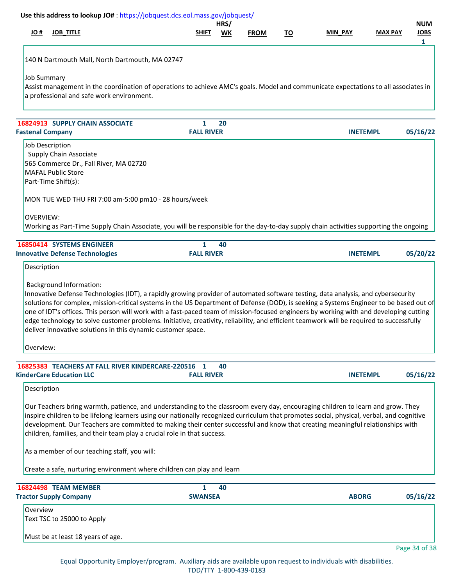|                  | Use this address to lookup JO#: https://jobquest.dcs.eol.mass.gov/jobquest/                                                                                                                                                                                                                                                                                                                                                                                                                                                                                                                                                                                          |                        | HRS/ |             |           |                 |                | <b>NUM</b>       |
|------------------|----------------------------------------------------------------------------------------------------------------------------------------------------------------------------------------------------------------------------------------------------------------------------------------------------------------------------------------------------------------------------------------------------------------------------------------------------------------------------------------------------------------------------------------------------------------------------------------------------------------------------------------------------------------------|------------------------|------|-------------|-----------|-----------------|----------------|------------------|
| # OL             | <b>JOB_TITLE</b>                                                                                                                                                                                                                                                                                                                                                                                                                                                                                                                                                                                                                                                     | SHIFT                  | WK   | <b>FROM</b> | <u>TO</u> | MIN PAY         | <b>MAX PAY</b> | <b>JOBS</b><br>1 |
|                  | 140 N Dartmouth Mall, North Dartmouth, MA 02747                                                                                                                                                                                                                                                                                                                                                                                                                                                                                                                                                                                                                      |                        |      |             |           |                 |                |                  |
|                  |                                                                                                                                                                                                                                                                                                                                                                                                                                                                                                                                                                                                                                                                      |                        |      |             |           |                 |                |                  |
| Job Summary      | Assist management in the coordination of operations to achieve AMC's goals. Model and communicate expectations to all associates in                                                                                                                                                                                                                                                                                                                                                                                                                                                                                                                                  |                        |      |             |           |                 |                |                  |
|                  | a professional and safe work environment.                                                                                                                                                                                                                                                                                                                                                                                                                                                                                                                                                                                                                            |                        |      |             |           |                 |                |                  |
|                  | 16824913 SUPPLY CHAIN ASSOCIATE                                                                                                                                                                                                                                                                                                                                                                                                                                                                                                                                                                                                                                      | 1                      | 20   |             |           |                 |                |                  |
|                  | <b>Fastenal Company</b>                                                                                                                                                                                                                                                                                                                                                                                                                                                                                                                                                                                                                                              | <b>FALL RIVER</b>      |      |             |           | <b>INETEMPL</b> |                | 05/16/22         |
|                  | <b>Job Description</b>                                                                                                                                                                                                                                                                                                                                                                                                                                                                                                                                                                                                                                               |                        |      |             |           |                 |                |                  |
|                  | Supply Chain Associate                                                                                                                                                                                                                                                                                                                                                                                                                                                                                                                                                                                                                                               |                        |      |             |           |                 |                |                  |
|                  | 565 Commerce Dr., Fall River, MA 02720                                                                                                                                                                                                                                                                                                                                                                                                                                                                                                                                                                                                                               |                        |      |             |           |                 |                |                  |
|                  | <b>MAFAL Public Store</b><br>Part-Time Shift(s):                                                                                                                                                                                                                                                                                                                                                                                                                                                                                                                                                                                                                     |                        |      |             |           |                 |                |                  |
|                  | MON TUE WED THU FRI 7:00 am-5:00 pm10 - 28 hours/week                                                                                                                                                                                                                                                                                                                                                                                                                                                                                                                                                                                                                |                        |      |             |           |                 |                |                  |
|                  |                                                                                                                                                                                                                                                                                                                                                                                                                                                                                                                                                                                                                                                                      |                        |      |             |           |                 |                |                  |
| <b>OVERVIEW:</b> |                                                                                                                                                                                                                                                                                                                                                                                                                                                                                                                                                                                                                                                                      |                        |      |             |           |                 |                |                  |
|                  | Working as Part-Time Supply Chain Associate, you will be responsible for the day-to-day supply chain activities supporting the ongoing                                                                                                                                                                                                                                                                                                                                                                                                                                                                                                                               |                        |      |             |           |                 |                |                  |
|                  | 16850414 SYSTEMS ENGINEER                                                                                                                                                                                                                                                                                                                                                                                                                                                                                                                                                                                                                                            | 1                      | 40   |             |           |                 |                |                  |
|                  | <b>Innovative Defense Technologies</b>                                                                                                                                                                                                                                                                                                                                                                                                                                                                                                                                                                                                                               | <b>FALL RIVER</b>      |      |             |           | <b>INETEMPL</b> |                | 05/20/22         |
| Description      |                                                                                                                                                                                                                                                                                                                                                                                                                                                                                                                                                                                                                                                                      |                        |      |             |           |                 |                |                  |
|                  | <b>Background Information:</b><br>Innovative Defense Technologies (IDT), a rapidly growing provider of automated software testing, data analysis, and cybersecurity<br>solutions for complex, mission-critical systems in the US Department of Defense (DOD), is seeking a Systems Engineer to be based out of<br>one of IDT's offices. This person will work with a fast-paced team of mission-focused engineers by working with and developing cutting<br>edge technology to solve customer problems. Initiative, creativity, reliability, and efficient teamwork will be required to successfully<br>deliver innovative solutions in this dynamic customer space. |                        |      |             |           |                 |                |                  |
| Overview:        |                                                                                                                                                                                                                                                                                                                                                                                                                                                                                                                                                                                                                                                                      |                        |      |             |           |                 |                |                  |
|                  |                                                                                                                                                                                                                                                                                                                                                                                                                                                                                                                                                                                                                                                                      |                        |      |             |           |                 |                |                  |
|                  | 16825383 TEACHERS AT FALL RIVER KINDERCARE-220516<br><b>KinderCare Education LLC</b>                                                                                                                                                                                                                                                                                                                                                                                                                                                                                                                                                                                 | 1<br><b>FALL RIVER</b> | 40   |             |           | <b>INETEMPL</b> |                | 05/16/22         |
| Description      |                                                                                                                                                                                                                                                                                                                                                                                                                                                                                                                                                                                                                                                                      |                        |      |             |           |                 |                |                  |
|                  | Our Teachers bring warmth, patience, and understanding to the classroom every day, encouraging children to learn and grow. They<br>inspire children to be lifelong learners using our nationally recognized curriculum that promotes social, physical, verbal, and cognitive<br>development. Our Teachers are committed to making their center successful and know that creating meaningful relationships with<br>children, families, and their team play a crucial role in that success.                                                                                                                                                                            |                        |      |             |           |                 |                |                  |
|                  | As a member of our teaching staff, you will:                                                                                                                                                                                                                                                                                                                                                                                                                                                                                                                                                                                                                         |                        |      |             |           |                 |                |                  |
|                  | Create a safe, nurturing environment where children can play and learn                                                                                                                                                                                                                                                                                                                                                                                                                                                                                                                                                                                               |                        |      |             |           |                 |                |                  |
|                  | 16824498 TEAM MEMBER                                                                                                                                                                                                                                                                                                                                                                                                                                                                                                                                                                                                                                                 | 1                      | 40   |             |           |                 |                |                  |
|                  | <b>Tractor Supply Company</b>                                                                                                                                                                                                                                                                                                                                                                                                                                                                                                                                                                                                                                        | <b>SWANSEA</b>         |      |             |           | <b>ABORG</b>    |                | 05/16/22         |
| Overview         | Text TSC to 25000 to Apply                                                                                                                                                                                                                                                                                                                                                                                                                                                                                                                                                                                                                                           |                        |      |             |           |                 |                |                  |
|                  | Must be at least 18 years of age.                                                                                                                                                                                                                                                                                                                                                                                                                                                                                                                                                                                                                                    |                        |      |             |           |                 |                |                  |
|                  |                                                                                                                                                                                                                                                                                                                                                                                                                                                                                                                                                                                                                                                                      |                        |      |             |           |                 |                | Page 34 of 38    |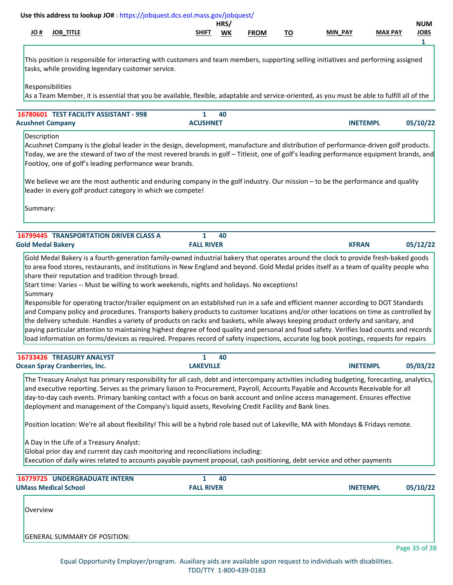|                                                                                                                                                                                                                                                                                                                                                                                                                                                                                                                                                                                                                                                                                                                                                                                                                 |                                   | <b>WK</b> | <b>FROM</b> | <u>TO</u> | MIN_PAY         | <b>MAX PAY</b> | <b>JOBS</b><br>1 |
|-----------------------------------------------------------------------------------------------------------------------------------------------------------------------------------------------------------------------------------------------------------------------------------------------------------------------------------------------------------------------------------------------------------------------------------------------------------------------------------------------------------------------------------------------------------------------------------------------------------------------------------------------------------------------------------------------------------------------------------------------------------------------------------------------------------------|-----------------------------------|-----------|-------------|-----------|-----------------|----------------|------------------|
| This position is responsible for interacting with customers and team members, supporting selling initiatives and performing assigned<br>tasks, while providing legendary customer service.                                                                                                                                                                                                                                                                                                                                                                                                                                                                                                                                                                                                                      |                                   |           |             |           |                 |                |                  |
| Responsibilities<br>As a Team Member, it is essential that you be available, flexible, adaptable and service-oriented, as you must be able to fulfill all of the                                                                                                                                                                                                                                                                                                                                                                                                                                                                                                                                                                                                                                                |                                   |           |             |           |                 |                |                  |
| 16780601 TEST FACILITY ASSISTANT - 998<br><b>Acushnet Company</b>                                                                                                                                                                                                                                                                                                                                                                                                                                                                                                                                                                                                                                                                                                                                               | $\mathbf{1}$<br><b>ACUSHNET</b>   | 40        |             |           | <b>INETEMPL</b> |                | 05/10/22         |
| Description<br>Acushnet Company is the global leader in the design, development, manufacture and distribution of performance-driven golf products.<br>Today, we are the steward of two of the most revered brands in golf – Titleist, one of golf's leading performance equipment brands, and<br>FootJoy, one of golf's leading performance wear brands.                                                                                                                                                                                                                                                                                                                                                                                                                                                        |                                   |           |             |           |                 |                |                  |
| We believe we are the most authentic and enduring company in the golf industry. Our mission - to be the performance and quality<br>leader in every golf product category in which we compete!                                                                                                                                                                                                                                                                                                                                                                                                                                                                                                                                                                                                                   |                                   |           |             |           |                 |                |                  |
| Summary:                                                                                                                                                                                                                                                                                                                                                                                                                                                                                                                                                                                                                                                                                                                                                                                                        |                                   |           |             |           |                 |                |                  |
| <b>16799445 TRANSPORTATION DRIVER CLASS A</b>                                                                                                                                                                                                                                                                                                                                                                                                                                                                                                                                                                                                                                                                                                                                                                   | $\mathbf{1}$                      | 40        |             |           |                 |                |                  |
| <b>Gold Medal Bakery</b>                                                                                                                                                                                                                                                                                                                                                                                                                                                                                                                                                                                                                                                                                                                                                                                        | <b>FALL RIVER</b>                 |           |             |           | <b>KFRAN</b>    |                | 05/12/22         |
| Start time: Varies -- Must be willing to work weekends, nights and holidays. No exceptions!<br>Summary<br>Responsible for operating tractor/trailer equipment on an established run in a safe and efficient manner according to DOT Standards<br>and Company policy and procedures. Transports bakery products to customer locations and/or other locations on time as controlled by<br>the delivery schedule. Handles a variety of products on racks and baskets, while always keeping product orderly and sanitary, and<br>paying particular attention to maintaining highest degree of food quality and personal and food safety. Verifies load counts and records<br>load information on forms/devices as required. Prepares record of safety inspections, accurate log book postings, requests for repairs |                                   |           |             |           |                 |                |                  |
| 16733426 TREASURY ANALYST                                                                                                                                                                                                                                                                                                                                                                                                                                                                                                                                                                                                                                                                                                                                                                                       | 1                                 | 40        |             |           |                 |                |                  |
| <b>Ocean Spray Cranberries, Inc.</b>                                                                                                                                                                                                                                                                                                                                                                                                                                                                                                                                                                                                                                                                                                                                                                            | <b>LAKEVILLE</b>                  |           |             |           | <b>INETEMPL</b> |                | 05/03/22         |
| The Treasury Analyst has primary responsibility for all cash, debt and intercompany activities including budgeting, forecasting, analytics,<br>and executive reporting. Serves as the primary liaison to Procurement, Payroll, Accounts Payable and Accounts Receivable for all<br>day-to-day cash events. Primary banking contact with a focus on bank account and online access management. Ensures effective<br>deployment and management of the Company's liquid assets, Revolving Credit Facility and Bank lines.                                                                                                                                                                                                                                                                                          |                                   |           |             |           |                 |                |                  |
| Position location: We're all about flexibility! This will be a hybrid role based out of Lakeville, MA with Mondays & Fridays remote.                                                                                                                                                                                                                                                                                                                                                                                                                                                                                                                                                                                                                                                                            |                                   |           |             |           |                 |                |                  |
| A Day in the Life of a Treasury Analyst:<br>Global prior day and current day cash monitoring and reconciliations including:<br>Execution of daily wires related to accounts payable payment proposal, cash positioning, debt service and other payments                                                                                                                                                                                                                                                                                                                                                                                                                                                                                                                                                         |                                   |           |             |           |                 |                |                  |
| 16779725 UNDERGRADUATE INTERN<br><b>UMass Medical School</b>                                                                                                                                                                                                                                                                                                                                                                                                                                                                                                                                                                                                                                                                                                                                                    | $\mathbf{1}$<br><b>FALL RIVER</b> | 40        |             |           | <b>INETEMPL</b> |                | 05/10/22         |
| Overview                                                                                                                                                                                                                                                                                                                                                                                                                                                                                                                                                                                                                                                                                                                                                                                                        |                                   |           |             |           |                 |                |                  |
|                                                                                                                                                                                                                                                                                                                                                                                                                                                                                                                                                                                                                                                                                                                                                                                                                 |                                   |           |             |           |                 |                |                  |
|                                                                                                                                                                                                                                                                                                                                                                                                                                                                                                                                                                                                                                                                                                                                                                                                                 |                                   |           |             |           |                 |                |                  |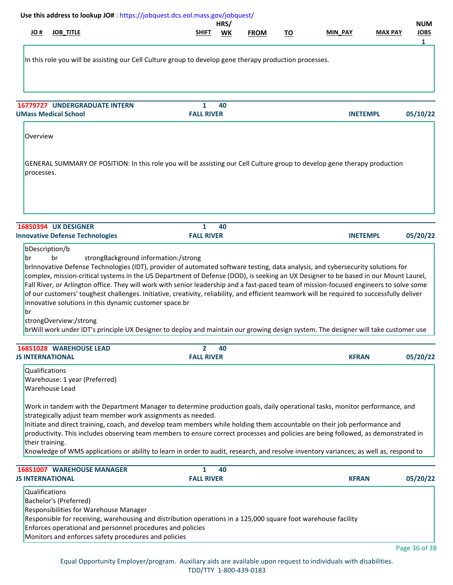| Use this address to lookup JO#: https://jobquest.dcs.eol.mass.gov/jobquest/                                                                                                                                                                                                                                                                                                                                                                                                                                                                                                                                                 |                                     | HRS/ |             |           |                |                 | <b>NUM</b>       |
|-----------------------------------------------------------------------------------------------------------------------------------------------------------------------------------------------------------------------------------------------------------------------------------------------------------------------------------------------------------------------------------------------------------------------------------------------------------------------------------------------------------------------------------------------------------------------------------------------------------------------------|-------------------------------------|------|-------------|-----------|----------------|-----------------|------------------|
| <b>JOB_TITLE</b><br># OL                                                                                                                                                                                                                                                                                                                                                                                                                                                                                                                                                                                                    | SHIFT                               | WK   | <b>FROM</b> | <u>TO</u> | <b>MIN PAY</b> | <b>MAX PAY</b>  | <b>JOBS</b><br>1 |
| In this role you will be assisting our Cell Culture group to develop gene therapy production processes.                                                                                                                                                                                                                                                                                                                                                                                                                                                                                                                     |                                     |      |             |           |                |                 |                  |
| 16779727 UNDERGRADUATE INTERN                                                                                                                                                                                                                                                                                                                                                                                                                                                                                                                                                                                               | 1                                   | 40   |             |           |                |                 |                  |
| <b>UMass Medical School</b>                                                                                                                                                                                                                                                                                                                                                                                                                                                                                                                                                                                                 | <b>FALL RIVER</b>                   |      |             |           |                | <b>INETEMPL</b> | 05/10/22         |
| Overview                                                                                                                                                                                                                                                                                                                                                                                                                                                                                                                                                                                                                    |                                     |      |             |           |                |                 |                  |
| GENERAL SUMMARY OF POSITION: In this role you will be assisting our Cell Culture group to develop gene therapy production<br>processes.                                                                                                                                                                                                                                                                                                                                                                                                                                                                                     |                                     |      |             |           |                |                 |                  |
| <b>16850394 UX DESIGNER</b>                                                                                                                                                                                                                                                                                                                                                                                                                                                                                                                                                                                                 | 1<br><b>FALL RIVER</b>              | 40   |             |           |                | <b>INETEMPL</b> | 05/20/22         |
| <b>Innovative Defense Technologies</b><br>bDescription/b                                                                                                                                                                                                                                                                                                                                                                                                                                                                                                                                                                    |                                     |      |             |           |                |                 |                  |
| Fall River, or Arlington office. They will work with senior leadership and a fast-paced team of mission-focused engineers to solve some<br>of our customers' toughest challenges. Initiative, creativity, reliability, and efficient teamwork will be required to successfully deliver<br>innovative solutions in this dynamic customer space.br<br>br<br>strongOverview:/strong<br>brWill work under IDT's principle UX Designer to deploy and maintain our growing design system. The designer will take customer use                                                                                                     |                                     |      |             |           |                |                 |                  |
| 16851028 WAREHOUSE LEAD<br><b>JS INTERNATIONAL</b>                                                                                                                                                                                                                                                                                                                                                                                                                                                                                                                                                                          | $\overline{2}$<br><b>FALL RIVER</b> | 40   |             |           | <b>KFRAN</b>   |                 | 05/20/22         |
| Qualifications<br>Warehouse: 1 year (Preferred)<br>Warehouse Lead                                                                                                                                                                                                                                                                                                                                                                                                                                                                                                                                                           |                                     |      |             |           |                |                 |                  |
| Work in tandem with the Department Manager to determine production goals, daily operational tasks, monitor performance, and<br>strategically adjust team member work assignments as needed.<br>Initiate and direct training, coach, and develop team members while holding them accountable on their job performance and<br>productivity. This includes observing team members to ensure correct processes and policies are being followed, as demonstrated in<br>their training.<br>Knowledge of WMS applications or ability to learn in order to audit, research, and resolve inventory variances; as well as, respond to |                                     |      |             |           |                |                 |                  |
| <b>16851007 WAREHOUSE MANAGER</b>                                                                                                                                                                                                                                                                                                                                                                                                                                                                                                                                                                                           | 1                                   | 40   |             |           |                |                 |                  |
| <b>JS INTERNATIONAL</b>                                                                                                                                                                                                                                                                                                                                                                                                                                                                                                                                                                                                     | <b>FALL RIVER</b>                   |      |             |           | <b>KFRAN</b>   |                 | 05/20/22         |
| Qualifications<br>Bachelor's (Preferred)<br>Responsibilities for Warehouse Manager<br>Responsible for receiving, warehousing and distribution operations in a 125,000 square foot warehouse facility<br>Enforces operational and personnel procedures and policies                                                                                                                                                                                                                                                                                                                                                          |                                     |      |             |           |                |                 |                  |
| Monitors and enforces safety procedures and policies                                                                                                                                                                                                                                                                                                                                                                                                                                                                                                                                                                        |                                     |      |             |           |                |                 |                  |

Equal Opportunity Employer/program. Auxiliary aids are available upon request to individuals with disabilities. TDD/TTY 1-800-439-0183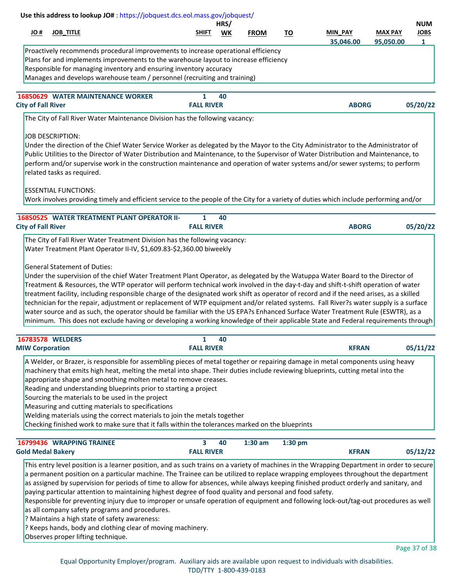| Use this address to lookup JO#: https://jobquest.dcs.eol.mass.gov/jobquest/                                                                                                                                                                                                                                                                                                                                                                                                                                                                                                                                                                                                                                                                                                                                                                                                                                                                                                                                                                                                                                                                                                                                                                                                                                                                                                                                                                                                                                                                                                             |                        |            |             |           |              |                |                           |
|-----------------------------------------------------------------------------------------------------------------------------------------------------------------------------------------------------------------------------------------------------------------------------------------------------------------------------------------------------------------------------------------------------------------------------------------------------------------------------------------------------------------------------------------------------------------------------------------------------------------------------------------------------------------------------------------------------------------------------------------------------------------------------------------------------------------------------------------------------------------------------------------------------------------------------------------------------------------------------------------------------------------------------------------------------------------------------------------------------------------------------------------------------------------------------------------------------------------------------------------------------------------------------------------------------------------------------------------------------------------------------------------------------------------------------------------------------------------------------------------------------------------------------------------------------------------------------------------|------------------------|------------|-------------|-----------|--------------|----------------|---------------------------|
| H OL<br><b>JOB_TITLE</b>                                                                                                                                                                                                                                                                                                                                                                                                                                                                                                                                                                                                                                                                                                                                                                                                                                                                                                                                                                                                                                                                                                                                                                                                                                                                                                                                                                                                                                                                                                                                                                | SHIFT                  | HRS/<br>WK | <b>FROM</b> | <u>TO</u> | MIN_PAY      | <b>MAX PAY</b> | <b>NUM</b><br><b>JOBS</b> |
|                                                                                                                                                                                                                                                                                                                                                                                                                                                                                                                                                                                                                                                                                                                                                                                                                                                                                                                                                                                                                                                                                                                                                                                                                                                                                                                                                                                                                                                                                                                                                                                         |                        |            |             |           | 35,046.00    | 95,050.00      | $\mathbf{1}$              |
| Proactively recommends procedural improvements to increase operational efficiency<br>Plans for and implements improvements to the warehouse layout to increase efficiency<br>Responsible for managing inventory and ensuring inventory accuracy<br>Manages and develops warehouse team / personnel (recruiting and training)                                                                                                                                                                                                                                                                                                                                                                                                                                                                                                                                                                                                                                                                                                                                                                                                                                                                                                                                                                                                                                                                                                                                                                                                                                                            |                        |            |             |           |              |                |                           |
| <b>16850629 WATER MAINTENANCE WORKER</b>                                                                                                                                                                                                                                                                                                                                                                                                                                                                                                                                                                                                                                                                                                                                                                                                                                                                                                                                                                                                                                                                                                                                                                                                                                                                                                                                                                                                                                                                                                                                                | 1                      | 40         |             |           |              |                |                           |
| <b>City of Fall River</b>                                                                                                                                                                                                                                                                                                                                                                                                                                                                                                                                                                                                                                                                                                                                                                                                                                                                                                                                                                                                                                                                                                                                                                                                                                                                                                                                                                                                                                                                                                                                                               | <b>FALL RIVER</b>      |            |             |           | <b>ABORG</b> |                | 05/20/22                  |
| The City of Fall River Water Maintenance Division has the following vacancy:                                                                                                                                                                                                                                                                                                                                                                                                                                                                                                                                                                                                                                                                                                                                                                                                                                                                                                                                                                                                                                                                                                                                                                                                                                                                                                                                                                                                                                                                                                            |                        |            |             |           |              |                |                           |
| Under the direction of the Chief Water Service Worker as delegated by the Mayor to the City Administrator to the Administrator of<br>Public Utilities to the Director of Water Distribution and Maintenance, to the Supervisor of Water Distribution and Maintenance, to<br>perform and/or supervise work in the construction maintenance and operation of water systems and/or sewer systems; to perform<br>related tasks as required.<br><b>ESSENTIAL FUNCTIONS:</b><br>Work involves providing timely and efficient service to the people of the City for a variety of duties which include performing and/or<br>16850525 WATER TREATMENT PLANT OPERATOR II-<br><b>City of Fall River</b><br>The City of Fall River Water Treatment Division has the following vacancy:<br>Water Treatment Plant Operator II-IV, \$1,609.83-\$2,360.00 biweekly<br><b>General Statement of Duties:</b><br>Under the supervision of the chief Water Treatment Plant Operator, as delegated by the Watuppa Water Board to the Director of<br>Treatment & Resources, the WTP operator will perform technical work involved in the day-t-day and shift-t-shift operation of water<br>treatment facility, including responsible charge of the designated work shift as operator of record and if the need arises, as a skilled<br>technician for the repair, adjustment or replacement of WTP equipment and/or related systems. Fall River?s water supply is a surface<br>water source and as such, the operator should be familiar with the US EPA?s Enhanced Surface Water Treatment Rule (ESWTR), as a | 1<br><b>FALL RIVER</b> | 40         |             |           | <b>ABORG</b> |                | 05/20/22                  |
| minimum. This does not exclude having or developing a working knowledge of their applicable State and Federal requirements through                                                                                                                                                                                                                                                                                                                                                                                                                                                                                                                                                                                                                                                                                                                                                                                                                                                                                                                                                                                                                                                                                                                                                                                                                                                                                                                                                                                                                                                      |                        |            |             |           |              |                |                           |
| 16783578 WELDERS                                                                                                                                                                                                                                                                                                                                                                                                                                                                                                                                                                                                                                                                                                                                                                                                                                                                                                                                                                                                                                                                                                                                                                                                                                                                                                                                                                                                                                                                                                                                                                        | 1                      | 40         |             |           |              |                |                           |
| <b>MIW Corporation</b>                                                                                                                                                                                                                                                                                                                                                                                                                                                                                                                                                                                                                                                                                                                                                                                                                                                                                                                                                                                                                                                                                                                                                                                                                                                                                                                                                                                                                                                                                                                                                                  | <b>FALL RIVER</b>      |            |             |           | <b>KFRAN</b> |                | 05/11/22                  |
| A Welder, or Brazer, is responsible for assembling pieces of metal together or repairing damage in metal components using heavy<br>machinery that emits high heat, melting the metal into shape. Their duties include reviewing blueprints, cutting metal into the<br>appropriate shape and smoothing molten metal to remove creases.<br>Reading and understanding blueprints prior to starting a project<br>Sourcing the materials to be used in the project<br>Measuring and cutting materials to specifications<br>Welding materials using the correct materials to join the metals together<br>Checking finished work to make sure that it falls within the tolerances marked on the blueprints                                                                                                                                                                                                                                                                                                                                                                                                                                                                                                                                                                                                                                                                                                                                                                                                                                                                                     |                        |            |             |           |              |                |                           |
| 16799436 WRAPPING TRAINEE                                                                                                                                                                                                                                                                                                                                                                                                                                                                                                                                                                                                                                                                                                                                                                                                                                                                                                                                                                                                                                                                                                                                                                                                                                                                                                                                                                                                                                                                                                                                                               | 3                      | 40         | $1:30$ am   | 1:30 pm   |              |                |                           |
| <b>Gold Medal Bakery</b>                                                                                                                                                                                                                                                                                                                                                                                                                                                                                                                                                                                                                                                                                                                                                                                                                                                                                                                                                                                                                                                                                                                                                                                                                                                                                                                                                                                                                                                                                                                                                                | <b>FALL RIVER</b>      |            |             |           | <b>KFRAN</b> |                | 05/12/22                  |
| This entry level position is a learner position, and as such trains on a variety of machines in the Wrapping Department in order to secure<br>a permanent position on a particular machine. The Trainee can be utilized to replace wrapping employees throughout the department<br>as assigned by supervision for periods of time to allow for absences, while always keeping finished product orderly and sanitary, and<br>paying particular attention to maintaining highest degree of food quality and personal and food safety.<br>Responsible for preventing injury due to improper or unsafe operation of equipment and following lock-out/tag-out procedures as well<br>as all company safety programs and procedures.<br>? Maintains a high state of safety awareness:<br>? Keeps hands, body and clothing clear of moving machinery.                                                                                                                                                                                                                                                                                                                                                                                                                                                                                                                                                                                                                                                                                                                                           |                        |            |             |           |              |                |                           |

Observes proper lifting technique.